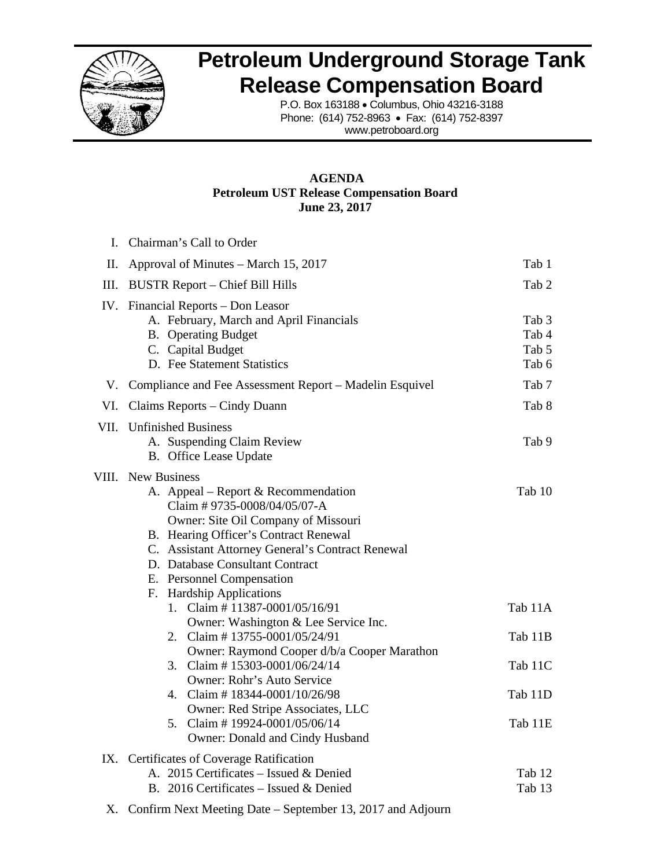

## **Petroleum Underground Storage Tank Release Compensation Board**

P.O. Box 163188 • Columbus, Ohio 43216-3188 Phone: (614) 752-8963 • Fax: (614) 752-8397 www.petroboard.org

#### **AGENDA Petroleum UST Release Compensation Board June 23, 2017**

| L.   | Chairman's Call to Order                                                                                                                                                                                                                                                                                                        |                                             |  |  |  |  |  |
|------|---------------------------------------------------------------------------------------------------------------------------------------------------------------------------------------------------------------------------------------------------------------------------------------------------------------------------------|---------------------------------------------|--|--|--|--|--|
| Π.   | Approval of Minutes – March 15, 2017                                                                                                                                                                                                                                                                                            | Tab 1                                       |  |  |  |  |  |
| III. | <b>BUSTR Report – Chief Bill Hills</b>                                                                                                                                                                                                                                                                                          |                                             |  |  |  |  |  |
|      | IV. Financial Reports – Don Leasor<br>A. February, March and April Financials<br><b>B.</b> Operating Budget<br>C. Capital Budget<br>D. Fee Statement Statistics                                                                                                                                                                 | Tab <sub>3</sub><br>Tab 4<br>Tab 5<br>Tab 6 |  |  |  |  |  |
|      | V. Compliance and Fee Assessment Report - Madelin Esquivel                                                                                                                                                                                                                                                                      | Tab 7                                       |  |  |  |  |  |
| VI.  | Claims Reports – Cindy Duann                                                                                                                                                                                                                                                                                                    | Tab 8                                       |  |  |  |  |  |
|      | VII. Unfinished Business<br>A. Suspending Claim Review<br>B. Office Lease Update                                                                                                                                                                                                                                                | Tab 9                                       |  |  |  |  |  |
|      | <b>VIII.</b> New Business<br>A. Appeal – Report & Recommendation<br>Claim #9735-0008/04/05/07-A<br>Owner: Site Oil Company of Missouri<br>B. Hearing Officer's Contract Renewal<br>C. Assistant Attorney General's Contract Renewal<br>D. Database Consultant Contract<br>E. Personnel Compensation<br>F. Hardship Applications | Tab 10                                      |  |  |  |  |  |
|      | Claim #11387-0001/05/16/91<br>$1_{-}$                                                                                                                                                                                                                                                                                           | Tab 11A                                     |  |  |  |  |  |
|      | Owner: Washington & Lee Service Inc.<br>2. Claim #13755-0001/05/24/91<br>Owner: Raymond Cooper d/b/a Cooper Marathon                                                                                                                                                                                                            | Tab 11B                                     |  |  |  |  |  |
|      | 3. Claim #15303-0001/06/24/14<br>Owner: Rohr's Auto Service                                                                                                                                                                                                                                                                     | Tab 11C                                     |  |  |  |  |  |
|      | 4. Claim #18344-0001/10/26/98<br>Owner: Red Stripe Associates, LLC                                                                                                                                                                                                                                                              | Tab 11D                                     |  |  |  |  |  |
|      | 5. Claim #19924-0001/05/06/14<br>Owner: Donald and Cindy Husband                                                                                                                                                                                                                                                                | Tab 11E                                     |  |  |  |  |  |
|      | IX. Certificates of Coverage Ratification<br>A. 2015 Certificates - Issued & Denied<br>B. 2016 Certificates - Issued & Denied                                                                                                                                                                                                   | Tab 12<br>Tab 13                            |  |  |  |  |  |

X. Confirm Next Meeting Date – September 13, 2017 and Adjourn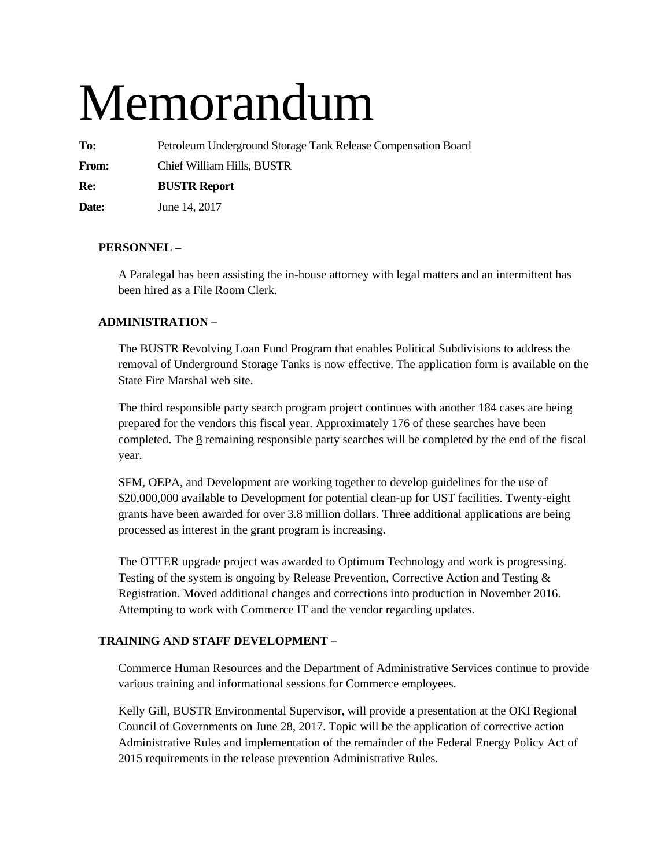# Memorandum

**To:** Petroleum Underground Storage Tank Release Compensation Board

**From:** Chief William Hills, BUSTR

**Re: BUSTR Report** 

**Date:** June 14, 2017

#### **PERSONNEL –**

A Paralegal has been assisting the in-house attorney with legal matters and an intermittent has been hired as a File Room Clerk.

#### **ADMINISTRATION –**

The BUSTR Revolving Loan Fund Program that enables Political Subdivisions to address the removal of Underground Storage Tanks is now effective. The application form is available on the State Fire Marshal web site.

The third responsible party search program project continues with another 184 cases are being prepared for the vendors this fiscal year. Approximately 176 of these searches have been completed. The 8 remaining responsible party searches will be completed by the end of the fiscal year.

SFM, OEPA, and Development are working together to develop guidelines for the use of \$20,000,000 available to Development for potential clean-up for UST facilities. Twenty-eight grants have been awarded for over 3.8 million dollars. Three additional applications are being processed as interest in the grant program is increasing.

The OTTER upgrade project was awarded to Optimum Technology and work is progressing. Testing of the system is ongoing by Release Prevention, Corrective Action and Testing & Registration. Moved additional changes and corrections into production in November 2016. Attempting to work with Commerce IT and the vendor regarding updates.

#### **TRAINING AND STAFF DEVELOPMENT –**

Commerce Human Resources and the Department of Administrative Services continue to provide various training and informational sessions for Commerce employees.

Kelly Gill, BUSTR Environmental Supervisor, will provide a presentation at the OKI Regional Council of Governments on June 28, 2017. Topic will be the application of corrective action Administrative Rules and implementation of the remainder of the Federal Energy Policy Act of 2015 requirements in the release prevention Administrative Rules.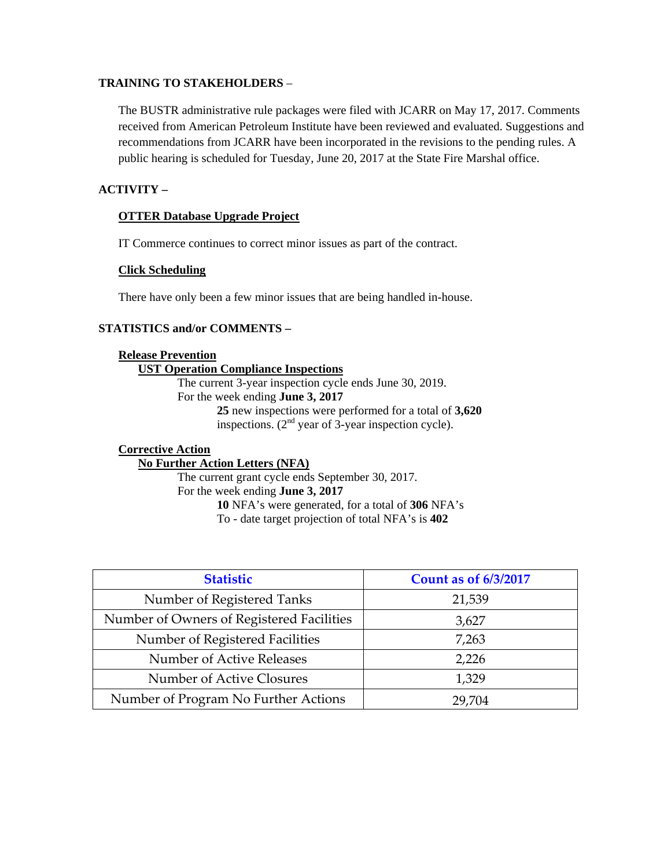#### **TRAINING TO STAKEHOLDERS** –

The BUSTR administrative rule packages were filed with JCARR on May 17, 2017. Comments received from American Petroleum Institute have been reviewed and evaluated. Suggestions and recommendations from JCARR have been incorporated in the revisions to the pending rules. A public hearing is scheduled for Tuesday, June 20, 2017 at the State Fire Marshal office.

#### **ACTIVITY –**

#### **OTTER Database Upgrade Project**

IT Commerce continues to correct minor issues as part of the contract.

#### **Click Scheduling**

There have only been a few minor issues that are being handled in-house.

#### **STATISTICS and/or COMMENTS –**

| <b>Release Prevention</b>                                                                                       |
|-----------------------------------------------------------------------------------------------------------------|
| <b>UST Operation Compliance Inspections</b>                                                                     |
| The current 3-year inspection cycle ends June 30, 2019.                                                         |
| For the week ending <b>June 3, 2017</b>                                                                         |
| 25 new inspections were performed for a total of 3,620<br>inspections. $(2nd$ year of 3-year inspection cycle). |
| <b>Corrective Action</b><br><b>No Further Action Letters (NFA)</b>                                              |

The current grant cycle ends September 30, 2017. For the week ending **June 3, 2017 10** NFA's were generated, for a total of **306** NFA's To - date target projection of total NFA's is **402** 

| <b>Statistic</b>                          | <b>Count as of 6/3/2017</b> |
|-------------------------------------------|-----------------------------|
| Number of Registered Tanks                | 21,539                      |
| Number of Owners of Registered Facilities | 3,627                       |
| Number of Registered Facilities           | 7,263                       |
| Number of Active Releases                 | 2,226                       |
| Number of Active Closures                 | 1,329                       |
| Number of Program No Further Actions      | 29.704                      |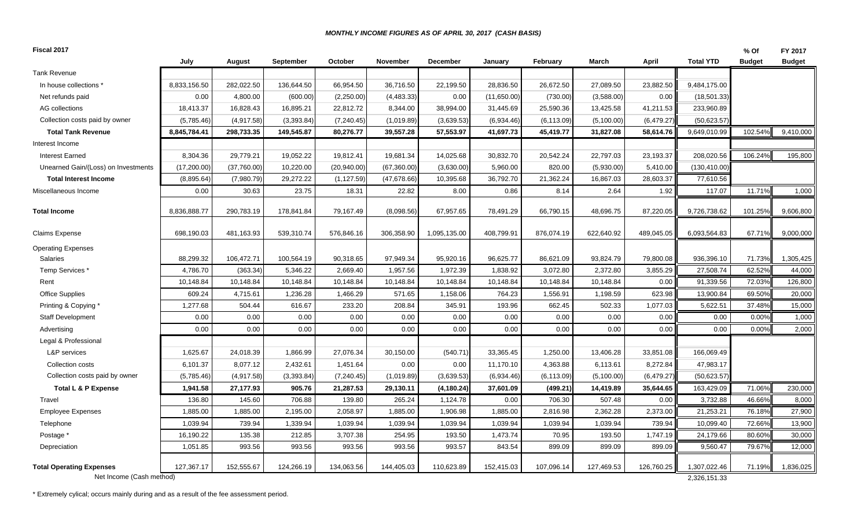#### *MONTHLY INCOME FIGURES AS OF APRIL 30, 2017 (CASH BASIS)*

| Fiscal 2017                                                 |              |             |            |             |              |              |             |                 |            |            |                              | % Of          | FY 2017       |
|-------------------------------------------------------------|--------------|-------------|------------|-------------|--------------|--------------|-------------|-----------------|------------|------------|------------------------------|---------------|---------------|
|                                                             | July         | August      | September  | October     | November     | December     | January     | <b>February</b> | March      | April      | <b>Total YTD</b>             | <b>Budget</b> | <b>Budget</b> |
| <b>Tank Revenue</b>                                         |              |             |            |             |              |              |             |                 |            |            |                              |               |               |
| In house collections *                                      | 8,833,156.50 | 282,022.50  | 136,644.50 | 66,954.50   | 36,716.50    | 22,199.50    | 28,836.50   | 26,672.50       | 27,089.50  | 23,882.50  | 9,484,175.00                 |               |               |
| Net refunds paid                                            | 0.00         | 4,800.00    | (600.00)   | (2,250.00)  | (4,483.33)   | 0.00         | (11,650.00) | (730.00)        | (3,588.00) | 0.00       | (18, 501.33)                 |               |               |
| AG collections                                              | 18,413.37    | 16,828.43   | 16,895.21  | 22,812.72   | 8,344.00     | 38,994.00    | 31,445.69   | 25,590.36       | 13,425.58  | 41,211.53  | 233,960.89                   |               |               |
| Collection costs paid by owner                              | (5,785.46)   | (4,917.58)  | (3,393.84) | (7, 240.45) | (1,019.89)   | (3,639.53)   | (6,934.46)  | (6, 113.09)     | (5,100.00) | (6,479.27) | (50,623.57)                  |               |               |
| <b>Total Tank Revenue</b>                                   | 8,845,784.41 | 298,733.35  | 149,545.87 | 80,276.77   | 39,557.28    | 57,553.97    | 41,697.73   | 45,419.77       | 31,827.08  | 58,614.76  | 9,649,010.99                 | 102.54%       | 9,410,000     |
| Interest Income                                             |              |             |            |             |              |              |             |                 |            |            |                              |               |               |
| <b>Interest Earned</b>                                      | 8,304.36     | 29,779.21   | 19,052.22  | 19,812.41   | 19,681.34    | 14,025.68    | 30,832.70   | 20,542.24       | 22,797.03  | 23,193.37  | 208,020.56                   | 106.24%       | 195,800       |
| Unearned Gain/(Loss) on Investments                         | (17,200.00)  | (37,760.00) | 10,220.00  | (20,940.00) | (67,360.00)  | (3,630.00)   | 5,960.00    | 820.00          | (5,930.00) | 5,410.00   | (130, 410.00)                |               |               |
| <b>Total Interest Income</b>                                | (8,895.64)   | (7,980.79)  | 29,272.22  | (1, 127.59) | (47, 678.66) | 10,395.68    | 36,792.70   | 21,362.24       | 16,867.03  | 28,603.37  | 77,610.56                    |               |               |
| Miscellaneous Income                                        | 0.00         | 30.63       | 23.75      | 18.31       | 22.82        | 8.00         | 0.86        | 8.14            | 2.64       | 1.92       | 117.07                       | 11.71%        | 1,000         |
| <b>Total Income</b>                                         | 8,836,888.77 | 290,783.19  | 178,841.84 | 79,167.49   | (8,098.56)   | 67,957.65    | 78,491.29   | 66,790.15       | 48,696.75  | 87,220.05  | 9,726,738.62                 | 101.25%       | 9,606,800     |
| <b>Claims Expense</b>                                       | 698,190.03   | 481,163.93  | 539,310.74 | 576,846.16  | 306,358.90   | 1,095,135.00 | 408,799.91  | 876,074.19      | 622,640.92 | 489,045.05 | 6,093,564.83                 | 67.71%        | 9,000,000     |
| <b>Operating Expenses</b>                                   |              |             |            |             |              |              |             |                 |            |            |                              |               |               |
| <b>Salaries</b>                                             | 88,299.32    | 106,472.71  | 100,564.19 | 90,318.65   | 97,949.34    | 95,920.16    | 96,625.77   | 86,621.09       | 93,824.79  | 79,800.08  | 936,396.10                   | 71.73%        | 1,305,425     |
| Temp Services *                                             | 4,786.70     | (363.34)    | 5,346.22   | 2,669.40    | 1,957.56     | 1,972.39     | 1,838.92    | 3,072.80        | 2,372.80   | 3,855.29   | 27,508.74                    | 62.52%        | 44,000        |
| Rent                                                        | 10,148.84    | 10,148.84   | 10,148.84  | 10.148.84   | 10,148.84    | 10,148.84    | 10,148.84   | 10.148.84       | 10,148.84  | 0.00       | 91,339.56                    | 72.03%        | 126,800       |
| <b>Office Supplies</b>                                      | 609.24       | 4,715.61    | 1,236.28   | 1,466.29    | 571.65       | 1,158.06     | 764.23      | 1,556.91        | 1,198.59   | 623.98     | 13,900.84                    | 69.50%        | 20,000        |
| Printing & Copying *                                        | 1,277.68     | 504.44      | 616.67     | 233.20      | 208.84       | 345.91       | 193.96      | 662.45          | 502.33     | 1,077.03   | 5,622.51                     | 37.48%        | 15,000        |
| <b>Staff Development</b>                                    | 0.00         | 0.00        | 0.00       | 0.00        | 0.00         | 0.00         | 0.00        | 0.00            | 0.00       | 0.00       | 0.00                         | 0.00%         | 1,000         |
| Advertising                                                 | 0.00         | 0.00        | 0.00       | 0.00        | 0.00         | 0.00         | 0.00        | 0.00            | 0.00       | 0.00       | 0.00                         | 0.00%         | 2,000         |
| Legal & Professional                                        |              |             |            |             |              |              |             |                 |            |            |                              |               |               |
| L&P services                                                | 1,625.67     | 24,018.39   | 1,866.99   | 27,076.34   | 30,150.00    | (540.71)     | 33,365.45   | 1,250.00        | 13,406.28  | 33,851.08  | 166,069.49                   |               |               |
| Collection costs                                            | 6,101.37     | 8,077.12    | 2,432.61   | 1,451.64    | 0.00         | 0.00         | 11,170.10   | 4,363.88        | 6,113.61   | 8,272.84   | 47,983.17                    |               |               |
| Collection costs paid by owner                              | (5,785.46)   | (4,917.58)  | (3,393.84) | (7, 240.45) | (1,019.89)   | (3,639.53)   | (6,934.46)  | (6, 113.09)     | (5,100.00) | (6,479.27) | (50,623.57)                  |               |               |
| Total L & P Expense                                         | 1,941.58     | 27,177.93   | 905.76     | 21,287.53   | 29,130.11    | (4, 180.24)  | 37,601.09   | (499.21)        | 14,419.89  | 35,644.65  | 163,429.09                   | 71.06%        | 230,000       |
| Travel                                                      | 136.80       | 145.60      | 706.88     | 139.80      | 265.24       | 1,124.78     | 0.00        | 706.30          | 507.48     | 0.00       | 3,732.88                     | 46.66%        | 8,000         |
| <b>Employee Expenses</b>                                    | 1,885.00     | 1,885.00    | 2,195.00   | 2,058.97    | 1,885.00     | 1,906.98     | 1,885.00    | 2,816.98        | 2,362.28   | 2,373.00   | 21,253.21                    | 76.18%        | 27,900        |
| Telephone                                                   | 1,039.94     | 739.94      | 1,339.94   | 1,039.94    | 1,039.94     | 1,039.94     | 1,039.94    | 1,039.94        | 1,039.94   | 739.94     | 10,099.40                    | 72.66%        | 13,900        |
| Postage *                                                   | 16,190.22    | 135.38      | 212.85     | 3,707.38    | 254.95       | 193.50       | 1,473.74    | 70.95           | 193.50     | 1,747.19   | 24,179.66                    | 80.60%        | 30,000        |
| Depreciation                                                | 1,051.85     | 993.56      | 993.56     | 993.56      | 993.56       | 993.57       | 843.54      | 899.09          | 899.09     | 899.09     | 9,560.47                     | 79.67%        | 12,000        |
| <b>Total Operating Expenses</b><br>Net Income (Cash method) | 127,367.17   | 152,555.67  | 124,266.19 | 134,063.56  | 144,405.03   | 110,623.89   | 152,415.03  | 107,096.14      | 127,469.53 | 126,760.25 | 1,307,022.46<br>2,326,151.33 | 71.19%        | 1,836,025     |

\* Extremely cylical; occurs mainly during and as a result of the fee assessment period.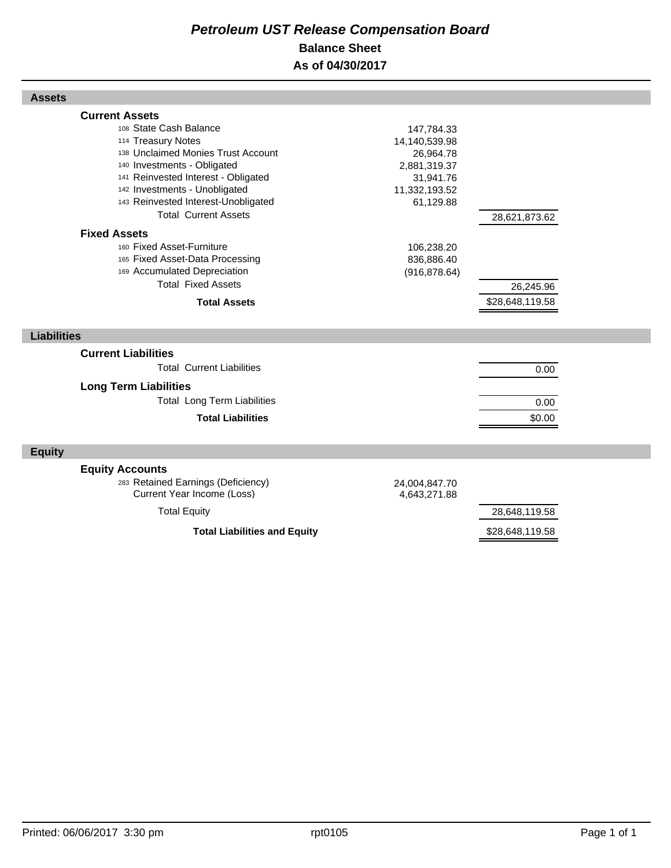#### *Petroleum UST Release Compensation Board*  **Balance Sheet As of 04/30/2017**

| <b>Assets</b>                                                                                                                                                                                                                                                                            |                                                                                                     |
|------------------------------------------------------------------------------------------------------------------------------------------------------------------------------------------------------------------------------------------------------------------------------------------|-----------------------------------------------------------------------------------------------------|
| <b>Current Assets</b><br>108 State Cash Balance<br>114 Treasury Notes<br>138 Unclaimed Monies Trust Account<br>140 Investments - Obligated<br>141 Reinvested Interest - Obligated<br>142 Investments - Unobligated<br>143 Reinvested Interest-Unobligated<br><b>Total Current Assets</b> | 147,784.33<br>14,140,539.98<br>26,964.78<br>2,881,319.37<br>31,941.76<br>11,332,193.52<br>61,129.88 |
| <b>Fixed Assets</b><br>160 Fixed Asset-Furniture<br>165 Fixed Asset-Data Processing<br>169 Accumulated Depreciation<br><b>Total Fixed Assets</b><br><b>Total Assets</b>                                                                                                                  | 28,621,873.62<br>106,238.20<br>836,886.40<br>(916, 878.64)<br>26,245.96<br>\$28,648,119.58          |
| <b>Liabilities</b>                                                                                                                                                                                                                                                                       |                                                                                                     |
| <b>Current Liabilities</b><br><b>Total Current Liabilities</b><br><b>Long Term Liabilities</b><br><b>Total Long Term Liabilities</b><br><b>Total Liabilities</b>                                                                                                                         | 0.00<br>0.00<br>\$0.00                                                                              |
| <b>Equity</b>                                                                                                                                                                                                                                                                            |                                                                                                     |
| <b>Equity Accounts</b><br>283 Retained Earnings (Deficiency)<br>Current Year Income (Loss)<br><b>Total Equity</b>                                                                                                                                                                        | 24,004,847.70<br>4,643,271.88<br>28,648,119.58                                                      |
| <b>Total Liabilities and Equity</b>                                                                                                                                                                                                                                                      | \$28,648,119.58                                                                                     |

Г

Г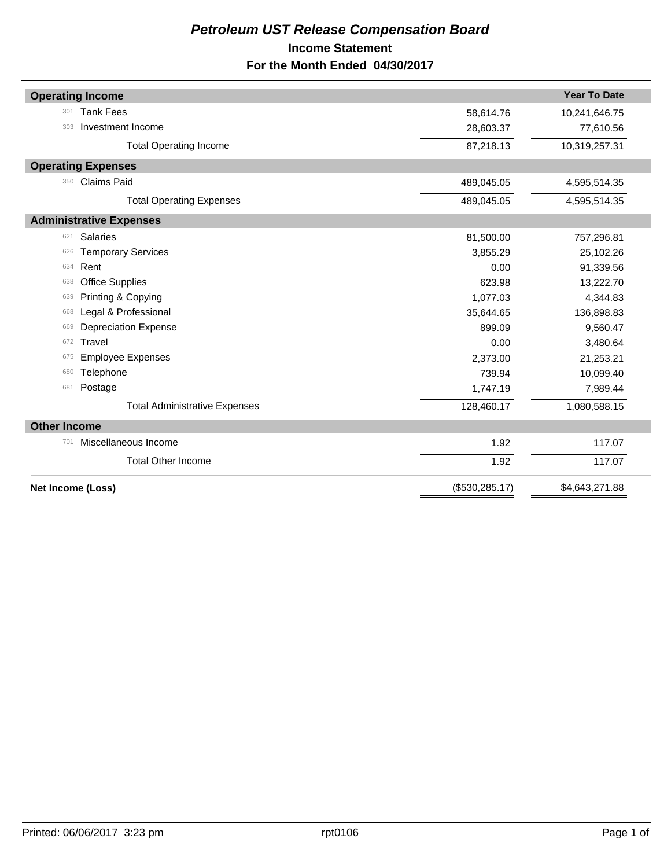#### *Petroleum UST Release Compensation Board*  **Income Statement For the Month Ended 04/30/2017**

|                     | <b>Operating Income</b>              |                 | <b>Year To Date</b> |
|---------------------|--------------------------------------|-----------------|---------------------|
| 301                 | <b>Tank Fees</b>                     | 58,614.76       | 10,241,646.75       |
| 303                 | Investment Income                    | 28,603.37       | 77,610.56           |
|                     | <b>Total Operating Income</b>        | 87,218.13       | 10,319,257.31       |
|                     | <b>Operating Expenses</b>            |                 |                     |
| 350                 | <b>Claims Paid</b>                   | 489,045.05      | 4,595,514.35        |
|                     | <b>Total Operating Expenses</b>      | 489,045.05      | 4,595,514.35        |
|                     | <b>Administrative Expenses</b>       |                 |                     |
| 621                 | <b>Salaries</b>                      | 81,500.00       | 757,296.81          |
| 626                 | <b>Temporary Services</b>            | 3,855.29        | 25,102.26           |
| 634                 | Rent                                 | 0.00            | 91,339.56           |
| 638                 | <b>Office Supplies</b>               | 623.98          | 13,222.70           |
| 639                 | Printing & Copying                   | 1,077.03        | 4,344.83            |
| 668                 | Legal & Professional                 | 35,644.65       | 136,898.83          |
| 669                 | <b>Depreciation Expense</b>          | 899.09          | 9,560.47            |
| 672                 | Travel                               | 0.00            | 3,480.64            |
| 675                 | <b>Employee Expenses</b>             | 2,373.00        | 21,253.21           |
| 680                 | Telephone                            | 739.94          | 10,099.40           |
| 681                 | Postage                              | 1,747.19        | 7,989.44            |
|                     | <b>Total Administrative Expenses</b> | 128,460.17      | 1,080,588.15        |
| <b>Other Income</b> |                                      |                 |                     |
| 701                 | Miscellaneous Income                 | 1.92            | 117.07              |
|                     | <b>Total Other Income</b>            | 1.92            | 117.07              |
|                     | Net Income (Loss)                    | (\$530, 285.17) | \$4,643,271.88      |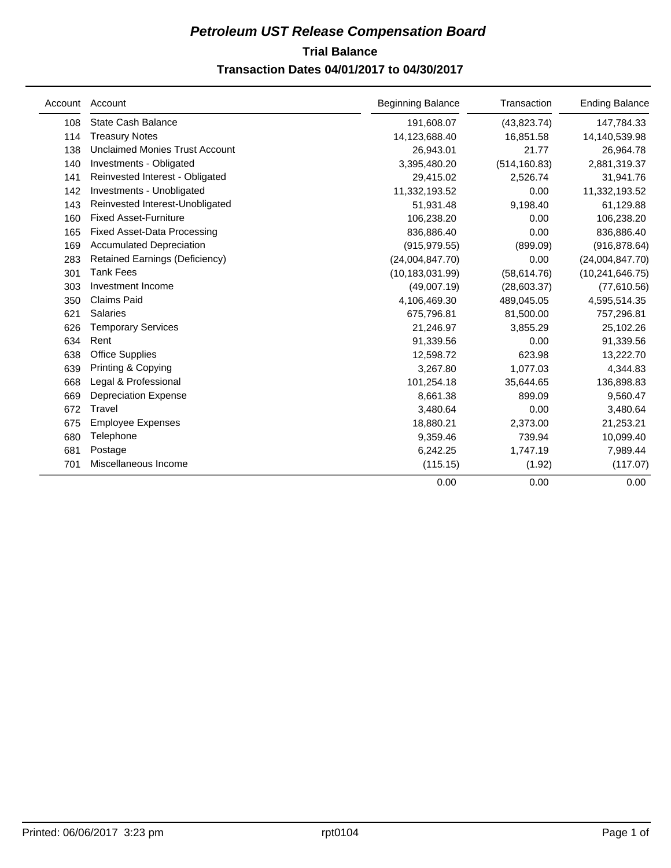### **Trial Balance** *Petroleum UST Release Compensation Board*

#### **Transaction Dates 04/01/2017 to 04/30/2017**

| Account | Account                               | <b>Beginning Balance</b> | Transaction   | <b>Ending Balance</b> |
|---------|---------------------------------------|--------------------------|---------------|-----------------------|
| 108     | State Cash Balance                    | 191,608.07               | (43, 823.74)  | 147,784.33            |
| 114     | <b>Treasury Notes</b>                 | 14,123,688.40            | 16,851.58     | 14,140,539.98         |
| 138     | <b>Unclaimed Monies Trust Account</b> | 26,943.01                | 21.77         | 26,964.78             |
| 140     | Investments - Obligated               | 3,395,480.20             | (514, 160.83) | 2,881,319.37          |
| 141     | Reinvested Interest - Obligated       | 29,415.02                | 2,526.74      | 31,941.76             |
| 142     | Investments - Unobligated             | 11,332,193.52            | 0.00          | 11,332,193.52         |
| 143     | Reinvested Interest-Unobligated       | 51,931.48                | 9,198.40      | 61,129.88             |
| 160     | <b>Fixed Asset-Furniture</b>          | 106,238.20               | 0.00          | 106,238.20            |
| 165     | <b>Fixed Asset-Data Processing</b>    | 836,886.40               | 0.00          | 836,886.40            |
| 169     | <b>Accumulated Depreciation</b>       | (915, 979.55)            | (899.09)      | (916, 878.64)         |
| 283     | <b>Retained Earnings (Deficiency)</b> | (24,004,847.70)          | 0.00          | (24,004,847.70)       |
| 301     | <b>Tank Fees</b>                      | (10, 183, 031.99)        | (58, 614.76)  | (10, 241, 646.75)     |
| 303     | Investment Income                     | (49,007.19)              | (28,603.37)   | (77,610.56)           |
| 350     | <b>Claims Paid</b>                    | 4,106,469.30             | 489,045.05    | 4,595,514.35          |
| 621     | <b>Salaries</b>                       | 675,796.81               | 81,500.00     | 757,296.81            |
| 626     | <b>Temporary Services</b>             | 21,246.97                | 3,855.29      | 25,102.26             |
| 634     | Rent                                  | 91,339.56                | 0.00          | 91,339.56             |
| 638     | <b>Office Supplies</b>                | 12,598.72                | 623.98        | 13,222.70             |
| 639     | Printing & Copying                    | 3,267.80                 | 1,077.03      | 4,344.83              |
| 668     | Legal & Professional                  | 101,254.18               | 35,644.65     | 136,898.83            |
| 669     | <b>Depreciation Expense</b>           | 8,661.38                 | 899.09        | 9,560.47              |
| 672     | Travel                                | 3,480.64                 | 0.00          | 3,480.64              |
| 675     | <b>Employee Expenses</b>              | 18,880.21                | 2,373.00      | 21,253.21             |
| 680     | Telephone                             | 9,359.46                 | 739.94        | 10,099.40             |
| 681     | Postage                               | 6,242.25                 | 1,747.19      | 7,989.44              |
| 701     | Miscellaneous Income                  | (115.15)                 | (1.92)        | (117.07)              |
|         |                                       | 0.00                     | 0.00          | 0.00                  |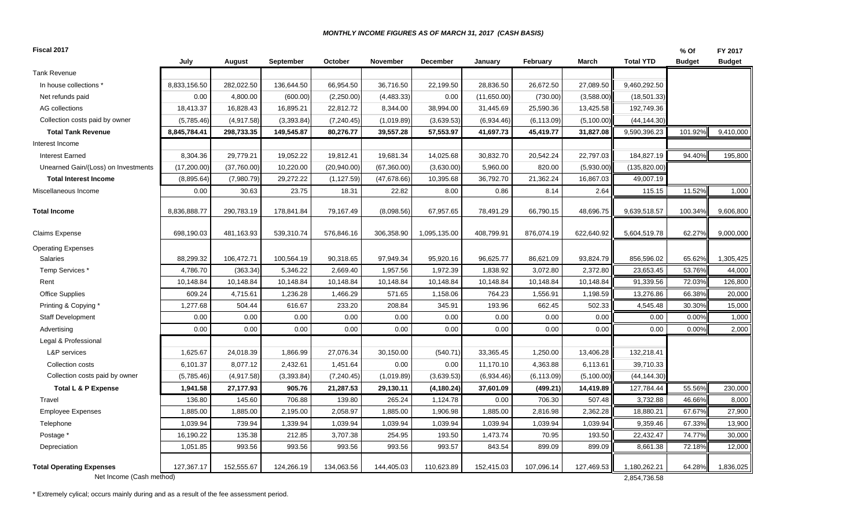#### *MONTHLY INCOME FIGURES AS OF MARCH 31, 2017 (CASH BASIS)*

| Fiscal 2017                              |              |             |             |              |              |                 |             |             |            |                  | % Of          | FY 2017       |
|------------------------------------------|--------------|-------------|-------------|--------------|--------------|-----------------|-------------|-------------|------------|------------------|---------------|---------------|
|                                          | July         | August      | September   | October      | November     | <b>December</b> | Januarv     | February    | March      | <b>Total YTD</b> | <b>Budget</b> | <b>Budget</b> |
| <b>Tank Revenue</b>                      |              |             |             |              |              |                 |             |             |            |                  |               |               |
| In house collections *                   | 8,833,156.50 | 282,022.50  | 136,644.50  | 66,954.50    | 36,716.50    | 22,199.50       | 28,836.50   | 26,672.50   | 27,089.50  | 9,460,292.50     |               |               |
| Net refunds paid                         | 0.00         | 4,800.00    | (600.00)    | (2,250.00)   | (4,483.33)   | 0.00            | (11,650.00) | (730.00)    | (3,588.00) | (18, 501.33)     |               |               |
| AG collections                           | 18,413.37    | 16,828.43   | 16,895.21   | 22,812.72    | 8,344.00     | 38,994.00       | 31,445.69   | 25,590.36   | 13,425.58  | 192,749.36       |               |               |
| Collection costs paid by owner           | (5,785.46)   | (4,917.58)  | (3,393.84)  | (7, 240.45)  | (1,019.89)   | (3,639.53)      | (6,934.46)  | (6, 113.09) | (5,100.00) | (44, 144.30)     |               |               |
| <b>Total Tank Revenue</b>                | 8,845,784.41 | 298,733.35  | 149,545.87  | 80,276.77    | 39,557.28    | 57,553.97       | 41,697.73   | 45,419.77   | 31,827.08  | 9,590,396.23     | 101.92%       | 9,410,000     |
| Interest Income                          |              |             |             |              |              |                 |             |             |            |                  |               |               |
| <b>Interest Earned</b>                   | 8,304.36     | 29,779.21   | 19,052.22   | 19,812.41    | 19,681.34    | 14,025.68       | 30,832.70   | 20,542.24   | 22,797.03  | 184,827.19       | 94.40%        | 195,800       |
| Unearned Gain/(Loss) on Investments      | (17,200.00)  | (37,760.00) | 10,220.00   | (20, 940.00) | (67, 360.00) | (3,630.00)      | 5,960.00    | 820.00      | (5,930.00) | (135, 820.00)    |               |               |
| <b>Total Interest Income</b>             | (8,895.64)   | (7,980.79)  | 29,272.22   | (1, 127.59)  | (47, 678.66) | 10,395.68       | 36,792.70   | 21,362.24   | 16,867.03  | 49,007.19        |               |               |
| Miscellaneous Income                     | 0.00         | 30.63       | 23.75       | 18.31        | 22.82        | 8.00            | 0.86        | 8.14        | 2.64       | 115.15           | 11.52%        | 1,000         |
| Total Income                             | 8,836,888.77 | 290,783.19  | 178,841.84  | 79,167.49    | (8,098.56)   | 67,957.65       | 78,491.29   | 66,790.15   | 48,696.75  | 9,639,518.57     | 100.34%       | 9,606,800     |
| Claims Expense                           | 698,190.03   | 481,163.93  | 539,310.74  | 576,846.16   | 306,358.90   | 1,095,135.00    | 408,799.91  | 876,074.19  | 622,640.92 | 5,604,519.78     | 62.27%        | 9,000,000     |
| <b>Operating Expenses</b>                |              |             |             |              |              |                 |             |             |            |                  |               |               |
| Salaries                                 | 88,299.32    | 106,472.71  | 100,564.19  | 90,318.65    | 97,949.34    | 95,920.16       | 96,625.77   | 86,621.09   | 93,824.79  | 856,596.02       | 65.62%        | 1,305,425     |
| Temp Services *                          | 4,786.70     | (363.34)    | 5,346.22    | 2,669.40     | 1,957.56     | 1,972.39        | 1,838.92    | 3,072.80    | 2,372.80   | 23,653.45        | 53.76%        | 44,000        |
| Rent                                     | 10,148.84    | 10,148.84   | 10,148.84   | 10,148.84    | 10,148.84    | 10,148.84       | 10,148.84   | 10,148.84   | 10,148.84  | 91,339.56        | 72.03%        | 126,800       |
| Office Supplies                          | 609.24       | 4,715.61    | 1,236.28    | 1,466.29     | 571.65       | 1,158.06        | 764.23      | 1,556.91    | 1,198.59   | 13,276.86        | 66.38%        | 20,000        |
| Printing & Copying *                     | 1,277.68     | 504.44      | 616.67      | 233.20       | 208.84       | 345.91          | 193.96      | 662.45      | 502.33     | 4,545.48         | 30.30%        | 15,000        |
| <b>Staff Development</b>                 | 0.00         | 0.00        | 0.00        | 0.00         | 0.00         | 0.00            | 0.00        | 0.00        | 0.00       | 0.00             | 0.00%         | 1,000         |
| Advertising                              | 0.00         | 0.00        | 0.00        | 0.00         | 0.00         | 0.00            | 0.00        | 0.00        | 0.00       | 0.00             | 0.00%         | 2,000         |
| Legal & Professional                     |              |             |             |              |              |                 |             |             |            |                  |               |               |
| L&P services                             | 1,625.67     | 24,018.39   | 1,866.99    | 27,076.34    | 30,150.00    | (540.71)        | 33,365.45   | 1,250.00    | 13,406.28  | 132,218.41       |               |               |
| Collection costs                         | 6,101.37     | 8,077.12    | 2,432.61    | 1,451.64     | 0.00         | 0.00            | 11,170.10   | 4,363.88    | 6,113.61   | 39,710.33        |               |               |
| Collection costs paid by owner           | (5,785.46)   | (4,917.58)  | (3, 393.84) | (7, 240.45)  | (1,019.89)   | (3,639.53)      | (6,934.46)  | (6, 113.09) | (5,100.00) | (44, 144.30)     |               |               |
| Total L & P Expense                      | 1,941.58     | 27,177.93   | 905.76      | 21,287.53    | 29,130.11    | (4, 180.24)     | 37,601.09   | (499.21)    | 14,419.89  | 127,784.44       | 55.56%        | 230,000       |
| Travel                                   | 136.80       | 145.60      | 706.88      | 139.80       | 265.24       | 1,124.78        | 0.00        | 706.30      | 507.48     | 3,732.88         | 46.66%        | 8,000         |
| <b>Employee Expenses</b>                 | 1,885.00     | 1,885.00    | 2,195.00    | 2,058.97     | 1,885.00     | 1,906.98        | 1,885.00    | 2,816.98    | 2,362.28   | 18,880.21        | 67.67%        | 27,900        |
| Telephone                                | 1,039.94     | 739.94      | 1,339.94    | 1,039.94     | 1,039.94     | 1,039.94        | 1,039.94    | 1,039.94    | 1,039.94   | 9,359.46         | 67.33%        | 13,900        |
| Postage *                                | 16,190.22    | 135.38      | 212.85      | 3,707.38     | 254.95       | 193.50          | 1,473.74    | 70.95       | 193.50     | 22,432.47        | 74.77%        | 30,000        |
| Depreciation                             | 1,051.85     | 993.56      | 993.56      | 993.56       | 993.56       | 993.57          | 843.54      | 899.09      | 899.09     | 8,661.38         | 72.18%        | 12,000        |
| <b>Total Operating Expenses</b>          | 127,367.17   | 152,555.67  | 124,266.19  | 134,063.56   | 144,405.03   | 110,623.89      | 152,415.03  | 107,096.14  | 127,469.53 | 1,180,262.21     | 64.28%        | 1,836,025     |
| Net Income (Cash method)<br>2,854,736.58 |              |             |             |              |              |                 |             |             |            |                  |               |               |

\* Extremely cylical; occurs mainly during and as a result of the fee assessment period.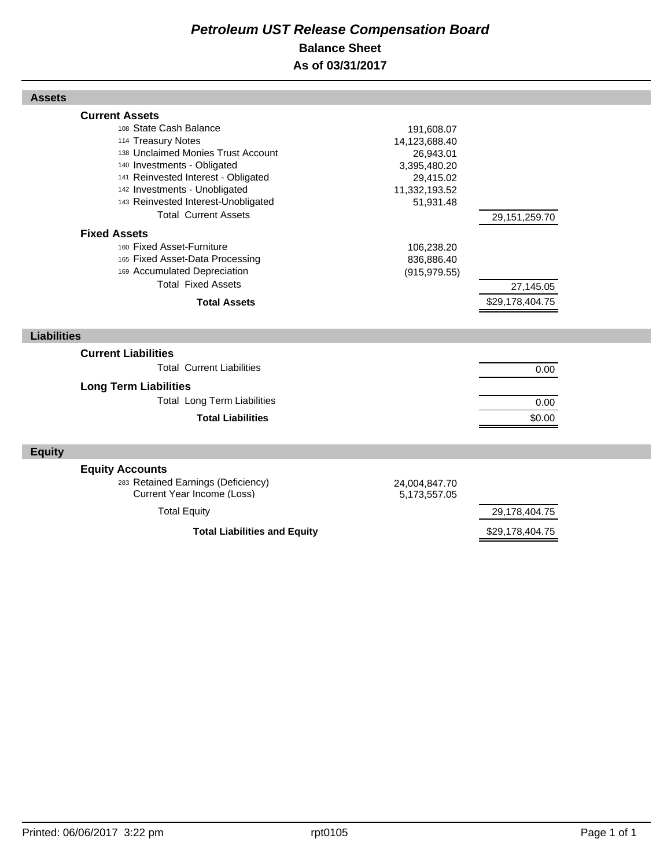#### *Petroleum UST Release Compensation Board*  **Balance Sheet As of 03/31/2017**

| <b>Assets</b>                                                                                                                                                                                                                                                                            |                                                                                                     |                                               |  |
|------------------------------------------------------------------------------------------------------------------------------------------------------------------------------------------------------------------------------------------------------------------------------------------|-----------------------------------------------------------------------------------------------------|-----------------------------------------------|--|
| <b>Current Assets</b><br>108 State Cash Balance<br>114 Treasury Notes<br>138 Unclaimed Monies Trust Account<br>140 Investments - Obligated<br>141 Reinvested Interest - Obligated<br>142 Investments - Unobligated<br>143 Reinvested Interest-Unobligated<br><b>Total Current Assets</b> | 191,608.07<br>14,123,688.40<br>26,943.01<br>3,395,480.20<br>29,415.02<br>11,332,193.52<br>51,931.48 |                                               |  |
| <b>Fixed Assets</b><br>160 Fixed Asset-Furniture<br>165 Fixed Asset-Data Processing<br>169 Accumulated Depreciation<br><b>Total Fixed Assets</b><br><b>Total Assets</b>                                                                                                                  | 106,238.20<br>836,886.40<br>(915, 979.55)                                                           | 29,151,259.70<br>27,145.05<br>\$29,178,404.75 |  |
| <b>Liabilities</b>                                                                                                                                                                                                                                                                       |                                                                                                     |                                               |  |
| <b>Current Liabilities</b><br><b>Total Current Liabilities</b><br><b>Long Term Liabilities</b><br><b>Total Long Term Liabilities</b><br><b>Total Liabilities</b>                                                                                                                         |                                                                                                     | 0.00<br>0.00<br>\$0.00                        |  |
| <b>Equity</b>                                                                                                                                                                                                                                                                            |                                                                                                     |                                               |  |
| <b>Equity Accounts</b><br>283 Retained Earnings (Deficiency)<br>Current Year Income (Loss)<br><b>Total Equity</b>                                                                                                                                                                        | 24,004,847.70<br>5,173,557.05                                                                       | 29,178,404.75                                 |  |
| <b>Total Liabilities and Equity</b>                                                                                                                                                                                                                                                      |                                                                                                     | \$29,178,404.75                               |  |

Г

Г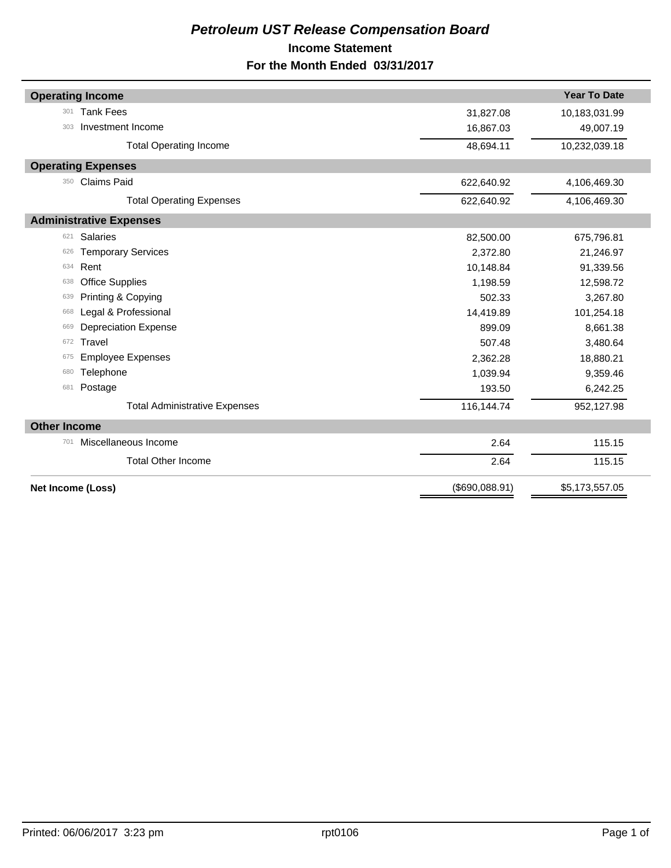#### *Petroleum UST Release Compensation Board*  **Income Statement For the Month Ended 03/31/2017**

| <b>Operating Income</b>              |                | <b>Year To Date</b> |
|--------------------------------------|----------------|---------------------|
| <b>Tank Fees</b><br>301              | 31,827.08      | 10,183,031.99       |
| Investment Income<br>303             | 16,867.03      | 49,007.19           |
| <b>Total Operating Income</b>        | 48,694.11      | 10,232,039.18       |
| <b>Operating Expenses</b>            |                |                     |
| <b>Claims Paid</b><br>350            | 622,640.92     | 4,106,469.30        |
| <b>Total Operating Expenses</b>      | 622,640.92     | 4,106,469.30        |
| <b>Administrative Expenses</b>       |                |                     |
| <b>Salaries</b><br>621               | 82,500.00      | 675,796.81          |
| <b>Temporary Services</b><br>626     | 2,372.80       | 21,246.97           |
| Rent<br>634                          | 10,148.84      | 91,339.56           |
| <b>Office Supplies</b><br>638        | 1,198.59       | 12,598.72           |
| Printing & Copying<br>639            | 502.33         | 3,267.80            |
| Legal & Professional<br>668          | 14,419.89      | 101,254.18          |
| <b>Depreciation Expense</b><br>669   | 899.09         | 8,661.38            |
| Travel<br>672                        | 507.48         | 3,480.64            |
| <b>Employee Expenses</b><br>675      | 2,362.28       | 18,880.21           |
| Telephone<br>680                     | 1,039.94       | 9,359.46            |
| Postage<br>681                       | 193.50         | 6,242.25            |
| <b>Total Administrative Expenses</b> | 116,144.74     | 952,127.98          |
| <b>Other Income</b>                  |                |                     |
| Miscellaneous Income<br>701          | 2.64           | 115.15              |
| <b>Total Other Income</b>            | 2.64           | 115.15              |
| Net Income (Loss)                    | (\$690,088.91) | \$5,173,557.05      |
|                                      |                |                     |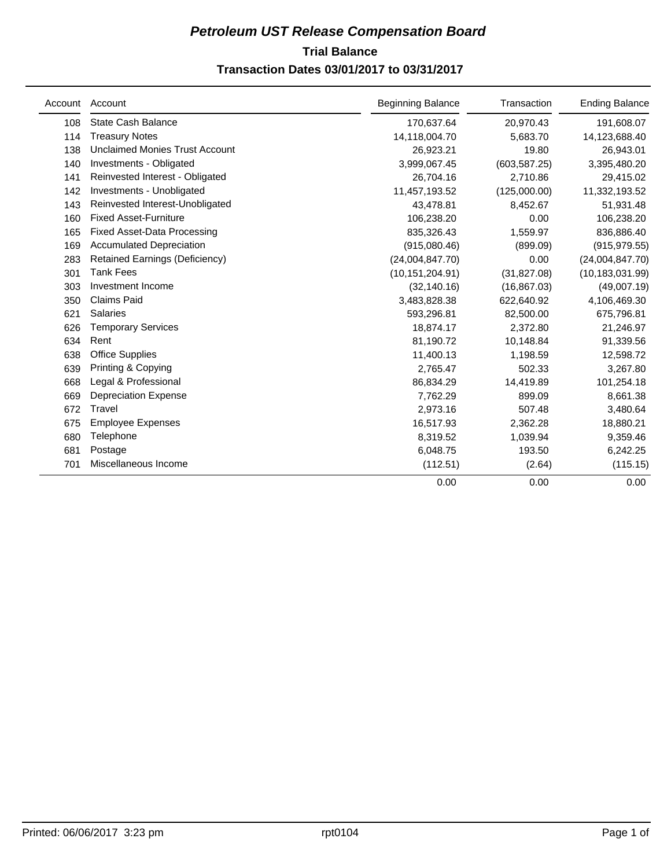#### **Trial Balance** *Petroleum UST Release Compensation Board*  **Transaction Dates 03/01/2017 to 03/31/2017**

| Account | Account                               | <b>Beginning Balance</b> | Transaction   | <b>Ending Balance</b> |
|---------|---------------------------------------|--------------------------|---------------|-----------------------|
| 108     | <b>State Cash Balance</b>             | 170,637.64               | 20,970.43     | 191,608.07            |
| 114     | <b>Treasury Notes</b>                 | 14,118,004.70            | 5,683.70      | 14,123,688.40         |
| 138     | <b>Unclaimed Monies Trust Account</b> | 26,923.21                | 19.80         | 26,943.01             |
| 140     | Investments - Obligated               | 3,999,067.45             | (603, 587.25) | 3,395,480.20          |
| 141     | Reinvested Interest - Obligated       | 26,704.16                | 2,710.86      | 29,415.02             |
| 142     | Investments - Unobligated             | 11,457,193.52            | (125,000.00)  | 11,332,193.52         |
| 143     | Reinvested Interest-Unobligated       | 43,478.81                | 8,452.67      | 51,931.48             |
| 160     | <b>Fixed Asset-Furniture</b>          | 106,238.20               | 0.00          | 106,238.20            |
| 165     | <b>Fixed Asset-Data Processing</b>    | 835,326.43               | 1,559.97      | 836,886.40            |
| 169     | <b>Accumulated Depreciation</b>       | (915,080.46)             | (899.09)      | (915, 979.55)         |
| 283     | Retained Earnings (Deficiency)        | (24,004,847.70)          | 0.00          | (24,004,847.70)       |
| 301     | <b>Tank Fees</b>                      | (10, 151, 204.91)        | (31, 827.08)  | (10, 183, 031.99)     |
| 303     | Investment Income                     | (32, 140.16)             | (16, 867.03)  | (49,007.19)           |
| 350     | <b>Claims Paid</b>                    | 3,483,828.38             | 622,640.92    | 4,106,469.30          |
| 621     | <b>Salaries</b>                       | 593,296.81               | 82,500.00     | 675,796.81            |
| 626     | <b>Temporary Services</b>             | 18,874.17                | 2,372.80      | 21,246.97             |
| 634     | Rent                                  | 81,190.72                | 10,148.84     | 91,339.56             |
| 638     | <b>Office Supplies</b>                | 11,400.13                | 1,198.59      | 12,598.72             |
| 639     | Printing & Copying                    | 2,765.47                 | 502.33        | 3,267.80              |
| 668     | Legal & Professional                  | 86,834.29                | 14,419.89     | 101,254.18            |
| 669     | <b>Depreciation Expense</b>           | 7.762.29                 | 899.09        | 8,661.38              |
| 672     | Travel                                | 2,973.16                 | 507.48        | 3,480.64              |
| 675     | <b>Employee Expenses</b>              | 16,517.93                | 2,362.28      | 18,880.21             |
| 680     | Telephone                             | 8,319.52                 | 1,039.94      | 9,359.46              |
| 681     | Postage                               | 6,048.75                 | 193.50        | 6,242.25              |
| 701     | Miscellaneous Income                  | (112.51)                 | (2.64)        | (115.15)              |
|         |                                       | 0.00                     | 0.00          | 0.00                  |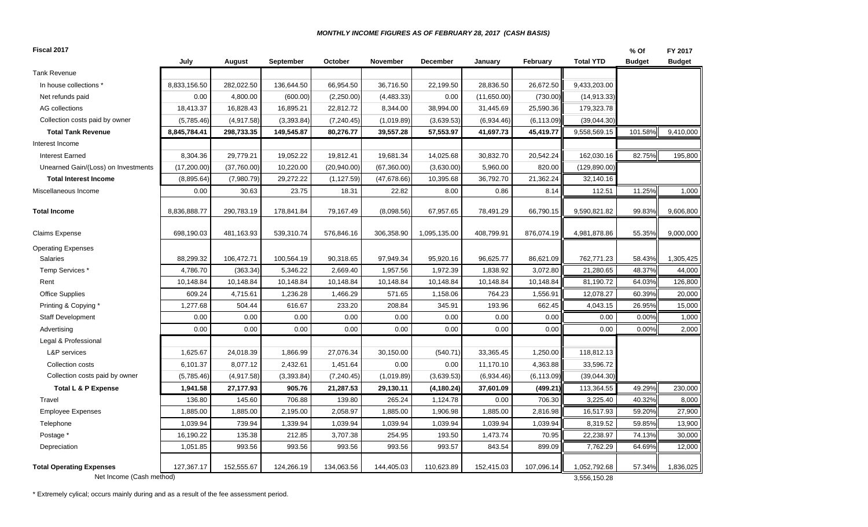#### *MONTHLY INCOME FIGURES AS OF FEBRUARY 28, 2017 (CASH BASIS)*

| Fiscal 2017                                                 |              |             |             |              |              |              |             |             |                              | % Of          | FY 2017       |
|-------------------------------------------------------------|--------------|-------------|-------------|--------------|--------------|--------------|-------------|-------------|------------------------------|---------------|---------------|
|                                                             | July         | August      | September   | October      | November     | December     | January     | February    | <b>Total YTD</b>             | <b>Budget</b> | <b>Budget</b> |
| <b>Tank Revenue</b>                                         |              |             |             |              |              |              |             |             |                              |               |               |
| In house collections *                                      | 8,833,156.50 | 282,022.50  | 136,644.50  | 66,954.50    | 36,716.50    | 22,199.50    | 28,836.50   | 26,672.50   | 9,433,203.00                 |               |               |
| Net refunds paid                                            | 0.00         | 4,800.00    | (600.00)    | (2,250.00)   | (4,483.33)   | 0.00         | (11,650.00) | (730.00)    | (14, 913.33)                 |               |               |
| AG collections                                              | 18,413.37    | 16,828.43   | 16,895.21   | 22,812.72    | 8,344.00     | 38,994.00    | 31,445.69   | 25,590.36   | 179,323.78                   |               |               |
| Collection costs paid by owner                              | (5,785.46)   | (4,917.58)  | (3, 393.84) | (7, 240.45)  | (1,019.89)   | (3,639.53)   | (6,934.46)  | (6, 113.09) | (39,044.30)                  |               |               |
| <b>Total Tank Revenue</b>                                   | 8,845,784.41 | 298,733.35  | 149,545.87  | 80,276.77    | 39,557.28    | 57,553.97    | 41,697.73   | 45,419.77   | 9,558,569.15                 | 101.58%       | 9,410,000     |
| Interest Income                                             |              |             |             |              |              |              |             |             |                              |               |               |
| <b>Interest Earned</b>                                      | 8,304.36     | 29,779.21   | 19,052.22   | 19,812.41    | 19,681.34    | 14,025.68    | 30,832.70   | 20,542.24   | 162,030.16                   | 82.75%        | 195,800       |
| Unearned Gain/(Loss) on Investments                         | (17,200.00)  | (37,760.00) | 10,220.00   | (20, 940.00) | (67, 360.00) | (3,630.00)   | 5,960.00    | 820.00      | (129, 890.00)                |               |               |
| <b>Total Interest Income</b>                                | (8,895.64)   | (7,980.79)  | 29,272.22   | (1, 127.59)  | (47, 678.66) | 10,395.68    | 36,792.70   | 21,362.24   | 32,140.16                    |               |               |
| Miscellaneous Income                                        | 0.00         | 30.63       | 23.75       | 18.31        | 22.82        | 8.00         | 0.86        | 8.14        | 112.51                       | 11.25%        | 1,000         |
| <b>Total Income</b>                                         | 8,836,888.77 | 290,783.19  | 178,841.84  | 79,167.49    | (8,098.56)   | 67,957.65    | 78,491.29   | 66,790.15   | 9,590,821.82                 | 99.83%        | 9,606,800     |
| <b>Claims Expense</b>                                       | 698,190.03   | 481,163.93  | 539,310.74  | 576,846.16   | 306,358.90   | 1,095,135.00 | 408,799.91  | 876,074.19  | 4,981,878.86                 | 55.35%        | 9,000,000     |
| <b>Operating Expenses</b>                                   |              |             |             |              |              |              |             |             |                              |               |               |
| Salaries                                                    | 88,299.32    | 106,472.71  | 100,564.19  | 90,318.65    | 97,949.34    | 95,920.16    | 96,625.77   | 86,621.09   | 762,771.23                   | 58.43%        | 1,305,425     |
| Temp Services *                                             | 4,786.70     | (363.34)    | 5,346.22    | 2,669.40     | 1,957.56     | 1,972.39     | 1,838.92    | 3,072.80    | 21,280.65                    | 48.37%        | 44,000        |
| Rent                                                        | 10,148.84    | 10,148.84   | 10,148.84   | 10,148.84    | 10,148.84    | 10,148.84    | 10,148.84   | 10,148.84   | 81,190.72                    | 64.03%        | 126,800       |
| <b>Office Supplies</b>                                      | 609.24       | 4,715.61    | 1,236.28    | 1,466.29     | 571.65       | 1,158.06     | 764.23      | 1,556.91    | 12,078.27                    | 60.39%        | 20,000        |
| Printing & Copying *                                        | 1,277.68     | 504.44      | 616.67      | 233.20       | 208.84       | 345.91       | 193.96      | 662.45      | 4,043.15                     | 26.95%        | 15,000        |
| <b>Staff Development</b>                                    | 0.00         | 0.00        | 0.00        | 0.00         | 0.00         | 0.00         | 0.00        | 0.00        | 0.00                         | 0.00%         | 1,000         |
| Advertising                                                 | 0.00         | 0.00        | 0.00        | 0.00         | 0.00         | 0.00         | 0.00        | 0.00        | 0.00                         | 0.00%         | 2,000         |
| Legal & Professional                                        |              |             |             |              |              |              |             |             |                              |               |               |
| L&P services                                                | 1,625.67     | 24,018.39   | 1,866.99    | 27,076.34    | 30,150.00    | (540.71)     | 33,365.45   | 1,250.00    | 118,812.13                   |               |               |
| Collection costs                                            | 6,101.37     | 8,077.12    | 2,432.61    | 1,451.64     | 0.00         | 0.00         | 11,170.10   | 4,363.88    | 33,596.72                    |               |               |
| Collection costs paid by owner                              | (5,785.46)   | (4,917.58)  | (3, 393.84) | (7, 240.45)  | (1,019.89)   | (3,639.53)   | (6,934.46)  | (6, 113.09) | (39,044.30)                  |               |               |
| Total L & P Expense                                         | 1,941.58     | 27,177.93   | 905.76      | 21,287.53    | 29,130.11    | (4, 180.24)  | 37,601.09   | (499.21)    | 113,364.55                   | 49.29%        | 230,000       |
| Travel                                                      | 136.80       | 145.60      | 706.88      | 139.80       | 265.24       | 1,124.78     | 0.00        | 706.30      | 3,225.40                     | 40.32%        | 8,000         |
| <b>Employee Expenses</b>                                    | 1,885.00     | 1,885.00    | 2,195.00    | 2,058.97     | 1,885.00     | 1,906.98     | 1,885.00    | 2,816.98    | 16,517.93                    | 59.20%        | 27,900        |
| Telephone                                                   | 1,039.94     | 739.94      | 1,339.94    | 1,039.94     | 1,039.94     | 1,039.94     | 1,039.94    | 1,039.94    | 8,319.52                     | 59.85%        | 13,900        |
| Postage *                                                   | 16,190.22    | 135.38      | 212.85      | 3,707.38     | 254.95       | 193.50       | 1,473.74    | 70.95       | 22,238.97                    | 74.13%        | 30,000        |
| Depreciation                                                | 1,051.85     | 993.56      | 993.56      | 993.56       | 993.56       | 993.57       | 843.54      | 899.09      | 7,762.29                     | 64.69%        | 12,000        |
| <b>Total Operating Expenses</b><br>Net Income (Cash method) | 127,367.17   | 152,555.67  | 124,266.19  | 134,063.56   | 144,405.03   | 110,623.89   | 152,415.03  | 107,096.14  | 1,052,792.68<br>3,556,150.28 | 57.34%        | 1,836,025     |

\* Extremely cylical; occurs mainly during and as a result of the fee assessment period.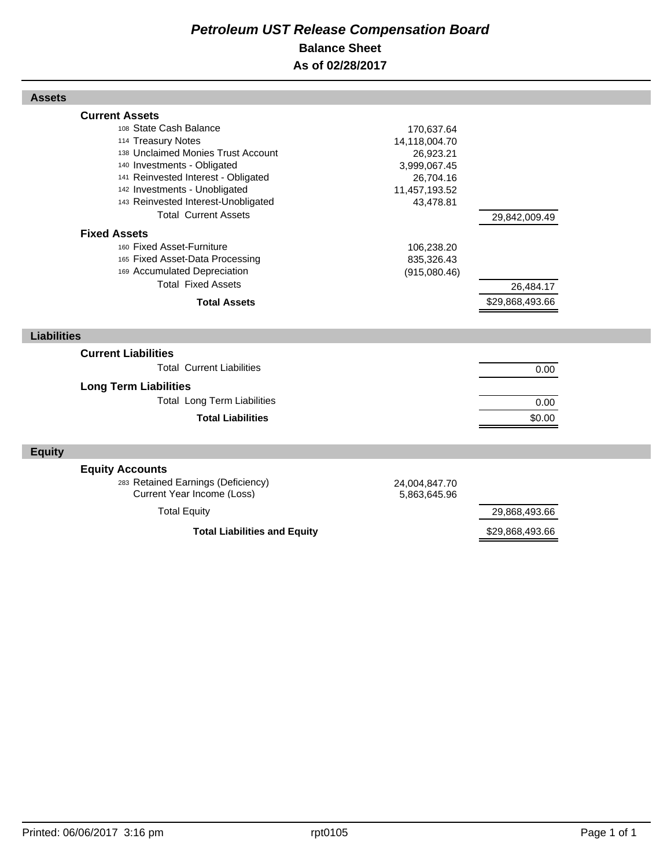#### *Petroleum UST Release Compensation Board*  **Balance Sheet As of 02/28/2017**

| <b>Assets</b>                                                                                                                                                                                                                                                                            |                                                                                                     |                              |  |
|------------------------------------------------------------------------------------------------------------------------------------------------------------------------------------------------------------------------------------------------------------------------------------------|-----------------------------------------------------------------------------------------------------|------------------------------|--|
| <b>Current Assets</b><br>108 State Cash Balance<br>114 Treasury Notes<br>138 Unclaimed Monies Trust Account<br>140 Investments - Obligated<br>141 Reinvested Interest - Obligated<br>142 Investments - Unobligated<br>143 Reinvested Interest-Unobligated<br><b>Total Current Assets</b> | 170,637.64<br>14,118,004.70<br>26,923.21<br>3,999,067.45<br>26,704.16<br>11,457,193.52<br>43,478.81 | 29,842,009.49                |  |
| <b>Fixed Assets</b><br>160 Fixed Asset-Furniture<br>165 Fixed Asset-Data Processing<br>169 Accumulated Depreciation<br><b>Total Fixed Assets</b><br><b>Total Assets</b>                                                                                                                  | 106,238.20<br>835,326.43<br>(915,080.46)                                                            | 26,484.17<br>\$29,868,493.66 |  |
| <b>Liabilities</b>                                                                                                                                                                                                                                                                       |                                                                                                     |                              |  |
| <b>Current Liabilities</b><br><b>Total Current Liabilities</b><br><b>Long Term Liabilities</b><br><b>Total Long Term Liabilities</b><br><b>Total Liabilities</b>                                                                                                                         |                                                                                                     | 0.00<br>0.00<br>\$0.00       |  |
| <b>Equity</b>                                                                                                                                                                                                                                                                            |                                                                                                     |                              |  |
| <b>Equity Accounts</b><br>283 Retained Earnings (Deficiency)<br>Current Year Income (Loss)<br><b>Total Equity</b>                                                                                                                                                                        | 24,004,847.70<br>5,863,645.96                                                                       | 29,868,493.66                |  |
| <b>Total Liabilities and Equity</b>                                                                                                                                                                                                                                                      | \$29,868,493.66                                                                                     |                              |  |

Г

Г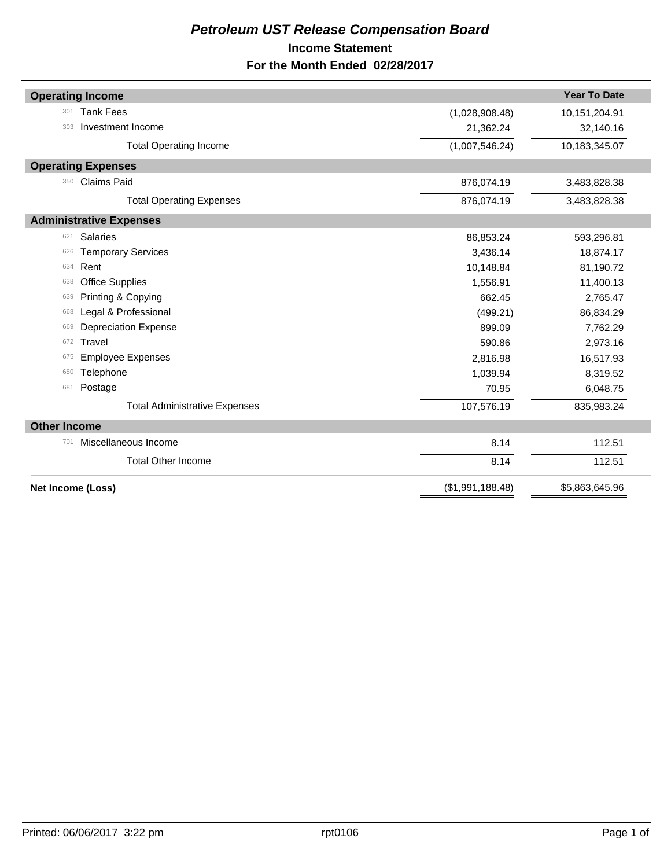#### *Petroleum UST Release Compensation Board*  **Income Statement For the Month Ended 02/28/2017**

|                     | <b>Operating Income</b>              |                  | <b>Year To Date</b> |
|---------------------|--------------------------------------|------------------|---------------------|
| 301                 | <b>Tank Fees</b>                     | (1,028,908.48)   | 10,151,204.91       |
| 303                 | Investment Income                    | 21,362.24        | 32,140.16           |
|                     | <b>Total Operating Income</b>        | (1,007,546.24)   | 10,183,345.07       |
|                     | <b>Operating Expenses</b>            |                  |                     |
| 350                 | <b>Claims Paid</b>                   | 876,074.19       | 3,483,828.38        |
|                     | <b>Total Operating Expenses</b>      | 876,074.19       | 3,483,828.38        |
|                     | <b>Administrative Expenses</b>       |                  |                     |
| 621                 | <b>Salaries</b>                      | 86,853.24        | 593,296.81          |
| 626                 | <b>Temporary Services</b>            | 3,436.14         | 18,874.17           |
| 634                 | Rent                                 | 10,148.84        | 81,190.72           |
| 638                 | <b>Office Supplies</b>               | 1,556.91         | 11,400.13           |
| 639                 | Printing & Copying                   | 662.45           | 2,765.47            |
| 668                 | Legal & Professional                 | (499.21)         | 86,834.29           |
| 669                 | <b>Depreciation Expense</b>          | 899.09           | 7,762.29            |
| 672                 | Travel                               | 590.86           | 2,973.16            |
| 675                 | <b>Employee Expenses</b>             | 2,816.98         | 16,517.93           |
| 680                 | Telephone                            | 1,039.94         | 8,319.52            |
| 681                 | Postage                              | 70.95            | 6,048.75            |
|                     | <b>Total Administrative Expenses</b> | 107,576.19       | 835,983.24          |
| <b>Other Income</b> |                                      |                  |                     |
| 701                 | Miscellaneous Income                 | 8.14             | 112.51              |
|                     | <b>Total Other Income</b>            | 8.14             | 112.51              |
|                     | <b>Net Income (Loss)</b>             | (\$1,991,188.48) | \$5,863,645.96      |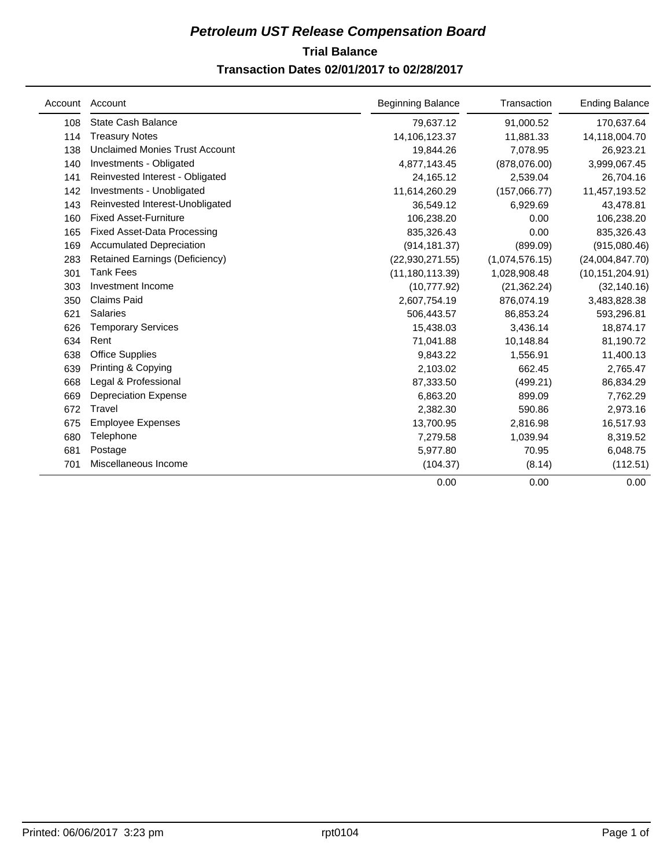#### **Trial Balance** *Petroleum UST Release Compensation Board*  **Transaction Dates 02/01/2017 to 02/28/2017**

| Account | Account                               | <b>Beginning Balance</b> | Transaction    | <b>Ending Balance</b> |
|---------|---------------------------------------|--------------------------|----------------|-----------------------|
| 108     | <b>State Cash Balance</b>             | 79,637.12                | 91,000.52      | 170,637.64            |
| 114     | <b>Treasury Notes</b>                 | 14,106,123.37            | 11,881.33      | 14,118,004.70         |
| 138     | <b>Unclaimed Monies Trust Account</b> | 19,844.26                | 7,078.95       | 26,923.21             |
| 140     | Investments - Obligated               | 4,877,143.45             | (878,076.00)   | 3,999,067.45          |
| 141     | Reinvested Interest - Obligated       | 24,165.12                | 2,539.04       | 26,704.16             |
| 142     | Investments - Unobligated             | 11,614,260.29            | (157,066.77)   | 11,457,193.52         |
| 143     | Reinvested Interest-Unobligated       | 36,549.12                | 6,929.69       | 43,478.81             |
| 160     | <b>Fixed Asset-Furniture</b>          | 106,238.20               | 0.00           | 106,238.20            |
| 165     | <b>Fixed Asset-Data Processing</b>    | 835,326.43               | 0.00           | 835,326.43            |
| 169     | <b>Accumulated Depreciation</b>       | (914, 181.37)            | (899.09)       | (915,080.46)          |
| 283     | <b>Retained Earnings (Deficiency)</b> | (22,930,271.55)          | (1,074,576.15) | (24,004,847.70)       |
| 301     | <b>Tank Fees</b>                      | (11, 180, 113.39)        | 1,028,908.48   | (10, 151, 204.91)     |
| 303     | Investment Income                     | (10, 777.92)             | (21, 362.24)   | (32, 140.16)          |
| 350     | <b>Claims Paid</b>                    | 2,607,754.19             | 876,074.19     | 3,483,828.38          |
| 621     | <b>Salaries</b>                       | 506,443.57               | 86,853.24      | 593,296.81            |
| 626     | <b>Temporary Services</b>             | 15,438.03                | 3,436.14       | 18,874.17             |
| 634     | Rent                                  | 71,041.88                | 10,148.84      | 81,190.72             |
| 638     | <b>Office Supplies</b>                | 9,843.22                 | 1,556.91       | 11,400.13             |
| 639     | Printing & Copying                    | 2,103.02                 | 662.45         | 2,765.47              |
| 668     | Legal & Professional                  | 87,333.50                | (499.21)       | 86,834.29             |
| 669     | <b>Depreciation Expense</b>           | 6,863.20                 | 899.09         | 7,762.29              |
| 672     | Travel                                | 2,382.30                 | 590.86         | 2,973.16              |
| 675     | <b>Employee Expenses</b>              | 13,700.95                | 2,816.98       | 16,517.93             |
| 680     | Telephone                             | 7,279.58                 | 1,039.94       | 8,319.52              |
| 681     | Postage                               | 5,977.80                 | 70.95          | 6,048.75              |
| 701     | Miscellaneous Income                  | (104.37)                 | (8.14)         | (112.51)              |
|         |                                       | 0.00                     | 0.00           | 0.00                  |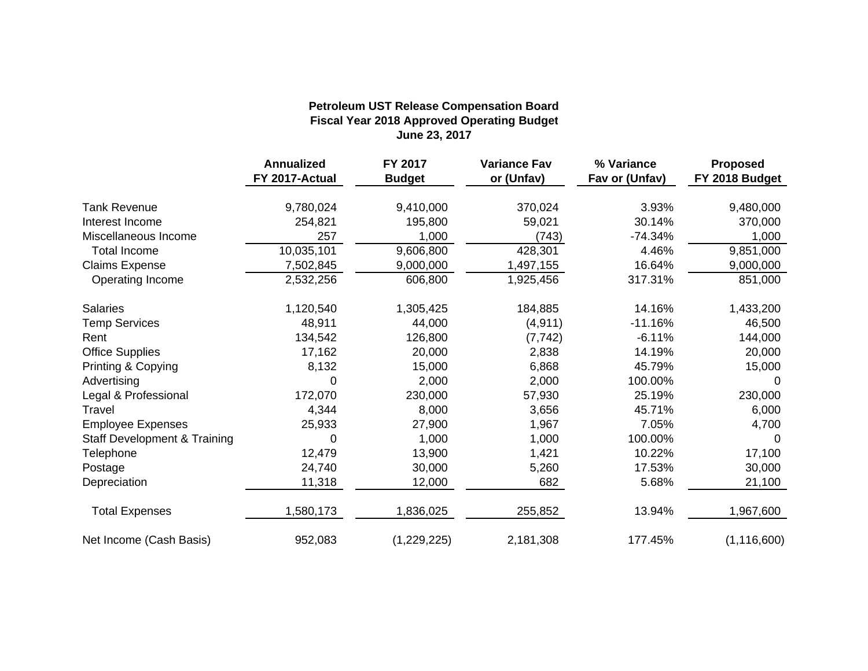#### **Fiscal Year 2018 Approved Operating Budget June 23, 2017 Petroleum UST Release Compensation Board**

|                                         | <b>Annualized</b> | FY 2017       | <b>Variance Fav</b> | % Variance     | <b>Proposed</b> |
|-----------------------------------------|-------------------|---------------|---------------------|----------------|-----------------|
|                                         | FY 2017-Actual    | <b>Budget</b> | or (Unfav)          | Fav or (Unfav) | FY 2018 Budget  |
| <b>Tank Revenue</b>                     | 9,780,024         | 9,410,000     | 370,024             | 3.93%          | 9,480,000       |
| Interest Income                         | 254,821           | 195,800       | 59,021              | 30.14%         | 370,000         |
| Miscellaneous Income                    | 257               | 1,000         | (743)               | $-74.34%$      | 1,000           |
| <b>Total Income</b>                     | 10,035,101        | 9,606,800     | 428,301             | 4.46%          | 9,851,000       |
| <b>Claims Expense</b>                   | 7,502,845         | 9,000,000     | 1,497,155           | 16.64%         | 9,000,000       |
| Operating Income                        | 2,532,256         | 606,800       | 1,925,456           | 317.31%        | 851,000         |
| <b>Salaries</b>                         | 1,120,540         | 1,305,425     | 184,885             | 14.16%         | 1,433,200       |
| <b>Temp Services</b>                    | 48,911            | 44,000        | (4, 911)            | $-11.16%$      | 46,500          |
| Rent                                    | 134,542           | 126,800       | (7, 742)            | $-6.11%$       | 144,000         |
| <b>Office Supplies</b>                  | 17,162            | 20,000        | 2,838               | 14.19%         | 20,000          |
| Printing & Copying                      | 8,132             | 15,000        | 6,868               | 45.79%         | 15,000          |
| Advertising                             | 0                 | 2,000         | 2,000               | 100.00%        | $\Omega$        |
| Legal & Professional                    | 172,070           | 230,000       | 57,930              | 25.19%         | 230,000         |
| Travel                                  | 4,344             | 8,000         | 3,656               | 45.71%         | 6,000           |
| <b>Employee Expenses</b>                | 25,933            | 27,900        | 1,967               | 7.05%          | 4,700           |
| <b>Staff Development &amp; Training</b> | 0                 | 1,000         | 1,000               | 100.00%        | 0               |
| Telephone                               | 12,479            | 13,900        | 1,421               | 10.22%         | 17,100          |
| Postage                                 | 24,740            | 30,000        | 5,260               | 17.53%         | 30,000          |
| Depreciation                            | 11,318            | 12,000        | 682                 | 5.68%          | 21,100          |
| <b>Total Expenses</b>                   | 1,580,173         | 1,836,025     | 255,852             | 13.94%         | 1,967,600       |
| Net Income (Cash Basis)                 | 952,083           | (1,229,225)   | 2,181,308           | 177.45%        | (1, 116, 600)   |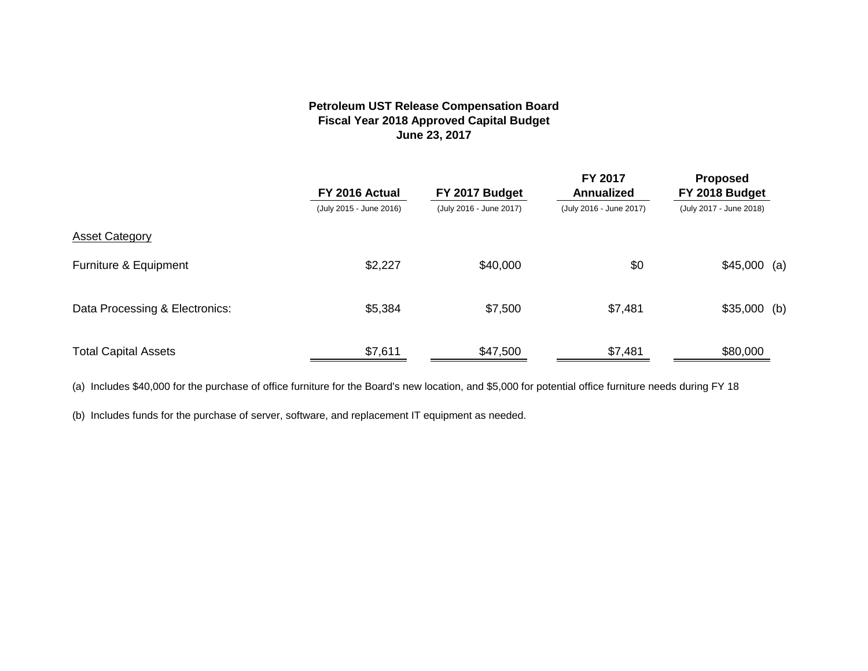#### **Petroleum UST Release Compensation Board Fiscal Year 2018 Approved Capital Budget June 23, 2017**

|                                | FY 2016 Actual          | FY 2017 Budget          |                         | <b>Proposed</b><br>FY 2018 Budget |
|--------------------------------|-------------------------|-------------------------|-------------------------|-----------------------------------|
|                                | (July 2015 - June 2016) | (July 2016 - June 2017) | (July 2016 - June 2017) | (July 2017 - June 2018)           |
| <b>Asset Category</b>          |                         |                         |                         |                                   |
| Furniture & Equipment          | \$2,227                 | \$40,000                | \$0                     | $$45,000$ (a)                     |
| Data Processing & Electronics: | \$5,384                 | \$7,500                 | \$7,481                 | $$35,000$ (b)                     |
| <b>Total Capital Assets</b>    | \$7,611                 | \$47,500                | \$7,481                 | \$80,000                          |

(a) Includes \$40,000 for the purchase of office furniture for the Board's new location, and \$5,000 for potential office furniture needs during FY 18

(b) Includes funds for the purchase of server, software, and replacement IT equipment as needed.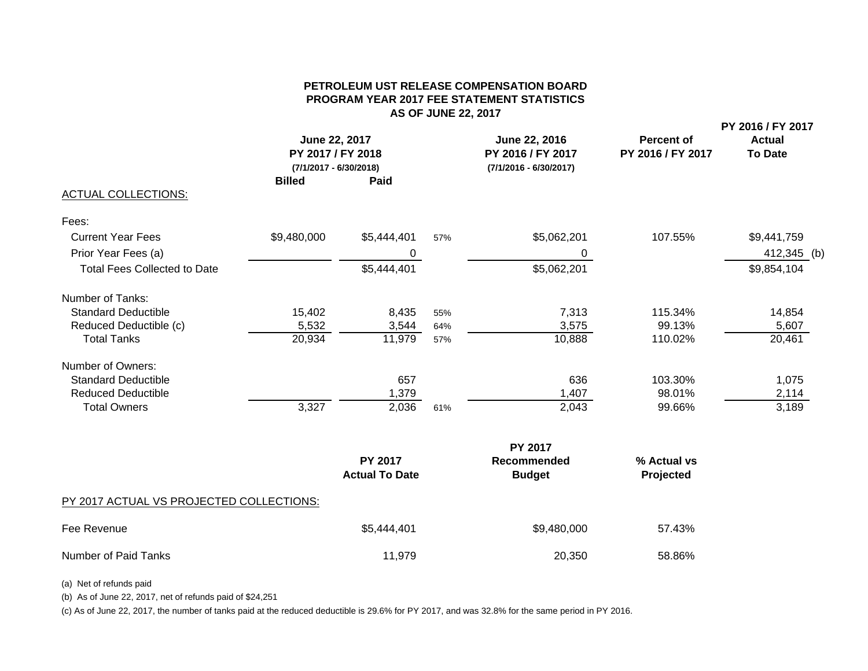#### **PETROLEUM UST RELEASE COMPENSATION BOARDPROGRAM YEAR 2017 FEE STATEMENT STATISTICS AS OF JUNE 22, 2017**

**PY 2016 / FY 2017**

|                                     | June 22, 2017<br>June 22, 2016<br>PY 2017 / FY 2018<br>PY 2016 / FY 2017<br>(7/1/2017 - 6/30/2018)<br>$(7/1/2016 - 6/30/2017)$ |                                         | <b>Percent of</b><br>PY 2016 / FY 2017 | <b>Actual</b><br><b>To Date</b> |                          |             |  |
|-------------------------------------|--------------------------------------------------------------------------------------------------------------------------------|-----------------------------------------|----------------------------------------|---------------------------------|--------------------------|-------------|--|
|                                     | <b>Billed</b>                                                                                                                  | Paid                                    |                                        |                                 |                          |             |  |
| <b>ACTUAL COLLECTIONS:</b>          |                                                                                                                                |                                         |                                        |                                 |                          |             |  |
| Fees:                               |                                                                                                                                |                                         |                                        |                                 |                          |             |  |
| <b>Current Year Fees</b>            | \$9,480,000                                                                                                                    | \$5,444,401                             | 57%                                    | \$5,062,201                     | 107.55%                  | \$9,441,759 |  |
| Prior Year Fees (a)                 |                                                                                                                                | 0                                       |                                        | 0                               |                          | 412,345 (b) |  |
| <b>Total Fees Collected to Date</b> |                                                                                                                                | \$5,444,401                             |                                        | \$5,062,201                     |                          | \$9,854,104 |  |
| Number of Tanks:                    |                                                                                                                                |                                         |                                        |                                 |                          |             |  |
| <b>Standard Deductible</b>          | 15,402                                                                                                                         | 8,435                                   | 55%                                    | 7,313                           | 115.34%                  | 14,854      |  |
| Reduced Deductible (c)              | 5,532                                                                                                                          | 3,544                                   | 64%                                    | 3,575                           | 99.13%                   | 5,607       |  |
| <b>Total Tanks</b>                  | 20,934                                                                                                                         | 11,979                                  | 57%                                    | 10,888                          | 110.02%                  | 20,461      |  |
| Number of Owners:                   |                                                                                                                                |                                         |                                        |                                 |                          |             |  |
| <b>Standard Deductible</b>          |                                                                                                                                | 657                                     |                                        | 636                             | 103.30%                  | 1,075       |  |
| <b>Reduced Deductible</b>           |                                                                                                                                | 1,379                                   |                                        | 1,407                           | 98.01%                   | 2,114       |  |
| <b>Total Owners</b>                 | 3,327                                                                                                                          | 2,036                                   | 61%                                    | 2,043                           | 99.66%                   | 3,189       |  |
|                                     |                                                                                                                                |                                         |                                        | <b>PY 2017</b>                  |                          |             |  |
|                                     |                                                                                                                                | <b>PY 2017</b><br><b>Actual To Date</b> |                                        | Recommended<br><b>Budget</b>    | % Actual vs<br>Projected |             |  |

#### PY 2017 ACTUAL VS PROJECTED COLLECTIONS:

| Fee Revenue          | \$5,444,401 | \$9,480,000 | 57.43% |
|----------------------|-------------|-------------|--------|
| Number of Paid Tanks | 11,979      | 20,350      | 58.86% |

(a) Net of refunds paid

(b) As of June 22, 2017, net of refunds paid of \$24,251

(c) As of June 22, 2017, the number of tanks paid at the reduced deductible is 29.6% for PY 2017, and was 32.8% for the same period in PY 2016.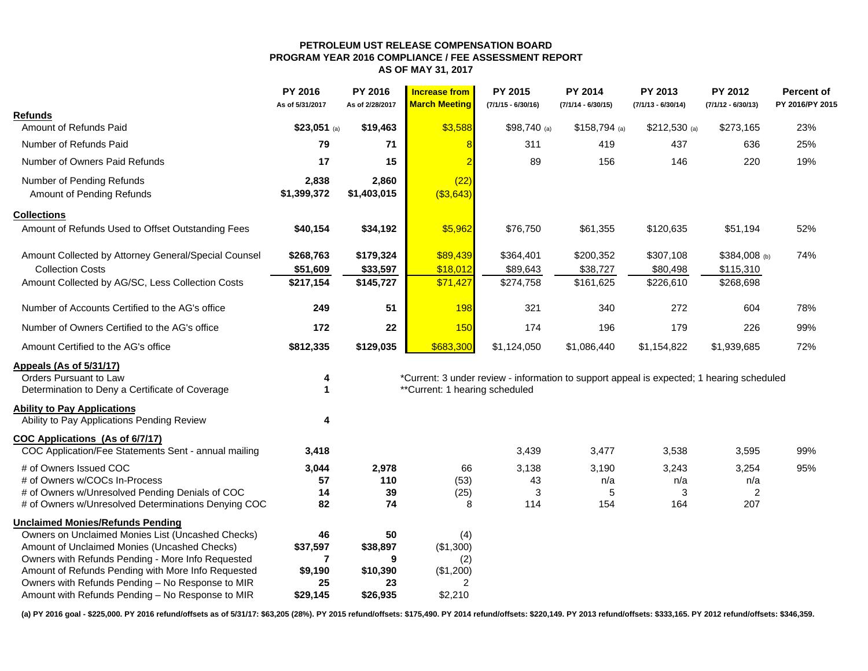#### **PETROLEUM UST RELEASE COMPENSATION BOARD PROGRAM YEAR 2016 COMPLIANCE / FEE ASSESSMENT REPORTAS OF MAY 31, 2017**

|                                                      | PY 2016<br>As of 5/31/2017 | PY 2016<br>As of 2/28/2017 | <b>Increase from</b><br><b>March Meeting</b> | PY 2015<br>$(7/1/15 - 6/30/16)$                                                           | <b>PY 2014</b><br>$(7/1/14 - 6/30/15)$ | PY 2013<br>$(7/1/13 - 6/30/14)$ | PY 2012<br>$(7/1/12 - 6/30/13)$ | Percent of<br>PY 2016/PY 2015 |
|------------------------------------------------------|----------------------------|----------------------------|----------------------------------------------|-------------------------------------------------------------------------------------------|----------------------------------------|---------------------------------|---------------------------------|-------------------------------|
| Refunds                                              |                            |                            |                                              |                                                                                           |                                        |                                 |                                 |                               |
| Amount of Refunds Paid                               | $$23,051$ (a)              | \$19,463                   | \$3,588                                      | \$98,740 (a)                                                                              | $$158,794$ (a)                         | $$212,530$ (a)                  | \$273,165                       | 23%                           |
| Number of Refunds Paid                               | 79                         | 71                         |                                              | 311                                                                                       | 419                                    | 437                             | 636                             | 25%                           |
| Number of Owners Paid Refunds                        | 17                         | 15                         |                                              | 89                                                                                        | 156                                    | 146                             | 220                             | 19%                           |
| Number of Pending Refunds                            | 2,838                      | 2,860                      | (22)                                         |                                                                                           |                                        |                                 |                                 |                               |
| Amount of Pending Refunds                            | \$1,399,372                | \$1,403,015                | ( \$3,643)                                   |                                                                                           |                                        |                                 |                                 |                               |
| <b>Collections</b>                                   |                            |                            |                                              |                                                                                           |                                        |                                 |                                 |                               |
| Amount of Refunds Used to Offset Outstanding Fees    | \$40,154                   | \$34,192                   | \$5,962                                      | \$76,750                                                                                  | \$61,355                               | \$120,635                       | \$51,194                        | 52%                           |
| Amount Collected by Attorney General/Special Counsel | \$268,763                  | \$179,324                  | \$89,439                                     | \$364,401                                                                                 | \$200,352                              | \$307,108                       | $$384,008$ (b)                  | 74%                           |
| <b>Collection Costs</b>                              | \$51,609                   | \$33,597                   | \$18,012                                     | \$89,643                                                                                  | \$38,727                               | \$80,498                        | \$115,310                       |                               |
| Amount Collected by AG/SC, Less Collection Costs     | \$217,154                  | \$145,727                  | \$71,427                                     | \$274,758                                                                                 | \$161,625                              | \$226,610                       | \$268,698                       |                               |
| Number of Accounts Certified to the AG's office      | 249                        | 51                         | 198                                          | 321                                                                                       | 340                                    | 272                             | 604                             | 78%                           |
| Number of Owners Certified to the AG's office        | 172                        | 22                         | <b>150</b>                                   | 174                                                                                       | 196                                    | 179                             | 226                             | 99%                           |
| Amount Certified to the AG's office                  | \$812,335                  | \$129,035                  | \$683,300                                    | \$1,124,050                                                                               | \$1,086,440                            | \$1,154,822                     | \$1,939,685                     | 72%                           |
| <b>Appeals (As of 5/31/17)</b>                       |                            |                            |                                              |                                                                                           |                                        |                                 |                                 |                               |
| Orders Pursuant to Law                               | 4                          |                            |                                              | *Current: 3 under review - information to support appeal is expected; 1 hearing scheduled |                                        |                                 |                                 |                               |
| Determination to Deny a Certificate of Coverage      | 1                          |                            | **Current: 1 hearing scheduled               |                                                                                           |                                        |                                 |                                 |                               |
| <b>Ability to Pay Applications</b>                   |                            |                            |                                              |                                                                                           |                                        |                                 |                                 |                               |
| Ability to Pay Applications Pending Review           | 4                          |                            |                                              |                                                                                           |                                        |                                 |                                 |                               |
| COC Applications (As of 6/7/17)                      |                            |                            |                                              |                                                                                           |                                        |                                 |                                 |                               |
| COC Application/Fee Statements Sent - annual mailing | 3,418                      |                            |                                              | 3,439                                                                                     | 3,477                                  | 3,538                           | 3,595                           | 99%                           |
| # of Owners Issued COC                               | 3,044                      | 2,978                      | 66                                           | 3,138                                                                                     | 3,190                                  | 3,243                           | 3,254                           | 95%                           |
| # of Owners w/COCs In-Process                        | 57                         | 110                        | (53)                                         | 43                                                                                        | n/a                                    | n/a                             | n/a                             |                               |
| # of Owners w/Unresolved Pending Denials of COC      | 14                         | 39                         | (25)                                         | 3                                                                                         | 5                                      | 3                               | 2                               |                               |
| # of Owners w/Unresolved Determinations Denying COC  | 82                         | 74                         | 8                                            | 114                                                                                       | 154                                    | 164                             | 207                             |                               |
| <b>Unclaimed Monies/Refunds Pending</b>              |                            |                            |                                              |                                                                                           |                                        |                                 |                                 |                               |
| Owners on Unclaimed Monies List (Uncashed Checks)    | 46                         | 50                         | (4)                                          |                                                                                           |                                        |                                 |                                 |                               |
| Amount of Unclaimed Monies (Uncashed Checks)         | \$37,597                   | \$38,897                   | (\$1,300)                                    |                                                                                           |                                        |                                 |                                 |                               |
| Owners with Refunds Pending - More Info Requested    | 7                          | 9                          | (2)                                          |                                                                                           |                                        |                                 |                                 |                               |
| Amount of Refunds Pending with More Info Requested   | \$9,190                    | \$10,390                   | (\$1,200)                                    |                                                                                           |                                        |                                 |                                 |                               |
| Owners with Refunds Pending - No Response to MIR     | 25                         | 23                         | 2                                            |                                                                                           |                                        |                                 |                                 |                               |
| Amount with Refunds Pending - No Response to MIR     | \$29,145                   | \$26,935                   | \$2,210                                      |                                                                                           |                                        |                                 |                                 |                               |

**(a) PY 2016 goal - \$225,000. PY 2016 refund/offsets as of 5/31/17: \$63,205 (28%). PY 2015 refund/offsets: \$175,490. PY 2014 refund/offsets: \$220,149. PY 2013 refund/offsets: \$333,165. PY 2012 refund/offsets: \$346,359.**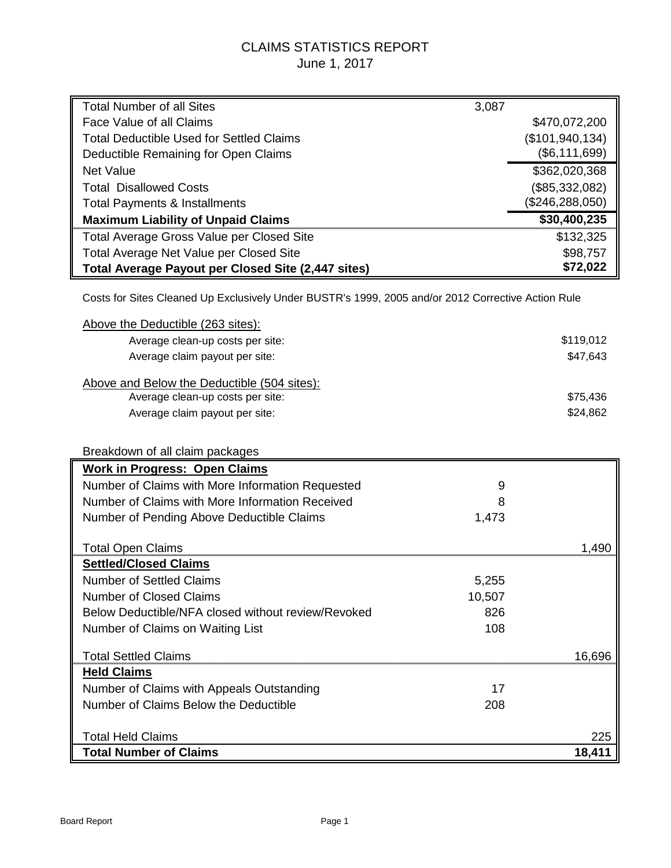#### CLAIMS STATISTICS REPORT June 1, 2017

| <b>Total Number of all Sites</b>                                                                   | 3,087  |                   |
|----------------------------------------------------------------------------------------------------|--------|-------------------|
| Face Value of all Claims                                                                           |        | \$470,072,200     |
| <b>Total Deductible Used for Settled Claims</b>                                                    |        | (\$101, 940, 134) |
| Deductible Remaining for Open Claims                                                               |        | (\$6, 111, 699)   |
| <b>Net Value</b>                                                                                   |        | \$362,020,368     |
| <b>Total Disallowed Costs</b>                                                                      |        | (\$85,332,082)    |
| <b>Total Payments &amp; Installments</b>                                                           |        | (\$246, 288, 050) |
| <b>Maximum Liability of Unpaid Claims</b>                                                          |        | \$30,400,235      |
| <b>Total Average Gross Value per Closed Site</b>                                                   |        | \$132,325         |
| Total Average Net Value per Closed Site                                                            |        | \$98,757          |
| Total Average Payout per Closed Site (2,447 sites)                                                 |        | \$72,022          |
| Costs for Sites Cleaned Up Exclusively Under BUSTR's 1999, 2005 and/or 2012 Corrective Action Rule |        |                   |
| Above the Deductible (263 sites):                                                                  |        |                   |
| Average clean-up costs per site:                                                                   |        | \$119,012         |
| Average claim payout per site:                                                                     |        | \$47,643          |
|                                                                                                    |        |                   |
| Above and Below the Deductible (504 sites):                                                        |        | \$75,436          |
| Average clean-up costs per site:<br>Average claim payout per site:                                 |        | \$24,862          |
|                                                                                                    |        |                   |
|                                                                                                    |        |                   |
| Breakdown of all claim packages                                                                    |        |                   |
| <b>Work in Progress: Open Claims</b>                                                               |        |                   |
| Number of Claims with More Information Requested                                                   | 9      |                   |
| Number of Claims with More Information Received                                                    | 8      |                   |
| Number of Pending Above Deductible Claims                                                          | 1,473  |                   |
| <b>Total Open Claims</b>                                                                           |        | 1,490             |
| <b>Settled/Closed Claims</b>                                                                       |        |                   |
| <b>Number of Settled Claims</b>                                                                    | 5,255  |                   |
| <b>Number of Closed Claims</b>                                                                     | 10,507 |                   |
| Below Deductible/NFA closed without review/Revoked                                                 | 826    |                   |
| Number of Claims on Waiting List                                                                   | 108    |                   |
|                                                                                                    |        |                   |
| <b>Total Settled Claims</b>                                                                        |        | 16,696            |
| <b>Held Claims</b>                                                                                 |        |                   |
| Number of Claims with Appeals Outstanding                                                          | 17     |                   |
| Number of Claims Below the Deductible                                                              | 208    |                   |
| <b>Total Held Claims</b>                                                                           |        |                   |
| <b>Total Number of Claims</b>                                                                      |        | 225<br>18,411     |
|                                                                                                    |        |                   |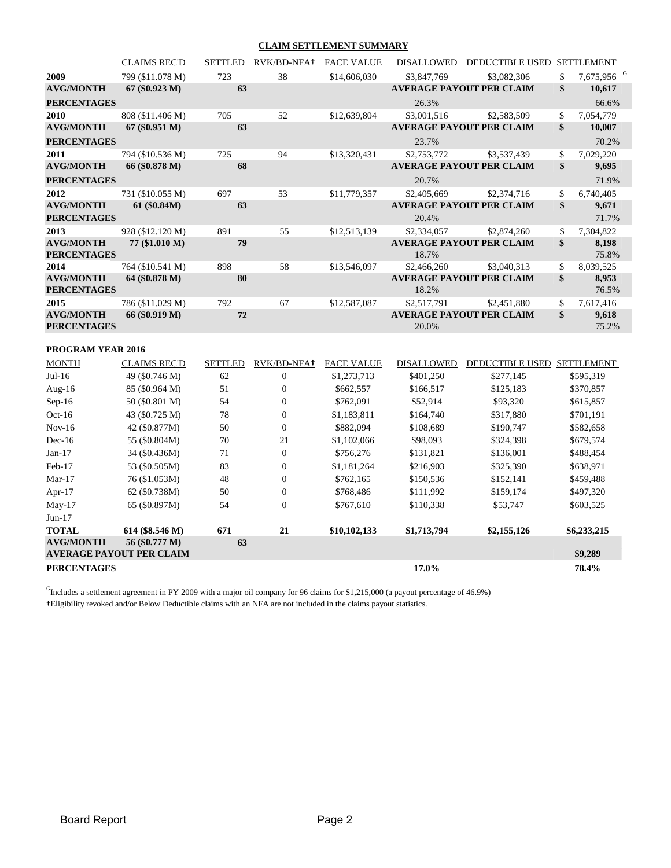#### **CLAIM SETTLEMENT SUMMARY**

|                                        | <b>CLAIMS REC'D</b> | <b>SETTLED</b> | RVK/BD-NFA+ | <b>FACE VALUE</b> | <b>DISALLOWED</b> | <b>DEDUCTIBLE USED</b>          | <b>SETTLEMENT</b>            |
|----------------------------------------|---------------------|----------------|-------------|-------------------|-------------------|---------------------------------|------------------------------|
| 2009                                   | 799 (\$11.078 M)    | 723            | 38          | \$14,606,030      | \$3,847,769       | \$3,082,306                     | \$<br>7,675,956 <sup>G</sup> |
| <b>AVG/MONTH</b>                       | $67 (\$0.923 M)$    | 63             |             |                   |                   | <b>AVERAGE PAYOUT PER CLAIM</b> | \$<br>10,617                 |
| <b>PERCENTAGES</b>                     |                     |                |             |                   | 26.3%             |                                 | 66.6%                        |
| 2010                                   | 808 (\$11.406 M)    | 705            | 52          | \$12,639,804      | \$3,001,516       | \$2,583,509                     | \$<br>7,054,779              |
| <b>AVG/MONTH</b>                       | $67 (\$0.951 M)$    | 63             |             |                   |                   | <b>AVERAGE PAYOUT PER CLAIM</b> | \$<br>10,007                 |
| <b>PERCENTAGES</b>                     |                     |                |             |                   | 23.7%             |                                 | 70.2%                        |
| 2011                                   | 794 (\$10.536 M)    | 725            | 94          | \$13,320,431      | \$2,753,772       | \$3,537,439                     | \$<br>7,029,220              |
| <b>AVG/MONTH</b>                       | 66 (\$0.878 M)      | 68             |             |                   |                   | <b>AVERAGE PAYOUT PER CLAIM</b> | \$<br>9,695                  |
| <b>PERCENTAGES</b>                     |                     |                |             |                   | 20.7%             |                                 | 71.9%                        |
| 2012                                   | 731 (\$10.055 M)    | 697            | 53          | \$11,779,357      | \$2,405,669       | \$2,374,716                     | \$<br>6,740,405              |
| <b>AVG/MONTH</b>                       | 61 (\$0.84M)        | 63             |             |                   |                   | <b>AVERAGE PAYOUT PER CLAIM</b> | \$<br>9,671                  |
| <b>PERCENTAGES</b>                     |                     |                |             |                   | 20.4%             |                                 | 71.7%                        |
| 2013                                   | 928 (\$12.120 M)    | 891            | 55          | \$12,513,139      | \$2,334,057       | \$2,874,260                     | \$<br>7,304,822              |
| <b>AVG/MONTH</b>                       | 77 (\$1.010 M)      | 79             |             |                   |                   | <b>AVERAGE PAYOUT PER CLAIM</b> | \$<br>8,198                  |
| <b>PERCENTAGES</b>                     |                     |                |             |                   | 18.7%             |                                 | 75.8%                        |
| 2014                                   | 764 (\$10.541 M)    | 898            | 58          | \$13,546,097      | \$2,466,260       | \$3,040,313                     | \$<br>8,039,525              |
| <b>AVG/MONTH</b>                       | 64 (\$0.878 M)      | 80             |             |                   |                   | <b>AVERAGE PAYOUT PER CLAIM</b> | \$<br>8,953                  |
| <b>PERCENTAGES</b>                     |                     |                |             |                   | 18.2%             |                                 | 76.5%                        |
| 2015                                   | 786 (\$11.029 M)    | 792            | 67          | \$12,587,087      | \$2,517,791       | \$2,451,880                     | \$<br>7,617,416              |
| <b>AVG/MONTH</b><br><b>PERCENTAGES</b> | 66 (\$0.919 M)      | 72             |             |                   | 20.0%             | <b>AVERAGE PAYOUT PER CLAIM</b> | \$<br>9,618<br>75.2%         |

#### **PROGRAM YEAR 2016**

| <b>MONTH</b>       | <b>CLAIMS REC'D</b>                               | <b>SETTLED</b> | RVK/BD-NFA <sup>+</sup> | <b>FACE VALUE</b> | <b>DISALLOWED</b> | <b>DEDUCTIBLE USED</b> | <b>SETTLEMENT</b> |
|--------------------|---------------------------------------------------|----------------|-------------------------|-------------------|-------------------|------------------------|-------------------|
| $Jul-16$           | 49 (\$0.746 M)                                    | 62             | $\mathbf{0}$            | \$1,273,713       | \$401,250         | \$277,145              | \$595,319         |
| Aug- $16$          | 85 (\$0.964 M)                                    | 51             | 0                       | \$662,557         | \$166,517         | \$125,183              | \$370,857         |
| $Sep-16$           | 50 (\$0.801 M)                                    | 54             | 0                       | \$762,091         | \$52,914          | \$93,320               | \$615,857         |
| $Oct-16$           | 43 (\$0.725 M)                                    | 78             | 0                       | \$1,183,811       | \$164,740         | \$317,880              | \$701,191         |
| $Nov-16$           | 42 (\$0.877M)                                     | 50             | $\overline{0}$          | \$882,094         | \$108,689         | \$190,747              | \$582,658         |
| $Dec-16$           | 55 (\$0.804M)                                     | 70             | 21                      | \$1,102,066       | \$98,093          | \$324,398              | \$679,574         |
| $Jan-17$           | 34 (\$0.436M)                                     | 71             | 0                       | \$756,276         | \$131,821         | \$136,001              | \$488,454         |
| $Feb-17$           | 53 (\$0.505M)                                     | 83             | $\overline{0}$          | \$1,181,264       | \$216,903         | \$325,390              | \$638,971         |
| $Mar-17$           | 76 (\$1.053M)                                     | 48             | 0                       | \$762,165         | \$150,536         | \$152,141              | \$459,488         |
| Apr- $17$          | 62 (\$0.738M)                                     | 50             | $\overline{0}$          | \$768,486         | \$111,992         | \$159,174              | \$497,320         |
| $May-17$           | 65 (\$0.897M)                                     | 54             | $\overline{0}$          | \$767,610         | \$110,338         | \$53,747               | \$603,525         |
| $Jun-17$           |                                                   |                |                         |                   |                   |                        |                   |
| <b>TOTAL</b>       | 614 (\$8.546 M)                                   | 671            | 21                      | \$10,102,133      | \$1,713,794       | \$2,155,126            | \$6,233,215       |
| <b>AVG/MONTH</b>   | 56 (\$0.777 M)<br><b>AVERAGE PAYOUT PER CLAIM</b> | 63             |                         |                   |                   |                        | \$9,289           |
| <b>PERCENTAGES</b> |                                                   |                |                         |                   | 17.0%             |                        | 78.4%             |

 $<sup>G</sup>$ Includes a settlement agreement in PY 2009 with a major oil company for 96 claims for \$1,215,000 (a payout percentage of 46.9%)</sup> **†**Eligibility revoked and/or Below Deductible claims with an NFA are not included in the claims payout statistics.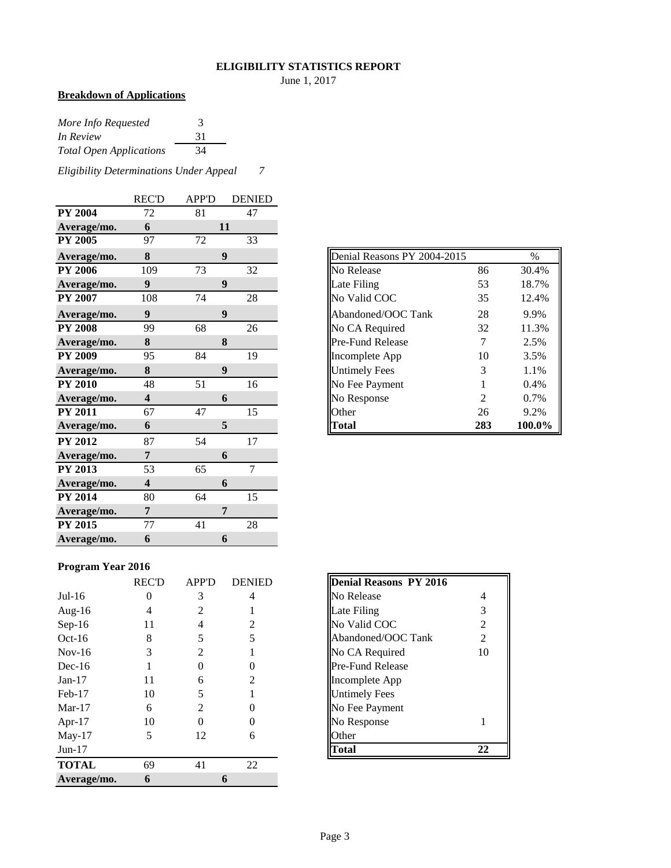#### **ELIGIBILITY STATISTICS REPORT**

June 1, 2017

#### **Breakdown of Applications**

| More Info Requested            | 3  |
|--------------------------------|----|
| In Review                      | 31 |
| <b>Total Open Applications</b> | 34 |

*Eligibility Determinations Under Appeal 7*

|                | <b>REC'D</b>            | <b>APP'D</b> | <b>DENIED</b>  |
|----------------|-------------------------|--------------|----------------|
| <b>PY 2004</b> | 72                      | 81           | 47             |
| Average/mo.    | 6                       |              | 11             |
| <b>PY 2005</b> | 97                      | 72           | 33             |
| Average/mo.    | 8                       |              | 9              |
| <b>PY 2006</b> | 109                     | 73           | 32             |
| Average/mo.    | 9                       |              | 9              |
| <b>PY 2007</b> | 108                     | 74           | 28             |
| Average/mo.    | 9                       |              | 9              |
| <b>PY 2008</b> | 99                      | 68           | 26             |
| Average/mo.    | 8                       |              | 8              |
| <b>PY 2009</b> | 95                      | 84           | 19             |
| Average/mo.    | 8                       |              | 9              |
| <b>PY 2010</b> | 48                      | 51           | 16             |
| Average/mo.    | 4                       |              | 6              |
| <b>PY 2011</b> | 67                      | 47           | 15             |
| Average/mo.    | 6                       |              | 5              |
| <b>PY 2012</b> | 87                      | 54           | 17             |
| Average/mo.    | 7                       |              | 6              |
| PY 2013        | 53                      | 65           | $\overline{7}$ |
| Average/mo.    | $\overline{\mathbf{4}}$ |              | 6              |
| <b>PY 2014</b> | 80                      | 64           | 15             |
| Average/mo.    | 7                       |              | 7              |
| PY 2015        | 77                      | 41           | 28             |
| Average/mo.    | 6                       |              | 6              |

| Denial Reasons PY 2004-2015 |     | $\%$   |
|-----------------------------|-----|--------|
| No Release                  | 86  | 30.4%  |
| Late Filing                 | 53  | 18.7%  |
| No Valid COC                | 35  | 12.4%  |
| Abandoned/OOC Tank          | 28  | 9.9%   |
| No CA Required              | 32  | 11.3%  |
| Pre-Fund Release            | 7   | 2.5%   |
| Incomplete App              | 10  | 3.5%   |
| <b>Untimely Fees</b>        | 3   | 1.1%   |
| No Fee Payment              | 1   | 0.4%   |
| No Response                 | 2   | 0.7%   |
| Other                       | 26  | 9.2%   |
| Total                       | 283 | 100.0% |

#### **Program Year 2016**

|              | <b>REC'D</b> | <b>APP'D</b>   | <b>DENIED</b> | <b>Denial Reasons PY 2016</b> |    |
|--------------|--------------|----------------|---------------|-------------------------------|----|
| $Jul-16$     | 0            | 3              | 4             | No Release                    | 4  |
| Aug- $16$    | 4            | 2              |               | Late Filing                   | 3  |
| $Sep-16$     | 11           | 4              | 2             | No Valid COC                  | 2  |
| $Oct-16$     | 8            |                | 5             | Abandoned/OOC Tank            | 2  |
| $Nov-16$     | 3            | 2              |               | No CA Required                | 10 |
| $Dec-16$     |              |                | 0             | <b>Pre-Fund Release</b>       |    |
| $Jan-17$     | 11           | 6              | 2             | Incomplete App                |    |
| $Feb-17$     | 10           |                |               | <b>Untimely Fees</b>          |    |
| $Mar-17$     | 6            | $\mathfrak{D}$ | 0             | No Fee Payment                |    |
| Apr-17       | 10           | $\mathcal{O}$  | 0             | No Response                   |    |
| $May-17$     | 5            | 12             | 6             | Other                         |    |
| $Jun-17$     |              |                |               | <b>Total</b>                  | 22 |
| <b>TOTAL</b> | 69           | 41             | 22            |                               |    |
| Average/mo.  | 6            |                | 6             |                               |    |

| <b>Denial Reasons PY 2016</b> |                |
|-------------------------------|----------------|
| No Release                    | 4              |
| Late Filing                   | 3              |
| No Valid COC                  | $\mathfrak{D}$ |
| Abandoned/OOC Tank            | $\overline{c}$ |
| No CA Required                | 10             |
| Pre-Fund Release              |                |
| Incomplete App                |                |
| <b>Untimely Fees</b>          |                |
| No Fee Payment                |                |
| No Response                   |                |
| <b>Other</b>                  |                |
|                               | 22             |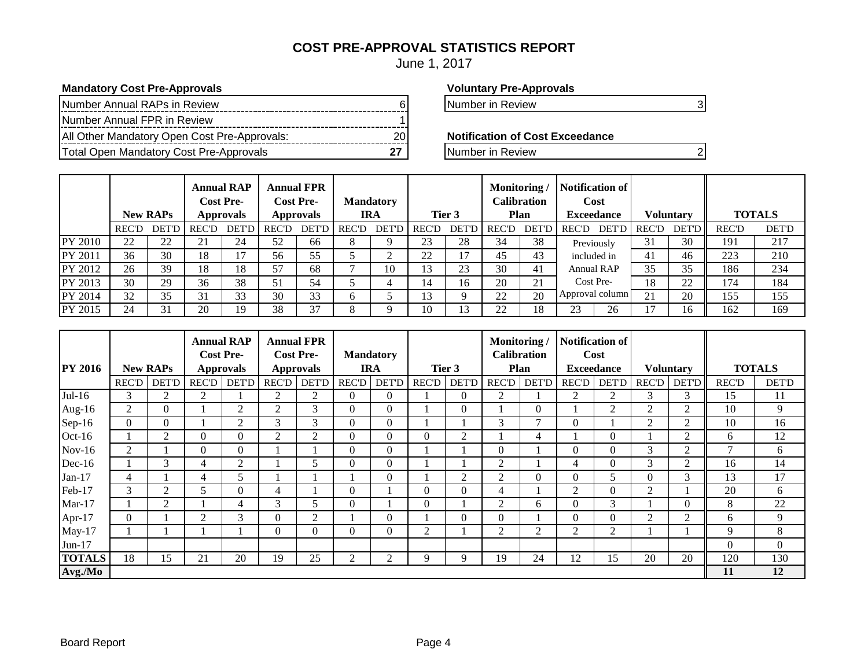#### **COST PRE-APPROVAL STATISTICS REPORT**

June 1, 2017

#### **Mandatory Cost Pre-Approvals Voluntary Pre-Approvals**

| Number Annual RAPs in Review                 |  |
|----------------------------------------------|--|
| Number Annual FPR in Review                  |  |
| All Other Mandatory Open Cost Pre-Approvals: |  |
| Total Open Mandatory Cost Pre-Approvals      |  |

Number in Review 6 Number in Review 6 Number in Review 3 Number 3 Number 3 Number 3 Number 3 Number 3 Number 3 Number 3 Number 3 Number 3 Number 3 Number 3 Number 3 Number 3 Number 3 Number 3 Number 3 Number 3 Number 3 Num

**Notification of Cost Exceedance** 

**The Pre-Approvalship Cost Pre-Approvals** 27 Number in Review 2

|         |              | <b>New RAPs</b> |              | <b>Annual RAP</b><br><b>Cost Pre-</b><br><b>Approvals</b> |              | <b>Annual FPR</b><br><b>Cost Pre-</b><br><b>Approvals</b> |              | <b>Mandatory</b><br><b>IRA</b> |              | Tier 3       | Monitoring/  | Calibration<br>Plan | Notification of<br>Cost<br><b>Exceedance</b> |              | <b>Voluntary</b> |              | <b>TOTALS</b> |
|---------|--------------|-----------------|--------------|-----------------------------------------------------------|--------------|-----------------------------------------------------------|--------------|--------------------------------|--------------|--------------|--------------|---------------------|----------------------------------------------|--------------|------------------|--------------|---------------|
|         | <b>REC'D</b> | <b>DET'D</b>    | <b>REC'D</b> | <b>DET'D</b>                                              | <b>REC'D</b> | <b>DET'D</b>                                              | <b>REC'D</b> | DET'D                          | <b>REC'D</b> | <b>DET'D</b> | <b>REC'D</b> | <b>DET'D</b>        | <b>DET'D</b><br><b>REC'D</b>                 | <b>REC'D</b> | <b>DET'D</b>     | <b>REC'D</b> | <b>DET'D</b>  |
| PY 2010 | 22           | 22              | 21           | 24                                                        | 52           | 66                                                        | ⋀            |                                | 23           | 28           | 34           | 38                  | Previously                                   | 31           | 30               | 191          | 217           |
| PY 2011 | 36           | 30              | 18           | 17                                                        | 56           | 55                                                        |              | ◠                              | 22           | 17           | 45           | 43                  | included in                                  | 41           | 46               | 223          | 210           |
| PY 2012 | 26           | 39              | 18           | 18                                                        | 57           | 68                                                        |              | 10                             | 13           | 23           | 30           | 41                  | Annual RAP                                   | 35           | 35               | 186          | 234           |
| PY 2013 | 30           | 29              | 36           | 38                                                        | 51           | 54                                                        |              |                                | 14           | 16           | 20           | 21                  | Cost Pre-                                    | 18           | 22               | 174          | 184           |
| PY 2014 | 32           | 35              | 31           | 33                                                        | 30           | 33                                                        | <sub>0</sub> |                                | 13           |              | 22           | 20                  | Approval column                              | 21           | 20               | 155          | 155           |
| PY 2015 | 24           | 31              | 20           | 19                                                        | 38           | 37                                                        | Ω<br>Λ       |                                | 10           | 2            | 22           | 18                  | 23<br>26                                     | ¬            | 16               | 162          | 169           |

|                |              |                 | <b>Annual RAP</b><br><b>Cost Pre-</b> |                  |       | <b>Annual FPR</b><br><b>Cost Pre-</b> |                | <b>Mandatory</b> |                |                | Monitoring/    | <b>Calibration</b> |                | <b>Notification of</b><br>Cost |                |                  |               |              |
|----------------|--------------|-----------------|---------------------------------------|------------------|-------|---------------------------------------|----------------|------------------|----------------|----------------|----------------|--------------------|----------------|--------------------------------|----------------|------------------|---------------|--------------|
| <b>PY 2016</b> |              | <b>New RAPs</b> |                                       | <b>Approvals</b> |       | <b>Approvals</b>                      |                | <b>IRA</b>       |                | Tier 3         |                | Plan               |                | <b>Exceedance</b>              |                | <b>Voluntary</b> | <b>TOTALS</b> |              |
|                | <b>REC'D</b> | <b>DET'D</b>    | <b>REC'D</b>                          | <b>DET'D</b>     | REC'D | <b>DET'D</b>                          | <b>REC'D</b>   | <b>DET'D</b>     | <b>REC'D</b>   | <b>DET'D</b>   | <b>REC'D</b>   | <b>DET'D</b>       | <b>REC'D</b>   | <b>DET'D</b>                   | <b>REC'D</b>   | DET'D            | <b>REC'D</b>  | <b>DET'D</b> |
| $Jul-16$       | 3            | 2               | $\overline{2}$                        |                  | 2     | 2                                     | $\Omega$       | $\Omega$         |                | $\theta$       | $\overline{2}$ |                    | 2              | 2                              | 3              | 3                | 15            | 11           |
| Aug- $16$      | 2            | $\theta$        |                                       | 2                | 2     | 3                                     | $\overline{0}$ | 0                |                | $\theta$       |                |                    |                | 2                              | 2              | 2                | 10            | 9            |
| $Sep-16$       | $\Omega$     | $\Omega$        |                                       | 2                | 3     | 3                                     | $\theta$       | $\Omega$         |                |                | 3              | ⇁                  | $\mathbf{0}$   |                                | $\overline{2}$ | 2                | 10            | 16           |
| $Oct-16$       |              | 2               | $\theta$                              | $\theta$         | 2     | 2                                     | $\Omega$       | 0                | $\Omega$       | 2              |                | 4                  |                | $\theta$                       |                | 2                | 6             | 12           |
| $Nov-16$       | 2            |                 | $\Omega$                              | $\overline{0}$   |       |                                       | $\Omega$       | 0                |                |                | $\overline{0}$ |                    | $\Omega$       | $\Omega$                       | 3              | 2                | $\mathcal{L}$ | 6            |
| $Dec-16$       |              | 3               | 4                                     | 2                |       | 5                                     | $\Omega$       | 0                |                |                | $\overline{2}$ |                    | 4              | $\Omega$                       | 3              | 2                | 16            | 14           |
| $Jan-17$       | 4            |                 | 4                                     | 5                |       |                                       |                | $\Omega$         |                | 2              | $\overline{2}$ | $\Omega$           | $\Omega$       | 5                              | $\Omega$       | 3                | 13            | 17           |
| Feb-17         | 3            | $\overline{2}$  | 5                                     | $\theta$         | 4     |                                       | $\theta$       |                  | $\overline{0}$ | $\overline{0}$ | 4              |                    | 2              | $\theta$                       | 2              |                  | 20            | 6            |
| $Mar-17$       |              | 2               |                                       | 4                | 3     | 5                                     | $\theta$       |                  | $\Omega$       |                | $\overline{2}$ | 6                  | $\Omega$       | 3                              |                | $\Omega$         | 8             | 22           |
| Apr- $17$      | $\Omega$     |                 | $\overline{2}$                        | 3                | 0     | $\overline{2}$                        |                | $\Omega$         |                | $\theta$       | $\overline{0}$ |                    | $\Omega$       | $\theta$                       | $\overline{2}$ | $\overline{2}$   | 6             | 9            |
| $May-17$       |              |                 |                                       |                  | 0     | $\Omega$                              | $\theta$       | 0                | 2              |                | $\overline{2}$ | $\overline{2}$     | $\overline{2}$ | $\overline{c}$                 |                |                  | 9             | 8            |
| $Jun-17$       |              |                 |                                       |                  |       |                                       |                |                  |                |                |                |                    |                |                                |                |                  | $\theta$      | $\Omega$     |
| <b>TOTALS</b>  | 18           | 15              | 21                                    | 20               | 19    | 25                                    | 2              | 2                | 9              | 9              | 19             | 24                 | 12             | 15                             | 20             | 20               | 120           | 130          |
| Avg./Mo        |              |                 |                                       |                  |       |                                       |                |                  |                |                |                |                    |                |                                |                |                  | 11            | 12           |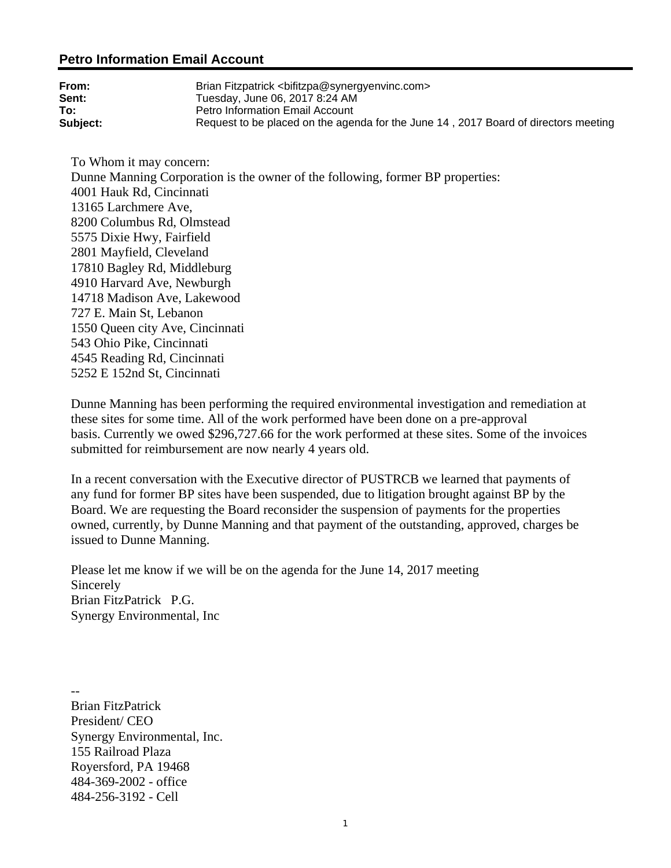#### **Petro Information Email Account**

| From:    | Brian Fitzpatrick <bifitzpa@synergyenvinc.com></bifitzpa@synergyenvinc.com>         |
|----------|-------------------------------------------------------------------------------------|
| Sent:    | Tuesday, June 06, 2017 8:24 AM                                                      |
| To:      | Petro Information Email Account                                                     |
| Subject: | Request to be placed on the agenda for the June 14, 2017 Board of directors meeting |

To Whom it may concern: Dunne Manning Corporation is the owner of the following, former BP properties: 4001 Hauk Rd, Cincinnati 13165 Larchmere Ave, 8200 Columbus Rd, Olmstead 5575 Dixie Hwy, Fairfield 2801 Mayfield, Cleveland 17810 Bagley Rd, Middleburg 4910 Harvard Ave, Newburgh 14718 Madison Ave, Lakewood 727 E. Main St, Lebanon 1550 Queen city Ave, Cincinnati 543 Ohio Pike, Cincinnati 4545 Reading Rd, Cincinnati 5252 E 152nd St, Cincinnati

Dunne Manning has been performing the required environmental investigation and remediation at these sites for some time. All of the work performed have been done on a pre-approval basis. Currently we owed \$296,727.66 for the work performed at these sites. Some of the invoices submitted for reimbursement are now nearly 4 years old.

In a recent conversation with the Executive director of PUSTRCB we learned that payments of any fund for former BP sites have been suspended, due to litigation brought against BP by the Board. We are requesting the Board reconsider the suspension of payments for the properties owned, currently, by Dunne Manning and that payment of the outstanding, approved, charges be issued to Dunne Manning.

Please let me know if we will be on the agenda for the June 14, 2017 meeting Sincerely Brian FitzPatrick P.G. Synergy Environmental, Inc

-- Brian FitzPatrick President/ CEO Synergy Environmental, Inc. 155 Railroad Plaza Royersford, PA 19468 484-369-2002 - office 484-256-3192 - Cell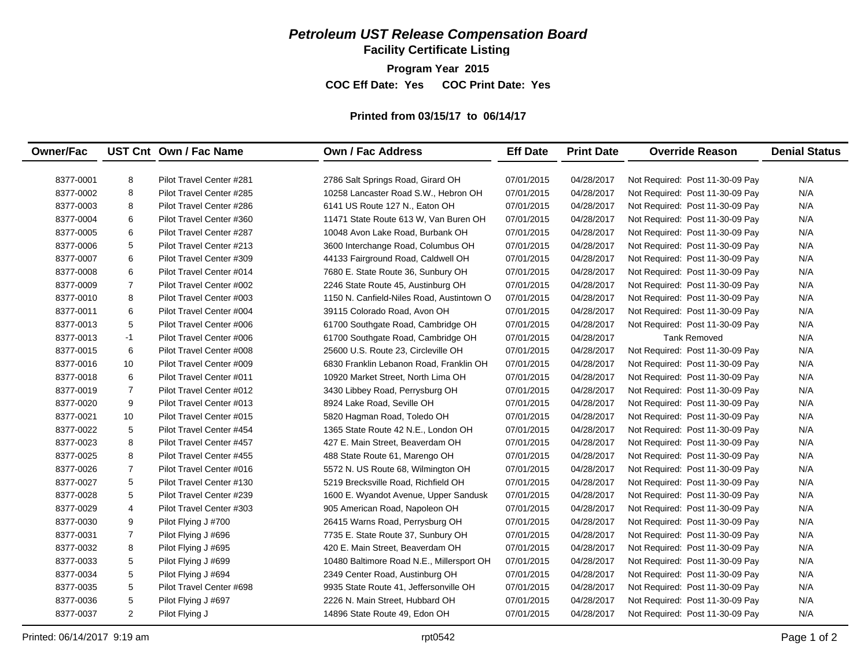**Facility Certificate Listing**

**Program Year 2015**

**COC Eff Date: Yes COC Print Date: Yes** 

#### **Printed from 03/15/17 to 06/14/17**

| <b>Owner/Fac</b> |                | UST Cnt Own / Fac Name   | <b>Own / Fac Address</b>                  | <b>Eff Date</b> | <b>Print Date</b> | <b>Override Reason</b>          | <b>Denial Status</b> |
|------------------|----------------|--------------------------|-------------------------------------------|-----------------|-------------------|---------------------------------|----------------------|
|                  |                |                          |                                           |                 |                   |                                 |                      |
| 8377-0001        | 8              | Pilot Travel Center #281 | 2786 Salt Springs Road, Girard OH         | 07/01/2015      | 04/28/2017        | Not Required: Post 11-30-09 Pay | N/A                  |
| 8377-0002        | 8              | Pilot Travel Center #285 | 10258 Lancaster Road S.W., Hebron OH      | 07/01/2015      | 04/28/2017        | Not Required: Post 11-30-09 Pay | N/A                  |
| 8377-0003        | 8              | Pilot Travel Center #286 | 6141 US Route 127 N., Eaton OH            | 07/01/2015      | 04/28/2017        | Not Required: Post 11-30-09 Pay | N/A                  |
| 8377-0004        | 6              | Pilot Travel Center #360 | 11471 State Route 613 W, Van Buren OH     | 07/01/2015      | 04/28/2017        | Not Required: Post 11-30-09 Pay | N/A                  |
| 8377-0005        | 6              | Pilot Travel Center #287 | 10048 Avon Lake Road, Burbank OH          | 07/01/2015      | 04/28/2017        | Not Required: Post 11-30-09 Pay | N/A                  |
| 8377-0006        | 5              | Pilot Travel Center #213 | 3600 Interchange Road, Columbus OH        | 07/01/2015      | 04/28/2017        | Not Required: Post 11-30-09 Pay | N/A                  |
| 8377-0007        | 6              | Pilot Travel Center #309 | 44133 Fairground Road, Caldwell OH        | 07/01/2015      | 04/28/2017        | Not Required: Post 11-30-09 Pay | N/A                  |
| 8377-0008        | 6              | Pilot Travel Center #014 | 7680 E. State Route 36, Sunbury OH        | 07/01/2015      | 04/28/2017        | Not Required: Post 11-30-09 Pay | N/A                  |
| 8377-0009        | $\overline{7}$ | Pilot Travel Center #002 | 2246 State Route 45, Austinburg OH        | 07/01/2015      | 04/28/2017        | Not Required: Post 11-30-09 Pay | N/A                  |
| 8377-0010        | 8              | Pilot Travel Center #003 | 1150 N. Canfield-Niles Road, Austintown O | 07/01/2015      | 04/28/2017        | Not Required: Post 11-30-09 Pay | N/A                  |
| 8377-0011        | 6              | Pilot Travel Center #004 | 39115 Colorado Road, Avon OH              | 07/01/2015      | 04/28/2017        | Not Required: Post 11-30-09 Pay | N/A                  |
| 8377-0013        | 5              | Pilot Travel Center #006 | 61700 Southgate Road, Cambridge OH        | 07/01/2015      | 04/28/2017        | Not Required: Post 11-30-09 Pay | N/A                  |
| 8377-0013        | $-1$           | Pilot Travel Center #006 | 61700 Southgate Road, Cambridge OH        | 07/01/2015      | 04/28/2017        | <b>Tank Removed</b>             | N/A                  |
| 8377-0015        | 6              | Pilot Travel Center #008 | 25600 U.S. Route 23, Circleville OH       | 07/01/2015      | 04/28/2017        | Not Required: Post 11-30-09 Pay | N/A                  |
| 8377-0016        | 10             | Pilot Travel Center #009 | 6830 Franklin Lebanon Road, Franklin OH   | 07/01/2015      | 04/28/2017        | Not Required: Post 11-30-09 Pay | N/A                  |
| 8377-0018        | 6              | Pilot Travel Center #011 | 10920 Market Street, North Lima OH        | 07/01/2015      | 04/28/2017        | Not Required: Post 11-30-09 Pay | N/A                  |
| 8377-0019        | $\overline{7}$ | Pilot Travel Center #012 | 3430 Libbey Road, Perrysburg OH           | 07/01/2015      | 04/28/2017        | Not Required: Post 11-30-09 Pay | N/A                  |
| 8377-0020        | 9              | Pilot Travel Center #013 | 8924 Lake Road, Seville OH                | 07/01/2015      | 04/28/2017        | Not Required: Post 11-30-09 Pay | N/A                  |
| 8377-0021        | 10             | Pilot Travel Center #015 | 5820 Hagman Road, Toledo OH               | 07/01/2015      | 04/28/2017        | Not Required: Post 11-30-09 Pay | N/A                  |
| 8377-0022        | 5              | Pilot Travel Center #454 | 1365 State Route 42 N.E., London OH       | 07/01/2015      | 04/28/2017        | Not Required: Post 11-30-09 Pay | N/A                  |
| 8377-0023        | 8              | Pilot Travel Center #457 | 427 E. Main Street, Beaverdam OH          | 07/01/2015      | 04/28/2017        | Not Required: Post 11-30-09 Pay | N/A                  |
| 8377-0025        | 8              | Pilot Travel Center #455 | 488 State Route 61, Marengo OH            | 07/01/2015      | 04/28/2017        | Not Required: Post 11-30-09 Pay | N/A                  |
| 8377-0026        | $\overline{7}$ | Pilot Travel Center #016 | 5572 N. US Route 68, Wilmington OH        | 07/01/2015      | 04/28/2017        | Not Required: Post 11-30-09 Pay | N/A                  |
| 8377-0027        | 5              | Pilot Travel Center #130 | 5219 Brecksville Road, Richfield OH       | 07/01/2015      | 04/28/2017        | Not Required: Post 11-30-09 Pay | N/A                  |
| 8377-0028        | 5              | Pilot Travel Center #239 | 1600 E. Wyandot Avenue, Upper Sandusk     | 07/01/2015      | 04/28/2017        | Not Required: Post 11-30-09 Pay | N/A                  |
| 8377-0029        | 4              | Pilot Travel Center #303 | 905 American Road, Napoleon OH            | 07/01/2015      | 04/28/2017        | Not Required: Post 11-30-09 Pay | N/A                  |
| 8377-0030        | 9              | Pilot Flying J #700      | 26415 Warns Road, Perrysburg OH           | 07/01/2015      | 04/28/2017        | Not Required: Post 11-30-09 Pay | N/A                  |
| 8377-0031        | $\overline{7}$ | Pilot Flying J #696      | 7735 E. State Route 37, Sunbury OH        | 07/01/2015      | 04/28/2017        | Not Required: Post 11-30-09 Pay | N/A                  |
| 8377-0032        | 8              | Pilot Flying J #695      | 420 E. Main Street, Beaverdam OH          | 07/01/2015      | 04/28/2017        | Not Required: Post 11-30-09 Pay | N/A                  |
| 8377-0033        | 5              | Pilot Flying J #699      | 10480 Baltimore Road N.E., Millersport OH | 07/01/2015      | 04/28/2017        | Not Required: Post 11-30-09 Pay | N/A                  |
| 8377-0034        | 5              | Pilot Flying J #694      | 2349 Center Road, Austinburg OH           | 07/01/2015      | 04/28/2017        | Not Required: Post 11-30-09 Pay | N/A                  |
| 8377-0035        | 5              | Pilot Travel Center #698 | 9935 State Route 41, Jeffersonville OH    | 07/01/2015      | 04/28/2017        | Not Required: Post 11-30-09 Pay | N/A                  |
| 8377-0036        | 5              | Pilot Flying J #697      | 2226 N. Main Street, Hubbard OH           | 07/01/2015      | 04/28/2017        | Not Required: Post 11-30-09 Pay | N/A                  |
| 8377-0037        | $\overline{2}$ | Pilot Flying J           | 14896 State Route 49, Edon OH             | 07/01/2015      | 04/28/2017        | Not Required: Post 11-30-09 Pay | N/A                  |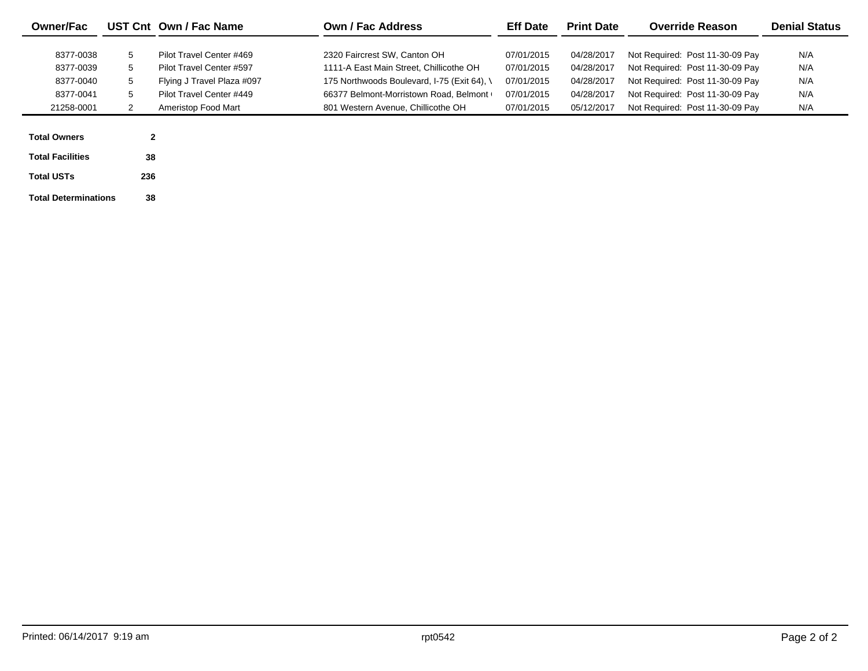| <b>Owner/Fac</b>            |              | UST Cnt Own / Fac Name     | Own / Fac Address                           | <b>Eff Date</b> | <b>Print Date</b> | <b>Override Reason</b>          | <b>Denial Status</b> |
|-----------------------------|--------------|----------------------------|---------------------------------------------|-----------------|-------------------|---------------------------------|----------------------|
|                             |              |                            |                                             |                 |                   |                                 |                      |
| 8377-0038                   | 5            | Pilot Travel Center #469   | 2320 Faircrest SW. Canton OH                | 07/01/2015      | 04/28/2017        | Not Required: Post 11-30-09 Pay | N/A                  |
| 8377-0039                   | 5            | Pilot Travel Center #597   | 1111-A East Main Street. Chillicothe OH     | 07/01/2015      | 04/28/2017        | Not Required: Post 11-30-09 Pay | N/A                  |
| 8377-0040                   | 5            | Flying J Travel Plaza #097 | 175 Northwoods Boulevard, I-75 (Exit 64), \ | 07/01/2015      | 04/28/2017        | Not Required: Post 11-30-09 Pay | N/A                  |
| 8377-0041                   | 5            | Pilot Travel Center #449   | 66377 Belmont-Morristown Road, Belmont      | 07/01/2015      | 04/28/2017        | Not Required: Post 11-30-09 Pay | N/A                  |
| 21258-0001                  |              | Ameristop Food Mart        | 801 Western Avenue, Chillicothe OH          | 07/01/2015      | 05/12/2017        | Not Required: Post 11-30-09 Pav | N/A                  |
|                             |              |                            |                                             |                 |                   |                                 |                      |
| <b>Total Owners</b>         | $\mathbf{2}$ |                            |                                             |                 |                   |                                 |                      |
| <b>Total Facilities</b>     | 38           |                            |                                             |                 |                   |                                 |                      |
| <b>Total USTs</b>           | 236          |                            |                                             |                 |                   |                                 |                      |
| <b>Total Determinations</b> | 38           |                            |                                             |                 |                   |                                 |                      |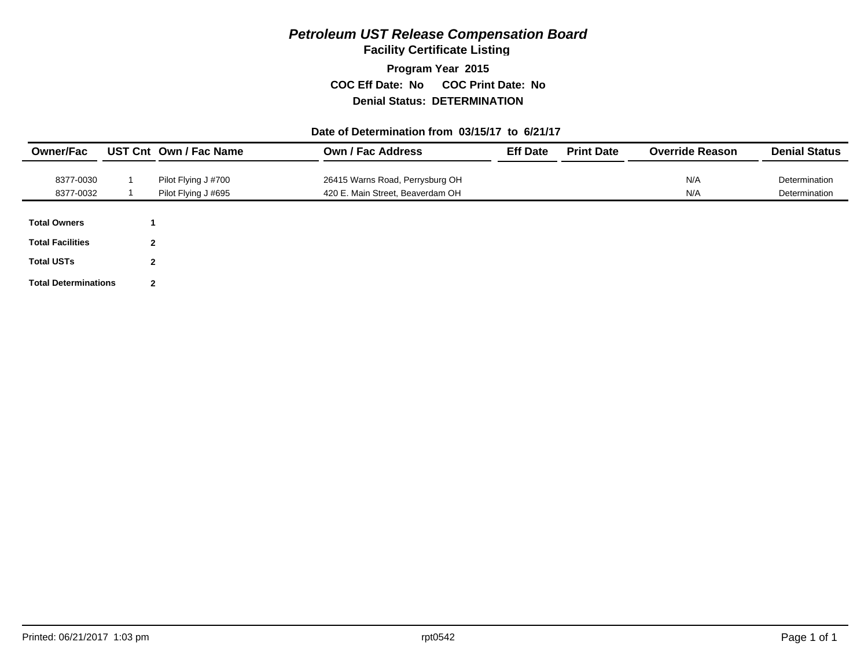**Facility Certificate Listing**

**Program Year 2015 COC Eff Date: No COC Print Date: No Denial Status: DETERMINATION**

#### **Date of Determination from 03/15/17 to 6/21/17**

| <b>Owner/Fac</b>            |                | UST Cnt Own / Fac Name | <b>Own / Fac Address</b>         | <b>Eff Date</b> | <b>Print Date</b> | <b>Override Reason</b> | <b>Denial Status</b> |
|-----------------------------|----------------|------------------------|----------------------------------|-----------------|-------------------|------------------------|----------------------|
| 8377-0030                   |                | Pilot Flying J #700    | 26415 Warns Road, Perrysburg OH  |                 |                   | N/A                    | Determination        |
| 8377-0032                   |                | Pilot Flying J #695    | 420 E. Main Street, Beaverdam OH |                 |                   | N/A                    | Determination        |
| <b>Total Owners</b>         |                |                        |                                  |                 |                   |                        |                      |
|                             |                |                        |                                  |                 |                   |                        |                      |
| <b>Total Facilities</b>     | $\mathbf{2}$   |                        |                                  |                 |                   |                        |                      |
| <b>Total USTs</b>           | $\mathbf{2}$   |                        |                                  |                 |                   |                        |                      |
| <b>Total Determinations</b> | $\overline{2}$ |                        |                                  |                 |                   |                        |                      |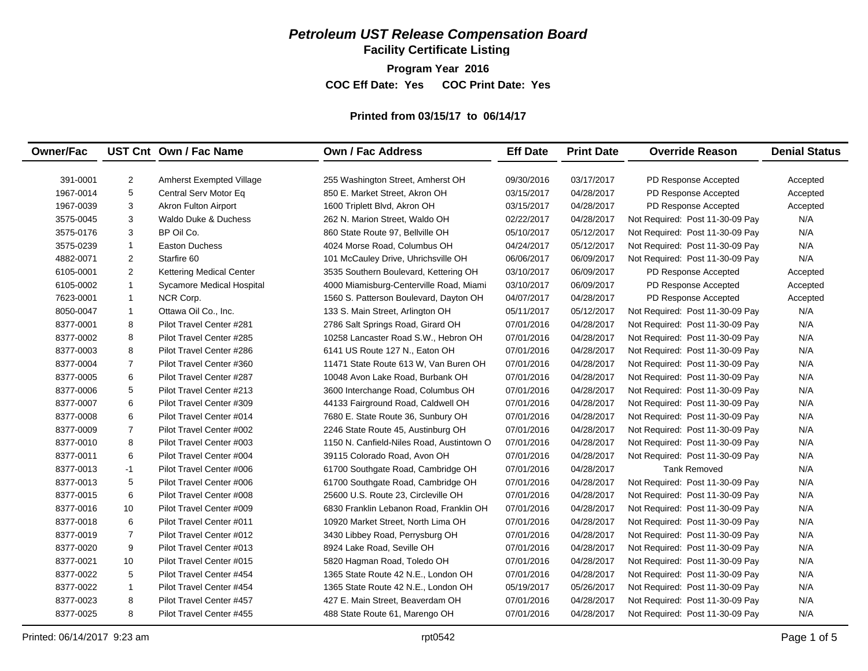**Facility Certificate Listing**

**Program Year 2016**

**COC Eff Date: Yes COC Print Date: Yes** 

#### **Printed from 03/15/17 to 06/14/17**

| 391-0001<br>$\overline{2}$<br>03/17/2017<br><b>Amherst Exempted Village</b><br>255 Washington Street, Amherst OH<br>09/30/2016<br>PD Response Accepted<br>Accepted<br>5<br>1967-0014<br>Central Serv Motor Eq<br>850 E. Market Street, Akron OH<br>PD Response Accepted<br>03/15/2017<br>04/28/2017<br>Accepted<br>3<br><b>Akron Fulton Airport</b><br>1600 Triplett Blvd, Akron OH<br>PD Response Accepted<br>1967-0039<br>03/15/2017<br>04/28/2017<br>Accepted<br>3<br>N/A<br>3575-0045<br><b>Waldo Duke &amp; Duchess</b><br>262 N. Marion Street, Waldo OH<br>02/22/2017<br>04/28/2017<br>Not Required: Post 11-30-09 Pay<br>3575-0176<br>3<br>BP Oil Co.<br>N/A<br>860 State Route 97, Bellville OH<br>05/10/2017<br>05/12/2017<br>Not Required: Post 11-30-09 Pay<br>N/A<br>3575-0239<br><b>Easton Duchess</b><br>05/12/2017<br>$\mathbf{1}$<br>4024 Morse Road, Columbus OH<br>04/24/2017<br>Not Required: Post 11-30-09 Pay<br>$\overline{c}$<br>N/A<br>4882-0071<br>Starfire 60<br>06/06/2017<br>06/09/2017<br>101 McCauley Drive, Uhrichsville OH<br>Not Required: Post 11-30-09 Pay<br>2<br>6105-0001<br>03/10/2017<br>06/09/2017<br><b>Kettering Medical Center</b><br>3535 Southern Boulevard, Kettering OH<br>PD Response Accepted<br>Accepted<br>$\mathbf{1}$<br>6105-0002<br>Sycamore Medical Hospital<br>4000 Miamisburg-Centerville Road, Miami<br>03/10/2017<br>06/09/2017<br>PD Response Accepted<br>Accepted<br>$\mathbf{1}$<br>7623-0001<br>NCR Corp.<br>1560 S. Patterson Boulevard, Dayton OH<br>04/07/2017<br>04/28/2017<br>PD Response Accepted<br>Accepted<br>8050-0047<br>$\mathbf{1}$<br>Ottawa Oil Co., Inc.<br>133 S. Main Street, Arlington OH<br>05/11/2017<br>05/12/2017<br>N/A<br>Not Required: Post 11-30-09 Pay<br>8<br>8377-0001<br>Pilot Travel Center #281<br>2786 Salt Springs Road, Girard OH<br>07/01/2016<br>04/28/2017<br>N/A<br>Not Required: Post 11-30-09 Pay<br>8<br>Pilot Travel Center #285<br>N/A<br>8377-0002<br>10258 Lancaster Road S.W., Hebron OH<br>07/01/2016<br>04/28/2017<br>Not Required: Post 11-30-09 Pay<br>8<br>Pilot Travel Center #286<br>N/A<br>8377-0003<br>6141 US Route 127 N., Eaton OH<br>07/01/2016<br>04/28/2017<br>Not Required: Post 11-30-09 Pay<br>$\overline{7}$<br>Pilot Travel Center #360<br>N/A<br>8377-0004<br>11471 State Route 613 W, Van Buren OH<br>07/01/2016<br>04/28/2017<br>Not Required: Post 11-30-09 Pay<br>6<br>Pilot Travel Center #287<br>07/01/2016<br>04/28/2017<br>N/A<br>8377-0005<br>10048 Avon Lake Road, Burbank OH<br>Not Required: Post 11-30-09 Pay<br>5<br>N/A<br>8377-0006<br>Pilot Travel Center #213<br>07/01/2016<br>04/28/2017<br>3600 Interchange Road, Columbus OH<br>Not Required: Post 11-30-09 Pay<br>6<br>N/A<br>8377-0007<br>Pilot Travel Center #309<br>44133 Fairground Road, Caldwell OH<br>07/01/2016<br>04/28/2017<br>Not Required: Post 11-30-09 Pay<br>6<br>N/A<br>8377-0008<br>Pilot Travel Center #014<br>7680 E. State Route 36, Sunbury OH<br>07/01/2016<br>04/28/2017<br>Not Required: Post 11-30-09 Pay<br>$\overline{7}$<br>Pilot Travel Center #002<br>N/A<br>8377-0009<br>2246 State Route 45, Austinburg OH<br>07/01/2016<br>04/28/2017<br>Not Required: Post 11-30-09 Pay<br>8377-0010<br>8<br>Pilot Travel Center #003<br>N/A<br>1150 N. Canfield-Niles Road, Austintown O<br>07/01/2016<br>04/28/2017<br>Not Required: Post 11-30-09 Pay<br>6<br>Pilot Travel Center #004<br>N/A<br>8377-0011<br>39115 Colorado Road, Avon OH<br>07/01/2016<br>04/28/2017<br>Not Required: Post 11-30-09 Pay<br>8377-0013<br>$-1$<br>Pilot Travel Center #006<br><b>Tank Removed</b><br>N/A<br>61700 Southgate Road, Cambridge OH<br>07/01/2016<br>04/28/2017<br>5<br>N/A<br>8377-0013<br>Pilot Travel Center #006<br>61700 Southgate Road, Cambridge OH<br>07/01/2016<br>Not Required: Post 11-30-09 Pay<br>04/28/2017<br>6<br>Pilot Travel Center #008<br>N/A<br>8377-0015<br>25600 U.S. Route 23, Circleville OH<br>07/01/2016<br>04/28/2017<br>Not Required: Post 11-30-09 Pay<br>N/A<br>10<br>Pilot Travel Center #009<br>8377-0016<br>6830 Franklin Lebanon Road, Franklin OH<br>07/01/2016<br>04/28/2017<br>Not Required: Post 11-30-09 Pay<br>N/A<br>6<br>Pilot Travel Center #011<br>8377-0018<br>10920 Market Street, North Lima OH<br>07/01/2016<br>04/28/2017<br>Not Required: Post 11-30-09 Pay<br>$\overline{7}$<br>N/A<br>8377-0019<br>Pilot Travel Center #012<br>3430 Libbey Road, Perrysburg OH<br>07/01/2016<br>04/28/2017<br>Not Required: Post 11-30-09 Pay<br>8377-0020<br>9<br>Pilot Travel Center #013<br>8924 Lake Road, Seville OH<br>07/01/2016<br>04/28/2017<br>N/A<br>Not Required: Post 11-30-09 Pay<br>N/A<br>8377-0021<br>10<br>Pilot Travel Center #015<br>5820 Hagman Road, Toledo OH<br>07/01/2016<br>04/28/2017<br>Not Required: Post 11-30-09 Pay<br>5<br>Pilot Travel Center #454<br>N/A<br>8377-0022<br>1365 State Route 42 N.E., London OH<br>07/01/2016<br>04/28/2017<br>Not Required: Post 11-30-09 Pay<br>Pilot Travel Center #454<br>N/A<br>8377-0022<br>$\mathbf{1}$<br>1365 State Route 42 N.E., London OH<br>05/19/2017<br>05/26/2017<br>Not Required: Post 11-30-09 Pay<br>8<br>Pilot Travel Center #457<br>N/A<br>8377-0023<br>427 E. Main Street, Beaverdam OH<br>07/01/2016<br>04/28/2017<br>Not Required: Post 11-30-09 Pay | <b>Owner/Fac</b> |   | UST Cnt Own / Fac Name   | <b>Own / Fac Address</b>       | <b>Eff Date</b> | <b>Print Date</b> | <b>Override Reason</b>          | <b>Denial Status</b> |
|----------------------------------------------------------------------------------------------------------------------------------------------------------------------------------------------------------------------------------------------------------------------------------------------------------------------------------------------------------------------------------------------------------------------------------------------------------------------------------------------------------------------------------------------------------------------------------------------------------------------------------------------------------------------------------------------------------------------------------------------------------------------------------------------------------------------------------------------------------------------------------------------------------------------------------------------------------------------------------------------------------------------------------------------------------------------------------------------------------------------------------------------------------------------------------------------------------------------------------------------------------------------------------------------------------------------------------------------------------------------------------------------------------------------------------------------------------------------------------------------------------------------------------------------------------------------------------------------------------------------------------------------------------------------------------------------------------------------------------------------------------------------------------------------------------------------------------------------------------------------------------------------------------------------------------------------------------------------------------------------------------------------------------------------------------------------------------------------------------------------------------------------------------------------------------------------------------------------------------------------------------------------------------------------------------------------------------------------------------------------------------------------------------------------------------------------------------------------------------------------------------------------------------------------------------------------------------------------------------------------------------------------------------------------------------------------------------------------------------------------------------------------------------------------------------------------------------------------------------------------------------------------------------------------------------------------------------------------------------------------------------------------------------------------------------------------------------------------------------------------------------------------------------------------------------------------------------------------------------------------------------------------------------------------------------------------------------------------------------------------------------------------------------------------------------------------------------------------------------------------------------------------------------------------------------------------------------------------------------------------------------------------------------------------------------------------------------------------------------------------------------------------------------------------------------------------------------------------------------------------------------------------------------------------------------------------------------------------------------------------------------------------------------------------------------------------------------------------------------------------------------------------------------------------------------------------------------------------------------------------------------------------------------------------------------------------------------------------------------------------------------------------------------------------------------------------------------------------------------------------------------------------------------------------------------------------------------------------------------------------------------------------------------------------------------------------------------------------------------------------------------------------------------------------------------------------------------------------------------------------------------------------------------------------------------------------------------------------------------------------------------------------------------------------------------------------------------------------------------------------------------------------------------------------------------------------------------------------------------------------------------------------------------------------------------------|------------------|---|--------------------------|--------------------------------|-----------------|-------------------|---------------------------------|----------------------|
|                                                                                                                                                                                                                                                                                                                                                                                                                                                                                                                                                                                                                                                                                                                                                                                                                                                                                                                                                                                                                                                                                                                                                                                                                                                                                                                                                                                                                                                                                                                                                                                                                                                                                                                                                                                                                                                                                                                                                                                                                                                                                                                                                                                                                                                                                                                                                                                                                                                                                                                                                                                                                                                                                                                                                                                                                                                                                                                                                                                                                                                                                                                                                                                                                                                                                                                                                                                                                                                                                                                                                                                                                                                                                                                                                                                                                                                                                                                                                                                                                                                                                                                                                                                                                                                                                                                                                                                                                                                                                                                                                                                                                                                                                                                                                                                                                                                                                                                                                                                                                                                                                                                                                                                                                                                                                                                |                  |   |                          |                                |                 |                   |                                 |                      |
|                                                                                                                                                                                                                                                                                                                                                                                                                                                                                                                                                                                                                                                                                                                                                                                                                                                                                                                                                                                                                                                                                                                                                                                                                                                                                                                                                                                                                                                                                                                                                                                                                                                                                                                                                                                                                                                                                                                                                                                                                                                                                                                                                                                                                                                                                                                                                                                                                                                                                                                                                                                                                                                                                                                                                                                                                                                                                                                                                                                                                                                                                                                                                                                                                                                                                                                                                                                                                                                                                                                                                                                                                                                                                                                                                                                                                                                                                                                                                                                                                                                                                                                                                                                                                                                                                                                                                                                                                                                                                                                                                                                                                                                                                                                                                                                                                                                                                                                                                                                                                                                                                                                                                                                                                                                                                                                |                  |   |                          |                                |                 |                   |                                 |                      |
|                                                                                                                                                                                                                                                                                                                                                                                                                                                                                                                                                                                                                                                                                                                                                                                                                                                                                                                                                                                                                                                                                                                                                                                                                                                                                                                                                                                                                                                                                                                                                                                                                                                                                                                                                                                                                                                                                                                                                                                                                                                                                                                                                                                                                                                                                                                                                                                                                                                                                                                                                                                                                                                                                                                                                                                                                                                                                                                                                                                                                                                                                                                                                                                                                                                                                                                                                                                                                                                                                                                                                                                                                                                                                                                                                                                                                                                                                                                                                                                                                                                                                                                                                                                                                                                                                                                                                                                                                                                                                                                                                                                                                                                                                                                                                                                                                                                                                                                                                                                                                                                                                                                                                                                                                                                                                                                |                  |   |                          |                                |                 |                   |                                 |                      |
|                                                                                                                                                                                                                                                                                                                                                                                                                                                                                                                                                                                                                                                                                                                                                                                                                                                                                                                                                                                                                                                                                                                                                                                                                                                                                                                                                                                                                                                                                                                                                                                                                                                                                                                                                                                                                                                                                                                                                                                                                                                                                                                                                                                                                                                                                                                                                                                                                                                                                                                                                                                                                                                                                                                                                                                                                                                                                                                                                                                                                                                                                                                                                                                                                                                                                                                                                                                                                                                                                                                                                                                                                                                                                                                                                                                                                                                                                                                                                                                                                                                                                                                                                                                                                                                                                                                                                                                                                                                                                                                                                                                                                                                                                                                                                                                                                                                                                                                                                                                                                                                                                                                                                                                                                                                                                                                |                  |   |                          |                                |                 |                   |                                 |                      |
|                                                                                                                                                                                                                                                                                                                                                                                                                                                                                                                                                                                                                                                                                                                                                                                                                                                                                                                                                                                                                                                                                                                                                                                                                                                                                                                                                                                                                                                                                                                                                                                                                                                                                                                                                                                                                                                                                                                                                                                                                                                                                                                                                                                                                                                                                                                                                                                                                                                                                                                                                                                                                                                                                                                                                                                                                                                                                                                                                                                                                                                                                                                                                                                                                                                                                                                                                                                                                                                                                                                                                                                                                                                                                                                                                                                                                                                                                                                                                                                                                                                                                                                                                                                                                                                                                                                                                                                                                                                                                                                                                                                                                                                                                                                                                                                                                                                                                                                                                                                                                                                                                                                                                                                                                                                                                                                |                  |   |                          |                                |                 |                   |                                 |                      |
|                                                                                                                                                                                                                                                                                                                                                                                                                                                                                                                                                                                                                                                                                                                                                                                                                                                                                                                                                                                                                                                                                                                                                                                                                                                                                                                                                                                                                                                                                                                                                                                                                                                                                                                                                                                                                                                                                                                                                                                                                                                                                                                                                                                                                                                                                                                                                                                                                                                                                                                                                                                                                                                                                                                                                                                                                                                                                                                                                                                                                                                                                                                                                                                                                                                                                                                                                                                                                                                                                                                                                                                                                                                                                                                                                                                                                                                                                                                                                                                                                                                                                                                                                                                                                                                                                                                                                                                                                                                                                                                                                                                                                                                                                                                                                                                                                                                                                                                                                                                                                                                                                                                                                                                                                                                                                                                |                  |   |                          |                                |                 |                   |                                 |                      |
|                                                                                                                                                                                                                                                                                                                                                                                                                                                                                                                                                                                                                                                                                                                                                                                                                                                                                                                                                                                                                                                                                                                                                                                                                                                                                                                                                                                                                                                                                                                                                                                                                                                                                                                                                                                                                                                                                                                                                                                                                                                                                                                                                                                                                                                                                                                                                                                                                                                                                                                                                                                                                                                                                                                                                                                                                                                                                                                                                                                                                                                                                                                                                                                                                                                                                                                                                                                                                                                                                                                                                                                                                                                                                                                                                                                                                                                                                                                                                                                                                                                                                                                                                                                                                                                                                                                                                                                                                                                                                                                                                                                                                                                                                                                                                                                                                                                                                                                                                                                                                                                                                                                                                                                                                                                                                                                |                  |   |                          |                                |                 |                   |                                 |                      |
|                                                                                                                                                                                                                                                                                                                                                                                                                                                                                                                                                                                                                                                                                                                                                                                                                                                                                                                                                                                                                                                                                                                                                                                                                                                                                                                                                                                                                                                                                                                                                                                                                                                                                                                                                                                                                                                                                                                                                                                                                                                                                                                                                                                                                                                                                                                                                                                                                                                                                                                                                                                                                                                                                                                                                                                                                                                                                                                                                                                                                                                                                                                                                                                                                                                                                                                                                                                                                                                                                                                                                                                                                                                                                                                                                                                                                                                                                                                                                                                                                                                                                                                                                                                                                                                                                                                                                                                                                                                                                                                                                                                                                                                                                                                                                                                                                                                                                                                                                                                                                                                                                                                                                                                                                                                                                                                |                  |   |                          |                                |                 |                   |                                 |                      |
|                                                                                                                                                                                                                                                                                                                                                                                                                                                                                                                                                                                                                                                                                                                                                                                                                                                                                                                                                                                                                                                                                                                                                                                                                                                                                                                                                                                                                                                                                                                                                                                                                                                                                                                                                                                                                                                                                                                                                                                                                                                                                                                                                                                                                                                                                                                                                                                                                                                                                                                                                                                                                                                                                                                                                                                                                                                                                                                                                                                                                                                                                                                                                                                                                                                                                                                                                                                                                                                                                                                                                                                                                                                                                                                                                                                                                                                                                                                                                                                                                                                                                                                                                                                                                                                                                                                                                                                                                                                                                                                                                                                                                                                                                                                                                                                                                                                                                                                                                                                                                                                                                                                                                                                                                                                                                                                |                  |   |                          |                                |                 |                   |                                 |                      |
|                                                                                                                                                                                                                                                                                                                                                                                                                                                                                                                                                                                                                                                                                                                                                                                                                                                                                                                                                                                                                                                                                                                                                                                                                                                                                                                                                                                                                                                                                                                                                                                                                                                                                                                                                                                                                                                                                                                                                                                                                                                                                                                                                                                                                                                                                                                                                                                                                                                                                                                                                                                                                                                                                                                                                                                                                                                                                                                                                                                                                                                                                                                                                                                                                                                                                                                                                                                                                                                                                                                                                                                                                                                                                                                                                                                                                                                                                                                                                                                                                                                                                                                                                                                                                                                                                                                                                                                                                                                                                                                                                                                                                                                                                                                                                                                                                                                                                                                                                                                                                                                                                                                                                                                                                                                                                                                |                  |   |                          |                                |                 |                   |                                 |                      |
|                                                                                                                                                                                                                                                                                                                                                                                                                                                                                                                                                                                                                                                                                                                                                                                                                                                                                                                                                                                                                                                                                                                                                                                                                                                                                                                                                                                                                                                                                                                                                                                                                                                                                                                                                                                                                                                                                                                                                                                                                                                                                                                                                                                                                                                                                                                                                                                                                                                                                                                                                                                                                                                                                                                                                                                                                                                                                                                                                                                                                                                                                                                                                                                                                                                                                                                                                                                                                                                                                                                                                                                                                                                                                                                                                                                                                                                                                                                                                                                                                                                                                                                                                                                                                                                                                                                                                                                                                                                                                                                                                                                                                                                                                                                                                                                                                                                                                                                                                                                                                                                                                                                                                                                                                                                                                                                |                  |   |                          |                                |                 |                   |                                 |                      |
|                                                                                                                                                                                                                                                                                                                                                                                                                                                                                                                                                                                                                                                                                                                                                                                                                                                                                                                                                                                                                                                                                                                                                                                                                                                                                                                                                                                                                                                                                                                                                                                                                                                                                                                                                                                                                                                                                                                                                                                                                                                                                                                                                                                                                                                                                                                                                                                                                                                                                                                                                                                                                                                                                                                                                                                                                                                                                                                                                                                                                                                                                                                                                                                                                                                                                                                                                                                                                                                                                                                                                                                                                                                                                                                                                                                                                                                                                                                                                                                                                                                                                                                                                                                                                                                                                                                                                                                                                                                                                                                                                                                                                                                                                                                                                                                                                                                                                                                                                                                                                                                                                                                                                                                                                                                                                                                |                  |   |                          |                                |                 |                   |                                 |                      |
|                                                                                                                                                                                                                                                                                                                                                                                                                                                                                                                                                                                                                                                                                                                                                                                                                                                                                                                                                                                                                                                                                                                                                                                                                                                                                                                                                                                                                                                                                                                                                                                                                                                                                                                                                                                                                                                                                                                                                                                                                                                                                                                                                                                                                                                                                                                                                                                                                                                                                                                                                                                                                                                                                                                                                                                                                                                                                                                                                                                                                                                                                                                                                                                                                                                                                                                                                                                                                                                                                                                                                                                                                                                                                                                                                                                                                                                                                                                                                                                                                                                                                                                                                                                                                                                                                                                                                                                                                                                                                                                                                                                                                                                                                                                                                                                                                                                                                                                                                                                                                                                                                                                                                                                                                                                                                                                |                  |   |                          |                                |                 |                   |                                 |                      |
|                                                                                                                                                                                                                                                                                                                                                                                                                                                                                                                                                                                                                                                                                                                                                                                                                                                                                                                                                                                                                                                                                                                                                                                                                                                                                                                                                                                                                                                                                                                                                                                                                                                                                                                                                                                                                                                                                                                                                                                                                                                                                                                                                                                                                                                                                                                                                                                                                                                                                                                                                                                                                                                                                                                                                                                                                                                                                                                                                                                                                                                                                                                                                                                                                                                                                                                                                                                                                                                                                                                                                                                                                                                                                                                                                                                                                                                                                                                                                                                                                                                                                                                                                                                                                                                                                                                                                                                                                                                                                                                                                                                                                                                                                                                                                                                                                                                                                                                                                                                                                                                                                                                                                                                                                                                                                                                |                  |   |                          |                                |                 |                   |                                 |                      |
|                                                                                                                                                                                                                                                                                                                                                                                                                                                                                                                                                                                                                                                                                                                                                                                                                                                                                                                                                                                                                                                                                                                                                                                                                                                                                                                                                                                                                                                                                                                                                                                                                                                                                                                                                                                                                                                                                                                                                                                                                                                                                                                                                                                                                                                                                                                                                                                                                                                                                                                                                                                                                                                                                                                                                                                                                                                                                                                                                                                                                                                                                                                                                                                                                                                                                                                                                                                                                                                                                                                                                                                                                                                                                                                                                                                                                                                                                                                                                                                                                                                                                                                                                                                                                                                                                                                                                                                                                                                                                                                                                                                                                                                                                                                                                                                                                                                                                                                                                                                                                                                                                                                                                                                                                                                                                                                |                  |   |                          |                                |                 |                   |                                 |                      |
|                                                                                                                                                                                                                                                                                                                                                                                                                                                                                                                                                                                                                                                                                                                                                                                                                                                                                                                                                                                                                                                                                                                                                                                                                                                                                                                                                                                                                                                                                                                                                                                                                                                                                                                                                                                                                                                                                                                                                                                                                                                                                                                                                                                                                                                                                                                                                                                                                                                                                                                                                                                                                                                                                                                                                                                                                                                                                                                                                                                                                                                                                                                                                                                                                                                                                                                                                                                                                                                                                                                                                                                                                                                                                                                                                                                                                                                                                                                                                                                                                                                                                                                                                                                                                                                                                                                                                                                                                                                                                                                                                                                                                                                                                                                                                                                                                                                                                                                                                                                                                                                                                                                                                                                                                                                                                                                |                  |   |                          |                                |                 |                   |                                 |                      |
|                                                                                                                                                                                                                                                                                                                                                                                                                                                                                                                                                                                                                                                                                                                                                                                                                                                                                                                                                                                                                                                                                                                                                                                                                                                                                                                                                                                                                                                                                                                                                                                                                                                                                                                                                                                                                                                                                                                                                                                                                                                                                                                                                                                                                                                                                                                                                                                                                                                                                                                                                                                                                                                                                                                                                                                                                                                                                                                                                                                                                                                                                                                                                                                                                                                                                                                                                                                                                                                                                                                                                                                                                                                                                                                                                                                                                                                                                                                                                                                                                                                                                                                                                                                                                                                                                                                                                                                                                                                                                                                                                                                                                                                                                                                                                                                                                                                                                                                                                                                                                                                                                                                                                                                                                                                                                                                |                  |   |                          |                                |                 |                   |                                 |                      |
|                                                                                                                                                                                                                                                                                                                                                                                                                                                                                                                                                                                                                                                                                                                                                                                                                                                                                                                                                                                                                                                                                                                                                                                                                                                                                                                                                                                                                                                                                                                                                                                                                                                                                                                                                                                                                                                                                                                                                                                                                                                                                                                                                                                                                                                                                                                                                                                                                                                                                                                                                                                                                                                                                                                                                                                                                                                                                                                                                                                                                                                                                                                                                                                                                                                                                                                                                                                                                                                                                                                                                                                                                                                                                                                                                                                                                                                                                                                                                                                                                                                                                                                                                                                                                                                                                                                                                                                                                                                                                                                                                                                                                                                                                                                                                                                                                                                                                                                                                                                                                                                                                                                                                                                                                                                                                                                |                  |   |                          |                                |                 |                   |                                 |                      |
|                                                                                                                                                                                                                                                                                                                                                                                                                                                                                                                                                                                                                                                                                                                                                                                                                                                                                                                                                                                                                                                                                                                                                                                                                                                                                                                                                                                                                                                                                                                                                                                                                                                                                                                                                                                                                                                                                                                                                                                                                                                                                                                                                                                                                                                                                                                                                                                                                                                                                                                                                                                                                                                                                                                                                                                                                                                                                                                                                                                                                                                                                                                                                                                                                                                                                                                                                                                                                                                                                                                                                                                                                                                                                                                                                                                                                                                                                                                                                                                                                                                                                                                                                                                                                                                                                                                                                                                                                                                                                                                                                                                                                                                                                                                                                                                                                                                                                                                                                                                                                                                                                                                                                                                                                                                                                                                |                  |   |                          |                                |                 |                   |                                 |                      |
|                                                                                                                                                                                                                                                                                                                                                                                                                                                                                                                                                                                                                                                                                                                                                                                                                                                                                                                                                                                                                                                                                                                                                                                                                                                                                                                                                                                                                                                                                                                                                                                                                                                                                                                                                                                                                                                                                                                                                                                                                                                                                                                                                                                                                                                                                                                                                                                                                                                                                                                                                                                                                                                                                                                                                                                                                                                                                                                                                                                                                                                                                                                                                                                                                                                                                                                                                                                                                                                                                                                                                                                                                                                                                                                                                                                                                                                                                                                                                                                                                                                                                                                                                                                                                                                                                                                                                                                                                                                                                                                                                                                                                                                                                                                                                                                                                                                                                                                                                                                                                                                                                                                                                                                                                                                                                                                |                  |   |                          |                                |                 |                   |                                 |                      |
|                                                                                                                                                                                                                                                                                                                                                                                                                                                                                                                                                                                                                                                                                                                                                                                                                                                                                                                                                                                                                                                                                                                                                                                                                                                                                                                                                                                                                                                                                                                                                                                                                                                                                                                                                                                                                                                                                                                                                                                                                                                                                                                                                                                                                                                                                                                                                                                                                                                                                                                                                                                                                                                                                                                                                                                                                                                                                                                                                                                                                                                                                                                                                                                                                                                                                                                                                                                                                                                                                                                                                                                                                                                                                                                                                                                                                                                                                                                                                                                                                                                                                                                                                                                                                                                                                                                                                                                                                                                                                                                                                                                                                                                                                                                                                                                                                                                                                                                                                                                                                                                                                                                                                                                                                                                                                                                |                  |   |                          |                                |                 |                   |                                 |                      |
|                                                                                                                                                                                                                                                                                                                                                                                                                                                                                                                                                                                                                                                                                                                                                                                                                                                                                                                                                                                                                                                                                                                                                                                                                                                                                                                                                                                                                                                                                                                                                                                                                                                                                                                                                                                                                                                                                                                                                                                                                                                                                                                                                                                                                                                                                                                                                                                                                                                                                                                                                                                                                                                                                                                                                                                                                                                                                                                                                                                                                                                                                                                                                                                                                                                                                                                                                                                                                                                                                                                                                                                                                                                                                                                                                                                                                                                                                                                                                                                                                                                                                                                                                                                                                                                                                                                                                                                                                                                                                                                                                                                                                                                                                                                                                                                                                                                                                                                                                                                                                                                                                                                                                                                                                                                                                                                |                  |   |                          |                                |                 |                   |                                 |                      |
|                                                                                                                                                                                                                                                                                                                                                                                                                                                                                                                                                                                                                                                                                                                                                                                                                                                                                                                                                                                                                                                                                                                                                                                                                                                                                                                                                                                                                                                                                                                                                                                                                                                                                                                                                                                                                                                                                                                                                                                                                                                                                                                                                                                                                                                                                                                                                                                                                                                                                                                                                                                                                                                                                                                                                                                                                                                                                                                                                                                                                                                                                                                                                                                                                                                                                                                                                                                                                                                                                                                                                                                                                                                                                                                                                                                                                                                                                                                                                                                                                                                                                                                                                                                                                                                                                                                                                                                                                                                                                                                                                                                                                                                                                                                                                                                                                                                                                                                                                                                                                                                                                                                                                                                                                                                                                                                |                  |   |                          |                                |                 |                   |                                 |                      |
|                                                                                                                                                                                                                                                                                                                                                                                                                                                                                                                                                                                                                                                                                                                                                                                                                                                                                                                                                                                                                                                                                                                                                                                                                                                                                                                                                                                                                                                                                                                                                                                                                                                                                                                                                                                                                                                                                                                                                                                                                                                                                                                                                                                                                                                                                                                                                                                                                                                                                                                                                                                                                                                                                                                                                                                                                                                                                                                                                                                                                                                                                                                                                                                                                                                                                                                                                                                                                                                                                                                                                                                                                                                                                                                                                                                                                                                                                                                                                                                                                                                                                                                                                                                                                                                                                                                                                                                                                                                                                                                                                                                                                                                                                                                                                                                                                                                                                                                                                                                                                                                                                                                                                                                                                                                                                                                |                  |   |                          |                                |                 |                   |                                 |                      |
|                                                                                                                                                                                                                                                                                                                                                                                                                                                                                                                                                                                                                                                                                                                                                                                                                                                                                                                                                                                                                                                                                                                                                                                                                                                                                                                                                                                                                                                                                                                                                                                                                                                                                                                                                                                                                                                                                                                                                                                                                                                                                                                                                                                                                                                                                                                                                                                                                                                                                                                                                                                                                                                                                                                                                                                                                                                                                                                                                                                                                                                                                                                                                                                                                                                                                                                                                                                                                                                                                                                                                                                                                                                                                                                                                                                                                                                                                                                                                                                                                                                                                                                                                                                                                                                                                                                                                                                                                                                                                                                                                                                                                                                                                                                                                                                                                                                                                                                                                                                                                                                                                                                                                                                                                                                                                                                |                  |   |                          |                                |                 |                   |                                 |                      |
|                                                                                                                                                                                                                                                                                                                                                                                                                                                                                                                                                                                                                                                                                                                                                                                                                                                                                                                                                                                                                                                                                                                                                                                                                                                                                                                                                                                                                                                                                                                                                                                                                                                                                                                                                                                                                                                                                                                                                                                                                                                                                                                                                                                                                                                                                                                                                                                                                                                                                                                                                                                                                                                                                                                                                                                                                                                                                                                                                                                                                                                                                                                                                                                                                                                                                                                                                                                                                                                                                                                                                                                                                                                                                                                                                                                                                                                                                                                                                                                                                                                                                                                                                                                                                                                                                                                                                                                                                                                                                                                                                                                                                                                                                                                                                                                                                                                                                                                                                                                                                                                                                                                                                                                                                                                                                                                |                  |   |                          |                                |                 |                   |                                 |                      |
|                                                                                                                                                                                                                                                                                                                                                                                                                                                                                                                                                                                                                                                                                                                                                                                                                                                                                                                                                                                                                                                                                                                                                                                                                                                                                                                                                                                                                                                                                                                                                                                                                                                                                                                                                                                                                                                                                                                                                                                                                                                                                                                                                                                                                                                                                                                                                                                                                                                                                                                                                                                                                                                                                                                                                                                                                                                                                                                                                                                                                                                                                                                                                                                                                                                                                                                                                                                                                                                                                                                                                                                                                                                                                                                                                                                                                                                                                                                                                                                                                                                                                                                                                                                                                                                                                                                                                                                                                                                                                                                                                                                                                                                                                                                                                                                                                                                                                                                                                                                                                                                                                                                                                                                                                                                                                                                |                  |   |                          |                                |                 |                   |                                 |                      |
|                                                                                                                                                                                                                                                                                                                                                                                                                                                                                                                                                                                                                                                                                                                                                                                                                                                                                                                                                                                                                                                                                                                                                                                                                                                                                                                                                                                                                                                                                                                                                                                                                                                                                                                                                                                                                                                                                                                                                                                                                                                                                                                                                                                                                                                                                                                                                                                                                                                                                                                                                                                                                                                                                                                                                                                                                                                                                                                                                                                                                                                                                                                                                                                                                                                                                                                                                                                                                                                                                                                                                                                                                                                                                                                                                                                                                                                                                                                                                                                                                                                                                                                                                                                                                                                                                                                                                                                                                                                                                                                                                                                                                                                                                                                                                                                                                                                                                                                                                                                                                                                                                                                                                                                                                                                                                                                |                  |   |                          |                                |                 |                   |                                 |                      |
|                                                                                                                                                                                                                                                                                                                                                                                                                                                                                                                                                                                                                                                                                                                                                                                                                                                                                                                                                                                                                                                                                                                                                                                                                                                                                                                                                                                                                                                                                                                                                                                                                                                                                                                                                                                                                                                                                                                                                                                                                                                                                                                                                                                                                                                                                                                                                                                                                                                                                                                                                                                                                                                                                                                                                                                                                                                                                                                                                                                                                                                                                                                                                                                                                                                                                                                                                                                                                                                                                                                                                                                                                                                                                                                                                                                                                                                                                                                                                                                                                                                                                                                                                                                                                                                                                                                                                                                                                                                                                                                                                                                                                                                                                                                                                                                                                                                                                                                                                                                                                                                                                                                                                                                                                                                                                                                |                  |   |                          |                                |                 |                   |                                 |                      |
|                                                                                                                                                                                                                                                                                                                                                                                                                                                                                                                                                                                                                                                                                                                                                                                                                                                                                                                                                                                                                                                                                                                                                                                                                                                                                                                                                                                                                                                                                                                                                                                                                                                                                                                                                                                                                                                                                                                                                                                                                                                                                                                                                                                                                                                                                                                                                                                                                                                                                                                                                                                                                                                                                                                                                                                                                                                                                                                                                                                                                                                                                                                                                                                                                                                                                                                                                                                                                                                                                                                                                                                                                                                                                                                                                                                                                                                                                                                                                                                                                                                                                                                                                                                                                                                                                                                                                                                                                                                                                                                                                                                                                                                                                                                                                                                                                                                                                                                                                                                                                                                                                                                                                                                                                                                                                                                |                  |   |                          |                                |                 |                   |                                 |                      |
|                                                                                                                                                                                                                                                                                                                                                                                                                                                                                                                                                                                                                                                                                                                                                                                                                                                                                                                                                                                                                                                                                                                                                                                                                                                                                                                                                                                                                                                                                                                                                                                                                                                                                                                                                                                                                                                                                                                                                                                                                                                                                                                                                                                                                                                                                                                                                                                                                                                                                                                                                                                                                                                                                                                                                                                                                                                                                                                                                                                                                                                                                                                                                                                                                                                                                                                                                                                                                                                                                                                                                                                                                                                                                                                                                                                                                                                                                                                                                                                                                                                                                                                                                                                                                                                                                                                                                                                                                                                                                                                                                                                                                                                                                                                                                                                                                                                                                                                                                                                                                                                                                                                                                                                                                                                                                                                |                  |   |                          |                                |                 |                   |                                 |                      |
|                                                                                                                                                                                                                                                                                                                                                                                                                                                                                                                                                                                                                                                                                                                                                                                                                                                                                                                                                                                                                                                                                                                                                                                                                                                                                                                                                                                                                                                                                                                                                                                                                                                                                                                                                                                                                                                                                                                                                                                                                                                                                                                                                                                                                                                                                                                                                                                                                                                                                                                                                                                                                                                                                                                                                                                                                                                                                                                                                                                                                                                                                                                                                                                                                                                                                                                                                                                                                                                                                                                                                                                                                                                                                                                                                                                                                                                                                                                                                                                                                                                                                                                                                                                                                                                                                                                                                                                                                                                                                                                                                                                                                                                                                                                                                                                                                                                                                                                                                                                                                                                                                                                                                                                                                                                                                                                |                  |   |                          |                                |                 |                   |                                 |                      |
|                                                                                                                                                                                                                                                                                                                                                                                                                                                                                                                                                                                                                                                                                                                                                                                                                                                                                                                                                                                                                                                                                                                                                                                                                                                                                                                                                                                                                                                                                                                                                                                                                                                                                                                                                                                                                                                                                                                                                                                                                                                                                                                                                                                                                                                                                                                                                                                                                                                                                                                                                                                                                                                                                                                                                                                                                                                                                                                                                                                                                                                                                                                                                                                                                                                                                                                                                                                                                                                                                                                                                                                                                                                                                                                                                                                                                                                                                                                                                                                                                                                                                                                                                                                                                                                                                                                                                                                                                                                                                                                                                                                                                                                                                                                                                                                                                                                                                                                                                                                                                                                                                                                                                                                                                                                                                                                |                  |   |                          |                                |                 |                   |                                 |                      |
|                                                                                                                                                                                                                                                                                                                                                                                                                                                                                                                                                                                                                                                                                                                                                                                                                                                                                                                                                                                                                                                                                                                                                                                                                                                                                                                                                                                                                                                                                                                                                                                                                                                                                                                                                                                                                                                                                                                                                                                                                                                                                                                                                                                                                                                                                                                                                                                                                                                                                                                                                                                                                                                                                                                                                                                                                                                                                                                                                                                                                                                                                                                                                                                                                                                                                                                                                                                                                                                                                                                                                                                                                                                                                                                                                                                                                                                                                                                                                                                                                                                                                                                                                                                                                                                                                                                                                                                                                                                                                                                                                                                                                                                                                                                                                                                                                                                                                                                                                                                                                                                                                                                                                                                                                                                                                                                |                  |   |                          |                                |                 |                   |                                 |                      |
|                                                                                                                                                                                                                                                                                                                                                                                                                                                                                                                                                                                                                                                                                                                                                                                                                                                                                                                                                                                                                                                                                                                                                                                                                                                                                                                                                                                                                                                                                                                                                                                                                                                                                                                                                                                                                                                                                                                                                                                                                                                                                                                                                                                                                                                                                                                                                                                                                                                                                                                                                                                                                                                                                                                                                                                                                                                                                                                                                                                                                                                                                                                                                                                                                                                                                                                                                                                                                                                                                                                                                                                                                                                                                                                                                                                                                                                                                                                                                                                                                                                                                                                                                                                                                                                                                                                                                                                                                                                                                                                                                                                                                                                                                                                                                                                                                                                                                                                                                                                                                                                                                                                                                                                                                                                                                                                | 8377-0025        | 8 | Pilot Travel Center #455 | 488 State Route 61, Marengo OH | 07/01/2016      | 04/28/2017        | Not Required: Post 11-30-09 Pay | N/A                  |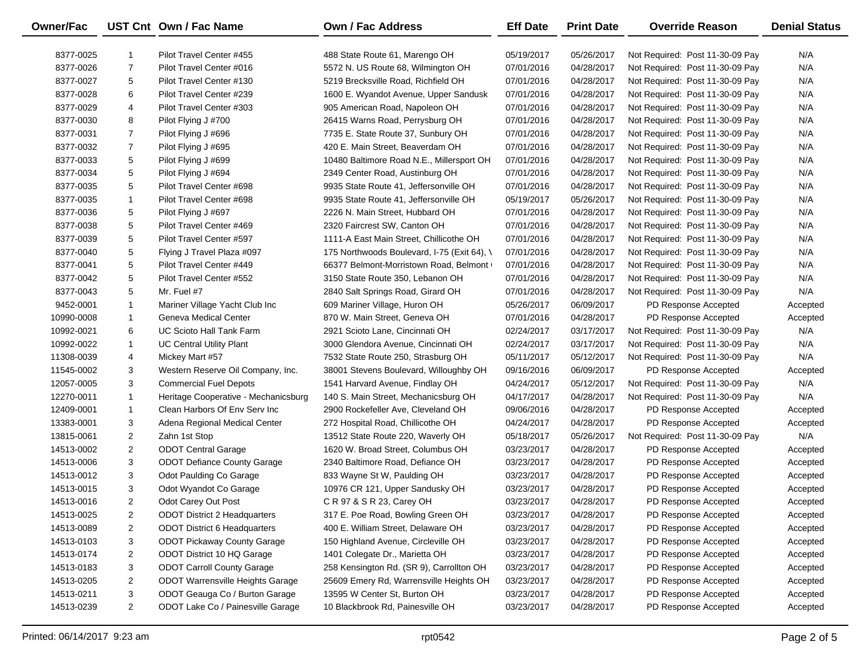| Owner/Fac  |                | UST Cnt Own / Fac Name               | <b>Own / Fac Address</b>                    | <b>Eff Date</b> | <b>Print Date</b> | <b>Override Reason</b>          | <b>Denial Status</b> |
|------------|----------------|--------------------------------------|---------------------------------------------|-----------------|-------------------|---------------------------------|----------------------|
| 8377-0025  | 1              | Pilot Travel Center #455             | 488 State Route 61, Marengo OH              | 05/19/2017      | 05/26/2017        | Not Required: Post 11-30-09 Pay | N/A                  |
| 8377-0026  | $\overline{7}$ | Pilot Travel Center #016             | 5572 N. US Route 68, Wilmington OH          | 07/01/2016      | 04/28/2017        | Not Required: Post 11-30-09 Pay | N/A                  |
| 8377-0027  | 5              | Pilot Travel Center #130             | 5219 Brecksville Road, Richfield OH         | 07/01/2016      | 04/28/2017        | Not Required: Post 11-30-09 Pay | N/A                  |
| 8377-0028  | 6              | Pilot Travel Center #239             | 1600 E. Wyandot Avenue, Upper Sandusk       | 07/01/2016      | 04/28/2017        | Not Required: Post 11-30-09 Pay | N/A                  |
| 8377-0029  | 4              | Pilot Travel Center #303             | 905 American Road, Napoleon OH              | 07/01/2016      | 04/28/2017        | Not Required: Post 11-30-09 Pay | N/A                  |
| 8377-0030  | 8              | Pilot Flying J #700                  | 26415 Warns Road, Perrysburg OH             | 07/01/2016      | 04/28/2017        | Not Required: Post 11-30-09 Pay | N/A                  |
| 8377-0031  | $\overline{7}$ | Pilot Flying J #696                  | 7735 E. State Route 37, Sunbury OH          | 07/01/2016      | 04/28/2017        | Not Required: Post 11-30-09 Pay | N/A                  |
| 8377-0032  | $\overline{7}$ | Pilot Flying J #695                  | 420 E. Main Street, Beaverdam OH            | 07/01/2016      | 04/28/2017        | Not Required: Post 11-30-09 Pay | N/A                  |
| 8377-0033  | 5              | Pilot Flying J #699                  | 10480 Baltimore Road N.E., Millersport OH   | 07/01/2016      | 04/28/2017        | Not Required: Post 11-30-09 Pay | N/A                  |
| 8377-0034  | 5              | Pilot Flying J #694                  | 2349 Center Road, Austinburg OH             | 07/01/2016      | 04/28/2017        | Not Required: Post 11-30-09 Pay | N/A                  |
| 8377-0035  | 5              | Pilot Travel Center #698             | 9935 State Route 41, Jeffersonville OH      | 07/01/2016      | 04/28/2017        | Not Required: Post 11-30-09 Pay | N/A                  |
| 8377-0035  | $\mathbf{1}$   | Pilot Travel Center #698             | 9935 State Route 41, Jeffersonville OH      | 05/19/2017      | 05/26/2017        | Not Required: Post 11-30-09 Pay | N/A                  |
| 8377-0036  | 5              | Pilot Flying J #697                  | 2226 N. Main Street, Hubbard OH             | 07/01/2016      | 04/28/2017        | Not Required: Post 11-30-09 Pay | N/A                  |
| 8377-0038  | 5              | Pilot Travel Center #469             | 2320 Faircrest SW, Canton OH                | 07/01/2016      | 04/28/2017        | Not Required: Post 11-30-09 Pay | N/A                  |
| 8377-0039  | 5              | Pilot Travel Center #597             | 1111-A East Main Street, Chillicothe OH     | 07/01/2016      | 04/28/2017        | Not Required: Post 11-30-09 Pay | N/A                  |
| 8377-0040  | 5              | Flying J Travel Plaza #097           | 175 Northwoods Boulevard, I-75 (Exit 64), \ | 07/01/2016      | 04/28/2017        | Not Required: Post 11-30-09 Pay | N/A                  |
| 8377-0041  | 5              | Pilot Travel Center #449             | 66377 Belmont-Morristown Road, Belmont      | 07/01/2016      | 04/28/2017        | Not Required: Post 11-30-09 Pay | N/A                  |
| 8377-0042  | 5              | Pilot Travel Center #552             | 3150 State Route 350, Lebanon OH            | 07/01/2016      | 04/28/2017        | Not Required: Post 11-30-09 Pay | N/A                  |
| 8377-0043  | 5              | Mr. Fuel #7                          | 2840 Salt Springs Road, Girard OH           | 07/01/2016      | 04/28/2017        | Not Required: Post 11-30-09 Pay | N/A                  |
| 9452-0001  | $\mathbf{1}$   | Mariner Village Yacht Club Inc       | 609 Mariner Village, Huron OH               | 05/26/2017      | 06/09/2017        | PD Response Accepted            | Accepted             |
| 10990-0008 | 1              | Geneva Medical Center                | 870 W. Main Street, Geneva OH               | 07/01/2016      | 04/28/2017        | PD Response Accepted            | Accepted             |
| 10992-0021 | 6              | UC Scioto Hall Tank Farm             | 2921 Scioto Lane, Cincinnati OH             | 02/24/2017      | 03/17/2017        | Not Required: Post 11-30-09 Pay | N/A                  |
| 10992-0022 | $\mathbf{1}$   | <b>UC Central Utility Plant</b>      | 3000 Glendora Avenue, Cincinnati OH         | 02/24/2017      | 03/17/2017        | Not Required: Post 11-30-09 Pay | N/A                  |
| 11308-0039 | 4              | Mickey Mart #57                      | 7532 State Route 250, Strasburg OH          | 05/11/2017      | 05/12/2017        | Not Required: Post 11-30-09 Pay | N/A                  |
| 11545-0002 | 3              | Western Reserve Oil Company, Inc.    | 38001 Stevens Boulevard, Willoughby OH      | 09/16/2016      | 06/09/2017        | PD Response Accepted            | Accepted             |
| 12057-0005 | 3              | <b>Commercial Fuel Depots</b>        | 1541 Harvard Avenue, Findlay OH             | 04/24/2017      | 05/12/2017        | Not Required: Post 11-30-09 Pay | N/A                  |
| 12270-0011 | $\mathbf{1}$   | Heritage Cooperative - Mechanicsburg | 140 S. Main Street, Mechanicsburg OH        | 04/17/2017      | 04/28/2017        | Not Required: Post 11-30-09 Pay | N/A                  |
| 12409-0001 | $\mathbf{1}$   | Clean Harbors Of Env Serv Inc        | 2900 Rockefeller Ave, Cleveland OH          | 09/06/2016      | 04/28/2017        | PD Response Accepted            | Accepted             |
| 13383-0001 | 3              | Adena Regional Medical Center        | 272 Hospital Road, Chillicothe OH           | 04/24/2017      | 04/28/2017        | PD Response Accepted            | Accepted             |
| 13815-0061 | $\overline{2}$ | Zahn 1st Stop                        | 13512 State Route 220, Waverly OH           | 05/18/2017      | 05/26/2017        | Not Required: Post 11-30-09 Pay | N/A                  |
| 14513-0002 | $\overline{2}$ | <b>ODOT Central Garage</b>           | 1620 W. Broad Street, Columbus OH           | 03/23/2017      | 04/28/2017        | PD Response Accepted            | Accepted             |
| 14513-0006 | 3              | <b>ODOT Defiance County Garage</b>   | 2340 Baltimore Road, Defiance OH            | 03/23/2017      | 04/28/2017        | PD Response Accepted            | Accepted             |
| 14513-0012 | 3              | Odot Paulding Co Garage              | 833 Wayne St W, Paulding OH                 | 03/23/2017      | 04/28/2017        | PD Response Accepted            | Accepted             |
| 14513-0015 | 3              | Odot Wyandot Co Garage               | 10976 CR 121, Upper Sandusky OH             | 03/23/2017      | 04/28/2017        | PD Response Accepted            | Accepted             |
| 14513-0016 | $\overline{2}$ | Odot Carey Out Post                  | C R 97 & S R 23, Carey OH                   | 03/23/2017      | 04/28/2017        | PD Response Accepted            | Accepted             |
| 14513-0025 | 2              | <b>ODOT District 2 Headquarters</b>  | 317 E. Poe Road, Bowling Green OH           | 03/23/2017      | 04/28/2017        | PD Response Accepted            | Accepted             |
| 14513-0089 | 2              | ODOT District 6 Headquarters         | 400 E. William Street, Delaware OH          | 03/23/2017      | 04/28/2017        | PD Response Accepted            | Accepted             |
| 14513-0103 | 3              | <b>ODOT Pickaway County Garage</b>   | 150 Highland Avenue, Circleville OH         | 03/23/2017      | 04/28/2017        | PD Response Accepted            | Accepted             |
| 14513-0174 | 2              | ODOT District 10 HQ Garage           | 1401 Colegate Dr., Marietta OH              | 03/23/2017      | 04/28/2017        | PD Response Accepted            | Accepted             |
| 14513-0183 | 3              | <b>ODOT Carroll County Garage</b>    | 258 Kensington Rd. (SR 9), Carrollton OH    | 03/23/2017      | 04/28/2017        | PD Response Accepted            | Accepted             |
| 14513-0205 | 2              | ODOT Warrensville Heights Garage     | 25609 Emery Rd, Warrensville Heights OH     | 03/23/2017      | 04/28/2017        | PD Response Accepted            | Accepted             |
| 14513-0211 | 3              | ODOT Geauga Co / Burton Garage       | 13595 W Center St, Burton OH                | 03/23/2017      | 04/28/2017        | PD Response Accepted            | Accepted             |
| 14513-0239 | $\overline{a}$ | ODOT Lake Co / Painesville Garage    | 10 Blackbrook Rd, Painesville OH            | 03/23/2017      | 04/28/2017        | PD Response Accepted            | Accepted             |

 $\overline{\phantom{0}}$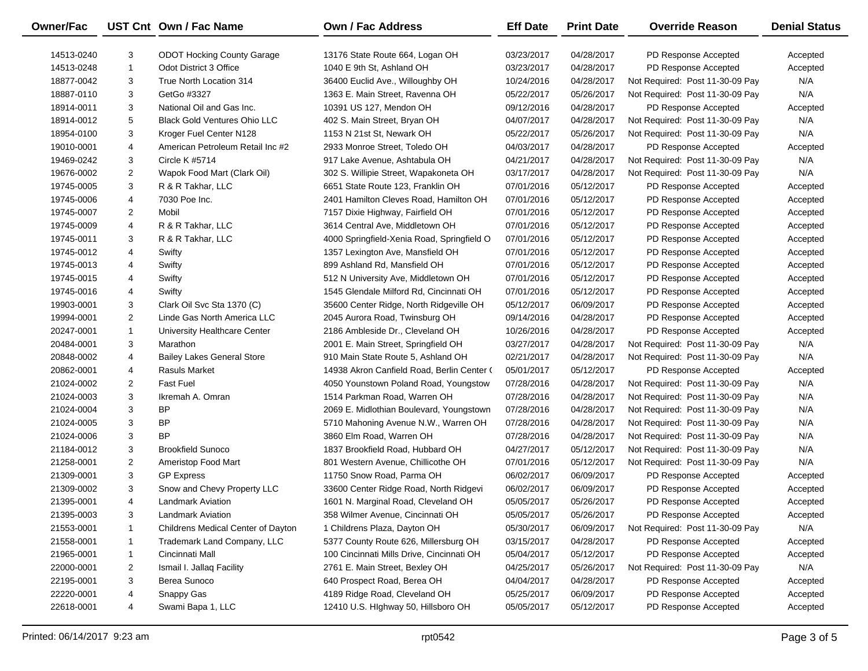| Owner/Fac  |                | UST Cnt Own / Fac Name              | Own / Fac Address                          | <b>Eff Date</b> | <b>Print Date</b> | <b>Override Reason</b>          | <b>Denial Status</b> |
|------------|----------------|-------------------------------------|--------------------------------------------|-----------------|-------------------|---------------------------------|----------------------|
| 14513-0240 | 3              | <b>ODOT Hocking County Garage</b>   | 13176 State Route 664, Logan OH            | 03/23/2017      | 04/28/2017        | PD Response Accepted            | Accepted             |
| 14513-0248 | $\mathbf{1}$   | Odot District 3 Office              | 1040 E 9th St, Ashland OH                  | 03/23/2017      | 04/28/2017        | PD Response Accepted            | Accepted             |
| 18877-0042 | 3              | True North Location 314             | 36400 Euclid Ave., Willoughby OH           | 10/24/2016      | 04/28/2017        | Not Required: Post 11-30-09 Pay | N/A                  |
| 18887-0110 | 3              | GetGo #3327                         | 1363 E. Main Street, Ravenna OH            | 05/22/2017      | 05/26/2017        | Not Required: Post 11-30-09 Pay | N/A                  |
| 18914-0011 | 3              | National Oil and Gas Inc.           | 10391 US 127, Mendon OH                    | 09/12/2016      | 04/28/2017        | PD Response Accepted            | Accepted             |
| 18914-0012 | 5              | <b>Black Gold Ventures Ohio LLC</b> | 402 S. Main Street, Bryan OH               | 04/07/2017      | 04/28/2017        | Not Required: Post 11-30-09 Pay | N/A                  |
| 18954-0100 | 3              | Kroger Fuel Center N128             | 1153 N 21st St, Newark OH                  | 05/22/2017      | 05/26/2017        | Not Required: Post 11-30-09 Pay | N/A                  |
| 19010-0001 | 4              | American Petroleum Retail Inc #2    | 2933 Monroe Street, Toledo OH              | 04/03/2017      | 04/28/2017        | PD Response Accepted            | Accepted             |
| 19469-0242 | 3              | Circle K #5714                      | 917 Lake Avenue, Ashtabula OH              | 04/21/2017      | 04/28/2017        | Not Required: Post 11-30-09 Pay | N/A                  |
| 19676-0002 | $\overline{2}$ | Wapok Food Mart (Clark Oil)         | 302 S. Willipie Street, Wapakoneta OH      | 03/17/2017      | 04/28/2017        | Not Required: Post 11-30-09 Pay | N/A                  |
| 19745-0005 | 3              | R & R Takhar, LLC                   | 6651 State Route 123, Franklin OH          | 07/01/2016      | 05/12/2017        | PD Response Accepted            | Accepted             |
| 19745-0006 | 4              | 7030 Poe Inc.                       | 2401 Hamilton Cleves Road, Hamilton OH     | 07/01/2016      | 05/12/2017        | PD Response Accepted            | Accepted             |
| 19745-0007 | $\overline{2}$ | Mobil                               | 7157 Dixie Highway, Fairfield OH           | 07/01/2016      | 05/12/2017        | PD Response Accepted            | Accepted             |
| 19745-0009 | 4              | R & R Takhar, LLC                   | 3614 Central Ave, Middletown OH            | 07/01/2016      | 05/12/2017        | PD Response Accepted            | Accepted             |
| 19745-0011 | 3              | R & R Takhar, LLC                   | 4000 Springfield-Xenia Road, Springfield O | 07/01/2016      | 05/12/2017        | PD Response Accepted            | Accepted             |
| 19745-0012 | 4              | Swifty                              | 1357 Lexington Ave, Mansfield OH           | 07/01/2016      | 05/12/2017        | PD Response Accepted            | Accepted             |
| 19745-0013 | 4              | Swifty                              | 899 Ashland Rd, Mansfield OH               | 07/01/2016      | 05/12/2017        | PD Response Accepted            | Accepted             |
| 19745-0015 | 4              | Swifty                              | 512 N University Ave, Middletown OH        | 07/01/2016      | 05/12/2017        | PD Response Accepted            | Accepted             |
| 19745-0016 | 4              | Swifty                              | 1545 Glendale Milford Rd, Cincinnati OH    | 07/01/2016      | 05/12/2017        | PD Response Accepted            | Accepted             |
| 19903-0001 | 3              | Clark Oil Svc Sta 1370 (C)          | 35600 Center Ridge, North Ridgeville OH    | 05/12/2017      | 06/09/2017        | PD Response Accepted            | Accepted             |
| 19994-0001 | $\overline{2}$ | Linde Gas North America LLC         | 2045 Aurora Road, Twinsburg OH             | 09/14/2016      | 04/28/2017        | PD Response Accepted            | Accepted             |
| 20247-0001 | $\mathbf{1}$   | University Healthcare Center        | 2186 Ambleside Dr., Cleveland OH           | 10/26/2016      | 04/28/2017        | PD Response Accepted            | Accepted             |
| 20484-0001 | 3              | Marathon                            | 2001 E. Main Street, Springfield OH        | 03/27/2017      | 04/28/2017        | Not Required: Post 11-30-09 Pay | N/A                  |
| 20848-0002 | 4              | <b>Bailey Lakes General Store</b>   | 910 Main State Route 5, Ashland OH         | 02/21/2017      | 04/28/2017        | Not Required: Post 11-30-09 Pay | N/A                  |
| 20862-0001 | 4              | Rasuls Market                       | 14938 Akron Canfield Road, Berlin Center ( | 05/01/2017      | 05/12/2017        | PD Response Accepted            | Accepted             |
| 21024-0002 | $\overline{2}$ | <b>Fast Fuel</b>                    | 4050 Younstown Poland Road, Youngstow      | 07/28/2016      | 04/28/2017        | Not Required: Post 11-30-09 Pay | N/A                  |
| 21024-0003 | 3              | Ikremah A. Omran                    | 1514 Parkman Road, Warren OH               | 07/28/2016      | 04/28/2017        | Not Required: Post 11-30-09 Pay | N/A                  |
| 21024-0004 | 3              | BP                                  | 2069 E. Midlothian Boulevard, Youngstown   | 07/28/2016      | 04/28/2017        | Not Required: Post 11-30-09 Pay | N/A                  |
| 21024-0005 | 3              | BP                                  | 5710 Mahoning Avenue N.W., Warren OH       | 07/28/2016      | 04/28/2017        | Not Required: Post 11-30-09 Pay | N/A                  |
| 21024-0006 | 3              | <b>BP</b>                           | 3860 Elm Road, Warren OH                   | 07/28/2016      | 04/28/2017        | Not Required: Post 11-30-09 Pay | N/A                  |
| 21184-0012 | 3              | <b>Brookfield Sunoco</b>            | 1837 Brookfield Road, Hubbard OH           | 04/27/2017      | 05/12/2017        | Not Required: Post 11-30-09 Pay | N/A                  |
| 21258-0001 | $\overline{2}$ | Ameristop Food Mart                 | 801 Western Avenue, Chillicothe OH         | 07/01/2016      | 05/12/2017        | Not Required: Post 11-30-09 Pay | N/A                  |
| 21309-0001 | 3              | <b>GP Express</b>                   | 11750 Snow Road, Parma OH                  | 06/02/2017      | 06/09/2017        | PD Response Accepted            | Accepted             |
| 21309-0002 | 3              | Snow and Chevy Property LLC         | 33600 Center Ridge Road, North Ridgevi     | 06/02/2017      | 06/09/2017        | PD Response Accepted            | Accepted             |
| 21395-0001 | $\overline{4}$ | <b>Landmark Aviation</b>            | 1601 N. Marginal Road, Cleveland OH        | 05/05/2017      | 05/26/2017        | PD Response Accepted            | Accepted             |
| 21395-0003 | 3              | <b>Landmark Aviation</b>            | 358 Wilmer Avenue, Cincinnati OH           | 05/05/2017      | 05/26/2017        | PD Response Accepted            | Accepted             |
| 21553-0001 | 1              | Childrens Medical Center of Dayton  | 1 Childrens Plaza, Dayton OH               | 05/30/2017      | 06/09/2017        | Not Required: Post 11-30-09 Pay | N/A                  |
| 21558-0001 | $\mathbf{1}$   | Trademark Land Company, LLC         | 5377 County Route 626, Millersburg OH      | 03/15/2017      | 04/28/2017        | PD Response Accepted            | Accepted             |
| 21965-0001 | $\mathbf{1}$   | Cincinnati Mall                     | 100 Cincinnati Mills Drive, Cincinnati OH  | 05/04/2017      | 05/12/2017        | PD Response Accepted            | Accepted             |
| 22000-0001 | 2              | Ismail I. Jallaq Facility           | 2761 E. Main Street, Bexley OH             | 04/25/2017      | 05/26/2017        | Not Required: Post 11-30-09 Pay | N/A                  |
| 22195-0001 | 3              | Berea Sunoco                        | 640 Prospect Road, Berea OH                | 04/04/2017      | 04/28/2017        | PD Response Accepted            | Accepted             |
| 22220-0001 | 4              | Snappy Gas                          | 4189 Ridge Road, Cleveland OH              | 05/25/2017      | 06/09/2017        | PD Response Accepted            | Accepted             |
| 22618-0001 | 4              | Swami Bapa 1, LLC                   | 12410 U.S. Highway 50, Hillsboro OH        | 05/05/2017      | 05/12/2017        | PD Response Accepted            | Accepted             |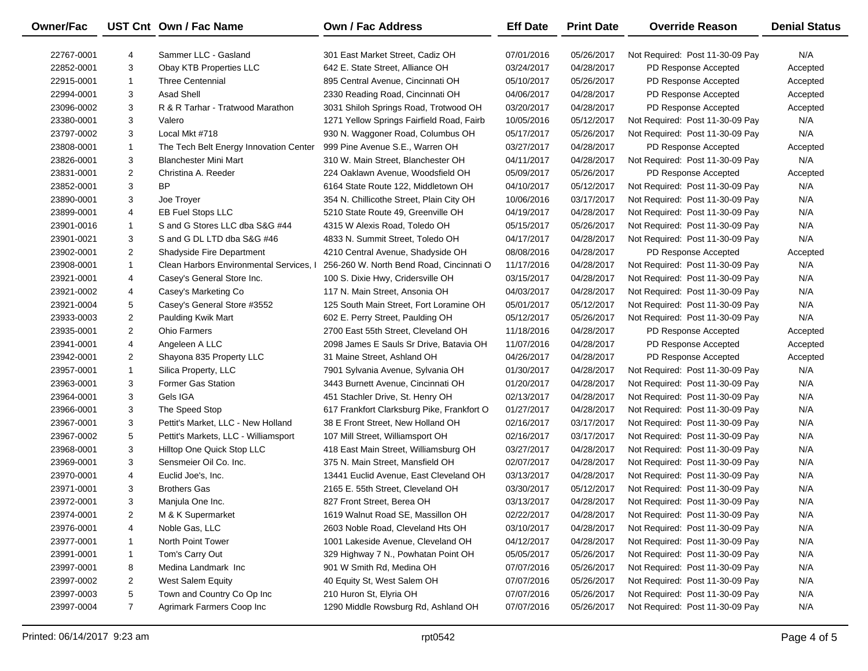| Owner/Fac  |                | UST Cnt Own / Fac Name                  | Own / Fac Address                          | <b>Eff Date</b> | <b>Print Date</b> | <b>Override Reason</b>          | <b>Denial Status</b> |
|------------|----------------|-----------------------------------------|--------------------------------------------|-----------------|-------------------|---------------------------------|----------------------|
| 22767-0001 | 4              | Sammer LLC - Gasland                    | 301 East Market Street, Cadiz OH           | 07/01/2016      | 05/26/2017        | Not Required: Post 11-30-09 Pay | N/A                  |
| 22852-0001 | 3              | Obay KTB Properties LLC                 | 642 E. State Street, Alliance OH           | 03/24/2017      | 04/28/2017        | PD Response Accepted            | Accepted             |
| 22915-0001 | $\mathbf{1}$   | <b>Three Centennial</b>                 | 895 Central Avenue, Cincinnati OH          | 05/10/2017      | 05/26/2017        | PD Response Accepted            | Accepted             |
| 22994-0001 | 3              | <b>Asad Shell</b>                       | 2330 Reading Road, Cincinnati OH           | 04/06/2017      | 04/28/2017        | PD Response Accepted            | Accepted             |
| 23096-0002 | 3              | R & R Tarhar - Tratwood Marathon        | 3031 Shiloh Springs Road, Trotwood OH      | 03/20/2017      | 04/28/2017        | PD Response Accepted            | Accepted             |
| 23380-0001 | 3              | Valero                                  | 1271 Yellow Springs Fairfield Road, Fairb  | 10/05/2016      | 05/12/2017        | Not Required: Post 11-30-09 Pay | N/A                  |
| 23797-0002 | 3              | Local Mkt #718                          | 930 N. Waggoner Road, Columbus OH          | 05/17/2017      | 05/26/2017        | Not Required: Post 11-30-09 Pay | N/A                  |
| 23808-0001 | $\mathbf{1}$   | The Tech Belt Energy Innovation Center  | 999 Pine Avenue S.E., Warren OH            | 03/27/2017      | 04/28/2017        | PD Response Accepted            | Accepted             |
| 23826-0001 | 3              | <b>Blanchester Mini Mart</b>            | 310 W. Main Street, Blanchester OH         | 04/11/2017      | 04/28/2017        | Not Required: Post 11-30-09 Pay | N/A                  |
| 23831-0001 | $\overline{2}$ | Christina A. Reeder                     | 224 Oaklawn Avenue, Woodsfield OH          | 05/09/2017      | 05/26/2017        | PD Response Accepted            | Accepted             |
| 23852-0001 | 3              | <b>BP</b>                               | 6164 State Route 122, Middletown OH        | 04/10/2017      | 05/12/2017        | Not Required: Post 11-30-09 Pay | N/A                  |
| 23890-0001 | 3              | Joe Troyer                              | 354 N. Chillicothe Street, Plain City OH   | 10/06/2016      | 03/17/2017        | Not Required: Post 11-30-09 Pay | N/A                  |
| 23899-0001 | 4              | <b>EB Fuel Stops LLC</b>                | 5210 State Route 49, Greenville OH         | 04/19/2017      | 04/28/2017        | Not Required: Post 11-30-09 Pay | N/A                  |
| 23901-0016 | $\mathbf{1}$   | S and G Stores LLC dba S&G #44          | 4315 W Alexis Road, Toledo OH              | 05/15/2017      | 05/26/2017        | Not Required: Post 11-30-09 Pay | N/A                  |
| 23901-0021 | 3              | S and G DL LTD dba S&G #46              | 4833 N. Summit Street, Toledo OH           | 04/17/2017      | 04/28/2017        | Not Required: Post 11-30-09 Pay | N/A                  |
| 23902-0001 | $\overline{2}$ | Shadyside Fire Department               | 4210 Central Avenue, Shadyside OH          | 08/08/2016      | 04/28/2017        | PD Response Accepted            | Accepted             |
| 23908-0001 | $\mathbf{1}$   | Clean Harbors Environmental Services, I | 256-260 W. North Bend Road, Cincinnati O   | 11/17/2016      | 04/28/2017        | Not Required: Post 11-30-09 Pay | N/A                  |
| 23921-0001 | 4              | Casey's General Store Inc.              | 100 S. Dixie Hwy, Cridersville OH          | 03/15/2017      | 04/28/2017        | Not Required: Post 11-30-09 Pay | N/A                  |
| 23921-0002 | 4              | Casey's Marketing Co                    | 117 N. Main Street, Ansonia OH             | 04/03/2017      | 04/28/2017        | Not Required: Post 11-30-09 Pay | N/A                  |
| 23921-0004 | 5              | Casey's General Store #3552             | 125 South Main Street, Fort Loramine OH    | 05/01/2017      | 05/12/2017        | Not Required: Post 11-30-09 Pay | N/A                  |
| 23933-0003 | $\overline{2}$ | Paulding Kwik Mart                      | 602 E. Perry Street, Paulding OH           | 05/12/2017      | 05/26/2017        | Not Required: Post 11-30-09 Pay | N/A                  |
| 23935-0001 | $\overline{2}$ | <b>Ohio Farmers</b>                     | 2700 East 55th Street, Cleveland OH        | 11/18/2016      | 04/28/2017        | PD Response Accepted            | Accepted             |
| 23941-0001 | 4              | Angeleen A LLC                          | 2098 James E Sauls Sr Drive, Batavia OH    | 11/07/2016      | 04/28/2017        | PD Response Accepted            | Accepted             |
| 23942-0001 | $\overline{2}$ | Shayona 835 Property LLC                | 31 Maine Street, Ashland OH                | 04/26/2017      | 04/28/2017        | PD Response Accepted            | Accepted             |
| 23957-0001 | $\mathbf{1}$   | Silica Property, LLC                    | 7901 Sylvania Avenue, Sylvania OH          | 01/30/2017      | 04/28/2017        | Not Required: Post 11-30-09 Pay | N/A                  |
| 23963-0001 | 3              | <b>Former Gas Station</b>               | 3443 Burnett Avenue, Cincinnati OH         | 01/20/2017      | 04/28/2017        | Not Required: Post 11-30-09 Pay | N/A                  |
| 23964-0001 | 3              | Gels IGA                                | 451 Stachler Drive, St. Henry OH           | 02/13/2017      | 04/28/2017        | Not Required: Post 11-30-09 Pay | N/A                  |
| 23966-0001 | 3              | The Speed Stop                          | 617 Frankfort Clarksburg Pike, Frankfort O | 01/27/2017      | 04/28/2017        | Not Required: Post 11-30-09 Pay | N/A                  |
| 23967-0001 | 3              | Pettit's Market, LLC - New Holland      | 38 E Front Street, New Holland OH          | 02/16/2017      | 03/17/2017        | Not Required: Post 11-30-09 Pay | N/A                  |
| 23967-0002 | 5              | Pettit's Markets, LLC - Williamsport    | 107 Mill Street, Williamsport OH           | 02/16/2017      | 03/17/2017        | Not Required: Post 11-30-09 Pay | N/A                  |
| 23968-0001 | 3              | Hilltop One Quick Stop LLC              | 418 East Main Street, Williamsburg OH      | 03/27/2017      | 04/28/2017        | Not Required: Post 11-30-09 Pay | N/A                  |
| 23969-0001 | 3              | Sensmeier Oil Co. Inc.                  | 375 N. Main Street, Mansfield OH           | 02/07/2017      | 04/28/2017        | Not Required: Post 11-30-09 Pay | N/A                  |
| 23970-0001 | 4              | Euclid Joe's, Inc.                      | 13441 Euclid Avenue, East Cleveland OH     | 03/13/2017      | 04/28/2017        | Not Required: Post 11-30-09 Pay | N/A                  |
| 23971-0001 | 3              | <b>Brothers Gas</b>                     | 2165 E. 55th Street, Cleveland OH          | 03/30/2017      | 05/12/2017        | Not Required: Post 11-30-09 Pay | N/A                  |
| 23972-0001 | 3              | Manjula One Inc.                        | 827 Front Street, Berea OH                 | 03/13/2017      | 04/28/2017        | Not Required: Post 11-30-09 Pay | N/A                  |
| 23974-0001 | 2              | M & K Supermarket                       | 1619 Walnut Road SE, Massillon OH          | 02/22/2017      | 04/28/2017        | Not Required: Post 11-30-09 Pay | N/A                  |
| 23976-0001 | 4              | Noble Gas, LLC                          | 2603 Noble Road, Cleveland Hts OH          | 03/10/2017      | 04/28/2017        | Not Required: Post 11-30-09 Pay | N/A                  |
| 23977-0001 | 1              | North Point Tower                       | 1001 Lakeside Avenue, Cleveland OH         | 04/12/2017      | 04/28/2017        | Not Required: Post 11-30-09 Pay | N/A                  |
| 23991-0001 | 1              | Tom's Carry Out                         | 329 Highway 7 N., Powhatan Point OH        | 05/05/2017      | 05/26/2017        | Not Required: Post 11-30-09 Pay | N/A                  |
| 23997-0001 | 8              | Medina Landmark Inc                     | 901 W Smith Rd, Medina OH                  | 07/07/2016      | 05/26/2017        | Not Required: Post 11-30-09 Pay | N/A                  |
| 23997-0002 | 2              | West Salem Equity                       | 40 Equity St, West Salem OH                | 07/07/2016      | 05/26/2017        | Not Required: Post 11-30-09 Pay | N/A                  |
| 23997-0003 | 5              | Town and Country Co Op Inc              | 210 Huron St, Elyria OH                    | 07/07/2016      | 05/26/2017        | Not Required: Post 11-30-09 Pay | N/A                  |
| 23997-0004 | $\overline{7}$ | Agrimark Farmers Coop Inc               | 1290 Middle Rowsburg Rd, Ashland OH        | 07/07/2016      | 05/26/2017        | Not Required: Post 11-30-09 Pay | N/A                  |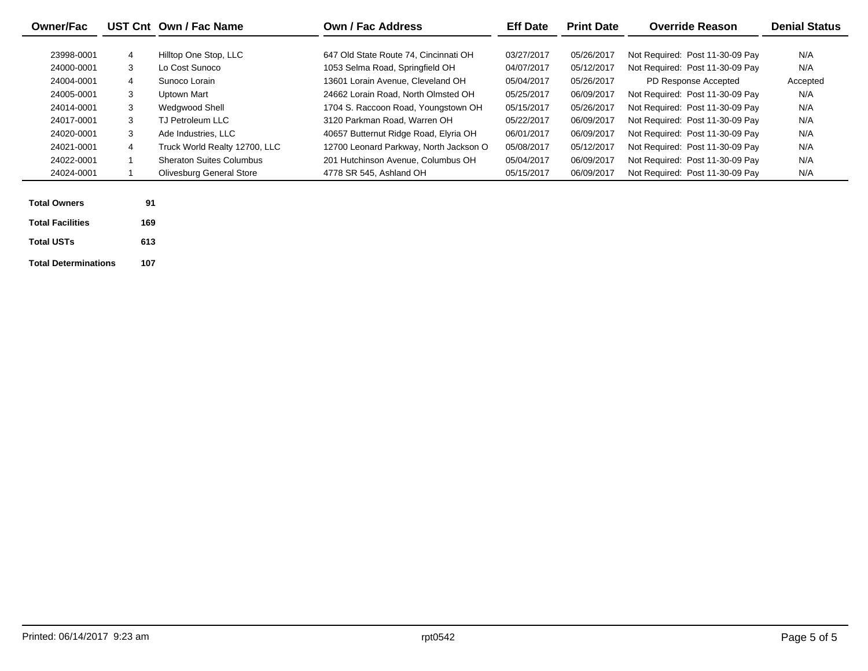| <b>Owner/Fac</b>        |     | UST Cnt Own / Fac Name          | <b>Own / Fac Address</b>               | <b>Eff Date</b> | <b>Print Date</b> | <b>Override Reason</b>          | <b>Denial Status</b> |
|-------------------------|-----|---------------------------------|----------------------------------------|-----------------|-------------------|---------------------------------|----------------------|
|                         |     |                                 |                                        |                 |                   |                                 |                      |
| 23998-0001              | 4   | Hilltop One Stop, LLC           | 647 Old State Route 74, Cincinnati OH  | 03/27/2017      | 05/26/2017        | Not Required: Post 11-30-09 Pay | N/A                  |
| 24000-0001              | 3   | Lo Cost Sunoco                  | 1053 Selma Road, Springfield OH        | 04/07/2017      | 05/12/2017        | Not Required: Post 11-30-09 Pav | N/A                  |
| 24004-0001              | 4   | Sunoco Lorain                   | 13601 Lorain Avenue, Cleveland OH      | 05/04/2017      | 05/26/2017        | PD Response Accepted            | Accepted             |
| 24005-0001              | 3   | Uptown Mart                     | 24662 Lorain Road, North Olmsted OH    | 05/25/2017      | 06/09/2017        | Not Required: Post 11-30-09 Pay | N/A                  |
| 24014-0001              | 3   | Wedgwood Shell                  | 1704 S. Raccoon Road, Youngstown OH    | 05/15/2017      | 05/26/2017        | Not Required: Post 11-30-09 Pay | N/A                  |
| 24017-0001              | 3   | TJ Petroleum LLC                | 3120 Parkman Road, Warren OH           | 05/22/2017      | 06/09/2017        | Not Required: Post 11-30-09 Pay | N/A                  |
| 24020-0001              | 3   | Ade Industries, LLC             | 40657 Butternut Ridge Road, Elyria OH  | 06/01/2017      | 06/09/2017        | Not Required: Post 11-30-09 Pay | N/A                  |
| 24021-0001              | 4   | Truck World Realty 12700, LLC   | 12700 Leonard Parkway, North Jackson O | 05/08/2017      | 05/12/2017        | Not Required: Post 11-30-09 Pay | N/A                  |
| 24022-0001              |     | <b>Sheraton Suites Columbus</b> | 201 Hutchinson Avenue, Columbus OH     | 05/04/2017      | 06/09/2017        | Not Required: Post 11-30-09 Pay | N/A                  |
| 24024-0001              |     | Olivesburg General Store        | 4778 SR 545, Ashland OH                | 05/15/2017      | 06/09/2017        | Not Required: Post 11-30-09 Pay | N/A                  |
|                         |     |                                 |                                        |                 |                   |                                 |                      |
| <b>Total Owners</b>     | 91  |                                 |                                        |                 |                   |                                 |                      |
| <b>Total Facilities</b> | 169 |                                 |                                        |                 |                   |                                 |                      |
| <b>Total USTs</b>       | 613 |                                 |                                        |                 |                   |                                 |                      |

**Total Determinations107**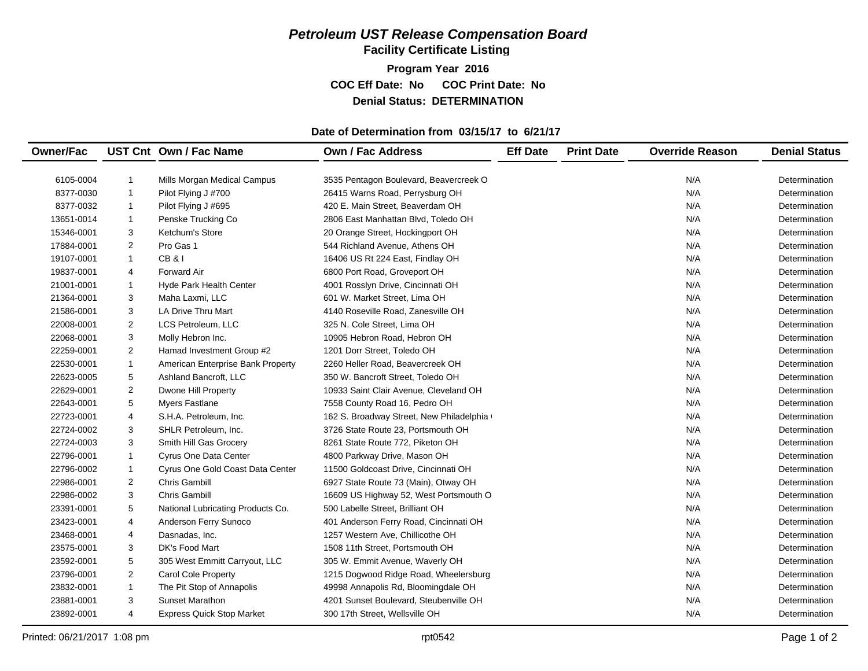**Facility Certificate Listing**

**Program Year 2016 COC Eff Date: No COC Print Date: No Denial Status: DETERMINATION**

#### **Date of Determination from 03/15/17 to 6/21/17**

| <b>Owner/Fac</b> |                | UST Cnt Own / Fac Name            | <b>Own / Fac Address</b>                 | <b>Eff Date</b> | <b>Print Date</b> | <b>Override Reason</b> | <b>Denial Status</b> |
|------------------|----------------|-----------------------------------|------------------------------------------|-----------------|-------------------|------------------------|----------------------|
|                  |                |                                   |                                          |                 |                   |                        |                      |
| 6105-0004        | $\mathbf{1}$   | Mills Morgan Medical Campus       | 3535 Pentagon Boulevard, Beavercreek O   |                 |                   | N/A                    | Determination        |
| 8377-0030        | $\mathbf{1}$   | Pilot Flying J #700               | 26415 Warns Road, Perrysburg OH          |                 |                   | N/A                    | Determination        |
| 8377-0032        | $\mathbf{1}$   | Pilot Flying J #695               | 420 E. Main Street, Beaverdam OH         |                 |                   | N/A                    | Determination        |
| 13651-0014       | $\mathbf{1}$   | Penske Trucking Co                | 2806 East Manhattan Blvd, Toledo OH      |                 |                   | N/A                    | Determination        |
| 15346-0001       | 3              | Ketchum's Store                   | 20 Orange Street, Hockingport OH         |                 |                   | N/A                    | Determination        |
| 17884-0001       | $\overline{2}$ | Pro Gas 1                         | 544 Richland Avenue, Athens OH           |                 |                   | N/A                    | Determination        |
| 19107-0001       | $\mathbf{1}$   | <b>CB&amp;I</b>                   | 16406 US Rt 224 East, Findlay OH         |                 |                   | N/A                    | Determination        |
| 19837-0001       | 4              | <b>Forward Air</b>                | 6800 Port Road, Groveport OH             |                 |                   | N/A                    | Determination        |
| 21001-0001       | $\mathbf{1}$   | <b>Hyde Park Health Center</b>    | 4001 Rosslyn Drive, Cincinnati OH        |                 |                   | N/A                    | Determination        |
| 21364-0001       | 3              | Maha Laxmi, LLC                   | 601 W. Market Street, Lima OH            |                 |                   | N/A                    | Determination        |
| 21586-0001       | 3              | <b>LA Drive Thru Mart</b>         | 4140 Roseville Road, Zanesville OH       |                 |                   | N/A                    | Determination        |
| 22008-0001       | 2              | LCS Petroleum, LLC                | 325 N. Cole Street, Lima OH              |                 |                   | N/A                    | Determination        |
| 22068-0001       | 3              | Molly Hebron Inc.                 | 10905 Hebron Road, Hebron OH             |                 |                   | N/A                    | Determination        |
| 22259-0001       | 2              | Hamad Investment Group #2         | 1201 Dorr Street, Toledo OH              |                 |                   | N/A                    | Determination        |
| 22530-0001       | $\mathbf{1}$   | American Enterprise Bank Property | 2260 Heller Road, Beavercreek OH         |                 |                   | N/A                    | Determination        |
| 22623-0005       | 5              | Ashland Bancroft, LLC             | 350 W. Bancroft Street, Toledo OH        |                 |                   | N/A                    | Determination        |
| 22629-0001       | $\overline{2}$ | Dwone Hill Property               | 10933 Saint Clair Avenue, Cleveland OH   |                 |                   | N/A                    | Determination        |
| 22643-0001       | 5              | <b>Myers Fastlane</b>             | 7558 County Road 16, Pedro OH            |                 |                   | N/A                    | Determination        |
| 22723-0001       | 4              | S.H.A. Petroleum, Inc.            | 162 S. Broadway Street, New Philadelphia |                 |                   | N/A                    | Determination        |
| 22724-0002       | 3              | SHLR Petroleum, Inc.              | 3726 State Route 23, Portsmouth OH       |                 |                   | N/A                    | Determination        |
| 22724-0003       | 3              | Smith Hill Gas Grocery            | 8261 State Route 772, Piketon OH         |                 |                   | N/A                    | Determination        |
| 22796-0001       | $\mathbf{1}$   | Cyrus One Data Center             | 4800 Parkway Drive, Mason OH             |                 |                   | N/A                    | Determination        |
| 22796-0002       | $\mathbf{1}$   | Cyrus One Gold Coast Data Center  | 11500 Goldcoast Drive, Cincinnati OH     |                 |                   | N/A                    | Determination        |
| 22986-0001       | 2              | <b>Chris Gambill</b>              | 6927 State Route 73 (Main), Otway OH     |                 |                   | N/A                    | Determination        |
| 22986-0002       | 3              | Chris Gambill                     | 16609 US Highway 52, West Portsmouth O   |                 |                   | N/A                    | Determination        |
| 23391-0001       | 5              | National Lubricating Products Co. | 500 Labelle Street, Brilliant OH         |                 |                   | N/A                    | Determination        |
| 23423-0001       | 4              | Anderson Ferry Sunoco             | 401 Anderson Ferry Road, Cincinnati OH   |                 |                   | N/A                    | Determination        |
| 23468-0001       | 4              | Dasnadas, Inc.                    | 1257 Western Ave, Chillicothe OH         |                 |                   | N/A                    | Determination        |
| 23575-0001       | 3              | DK's Food Mart                    | 1508 11th Street, Portsmouth OH          |                 |                   | N/A                    | Determination        |
| 23592-0001       | 5              | 305 West Emmitt Carryout, LLC     | 305 W. Emmit Avenue, Waverly OH          |                 |                   | N/A                    | Determination        |
| 23796-0001       | $\overline{2}$ | <b>Carol Cole Property</b>        | 1215 Dogwood Ridge Road, Wheelersburg    |                 |                   | N/A                    | Determination        |
| 23832-0001       | $\mathbf{1}$   | The Pit Stop of Annapolis         | 49998 Annapolis Rd, Bloomingdale OH      |                 |                   | N/A                    | Determination        |
| 23881-0001       | 3              | <b>Sunset Marathon</b>            | 4201 Sunset Boulevard, Steubenville OH   |                 |                   | N/A                    | Determination        |
| 23892-0001       | 4              | <b>Express Quick Stop Market</b>  | 300 17th Street, Wellsville OH           |                 |                   | N/A                    | Determination        |